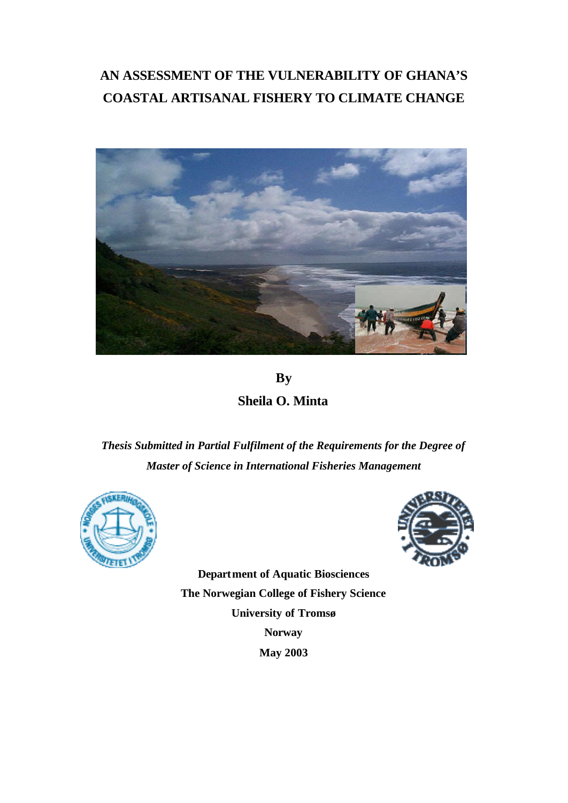# **AN ASSESSMENT OF THE VULNERABILITY OF GHANA'S COASTAL ARTISANAL FISHERY TO CLIMATE CHANGE**



**By Sheila O. Minta**

*Thesis Submitted in Partial Fulfilment of the Requirements for the Degree of Master of Science in International Fisheries Management*





**Department of Aquatic Biosciences The Norwegian College of Fishery Science University of Tromsø Norway May 2003**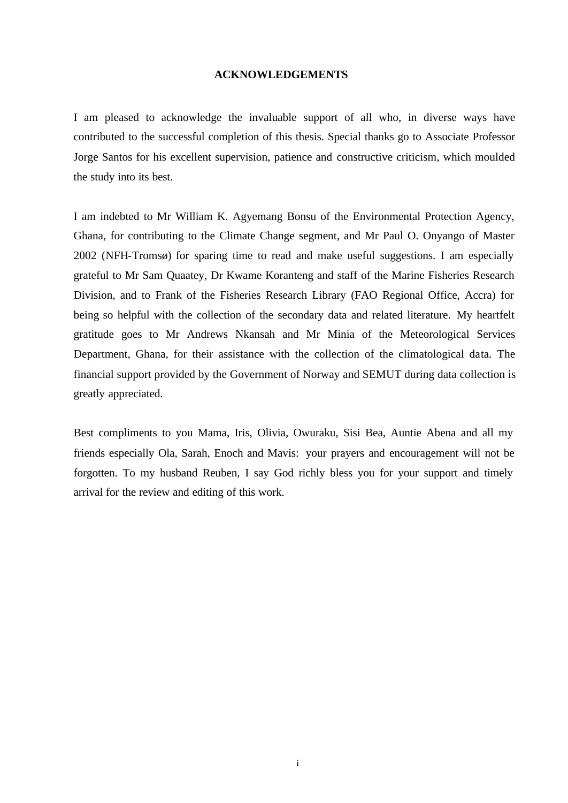#### **ACKNOWLEDGEMENTS**

I am pleased to acknowledge the invaluable support of all who, in diverse ways have contributed to the successful completion of this thesis. Special thanks go to Associate Professor Jorge Santos for his excellent supervision, patience and constructive criticism, which moulded the study into its best.

I am indebted to Mr William K. Agyemang Bonsu of the Environmental Protection Agency, Ghana, for contributing to the Climate Change segment, and Mr Paul O. Onyango of Master 2002 (NFH-Tromsø) for sparing time to read and make useful suggestions. I am especially grateful to Mr Sam Quaatey, Dr Kwame Koranteng and staff of the Marine Fisheries Research Division, and to Frank of the Fisheries Research Library (FAO Regional Office, Accra) for being so helpful with the collection of the secondary data and related literature. My heartfelt gratitude goes to Mr Andrews Nkansah and Mr Minia of the Meteorological Services Department, Ghana, for their assistance with the collection of the climatological data. The financial support provided by the Government of Norway and SEMUT during data collection is greatly appreciated.

Best compliments to you Mama, Iris, Olivia, Owuraku, Sisi Bea, Auntie Abena and all my friends especially Ola, Sarah, Enoch and Mavis: your prayers and encouragement will not be forgotten. To my husband Reuben, I say God richly bless you for your support and timely arrival for the review and editing of this work.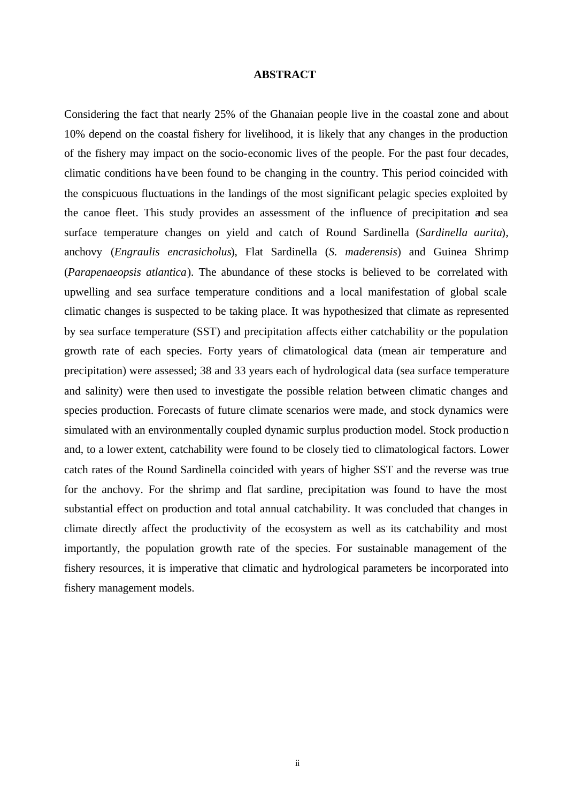#### **ABSTRACT**

Considering the fact that nearly 25% of the Ghanaian people live in the coastal zone and about 10% depend on the coastal fishery for livelihood, it is likely that any changes in the production of the fishery may impact on the socio-economic lives of the people. For the past four decades, climatic conditions have been found to be changing in the country. This period coincided with the conspicuous fluctuations in the landings of the most significant pelagic species exploited by the canoe fleet. This study provides an assessment of the influence of precipitation and sea surface temperature changes on yield and catch of Round Sardinella (*Sardinella aurita*), anchovy (*Engraulis encrasicholus*), Flat Sardinella (*S. maderensis*) and Guinea Shrimp (*Parapenaeopsis atlantica*). The abundance of these stocks is believed to be correlated with upwelling and sea surface temperature conditions and a local manifestation of global scale climatic changes is suspected to be taking place. It was hypothesized that climate as represented by sea surface temperature (SST) and precipitation affects either catchability or the population growth rate of each species. Forty years of climatological data (mean air temperature and precipitation) were assessed; 38 and 33 years each of hydrological data (sea surface temperature and salinity) were then used to investigate the possible relation between climatic changes and species production. Forecasts of future climate scenarios were made, and stock dynamics were simulated with an environmentally coupled dynamic surplus production model. Stock production and, to a lower extent, catchability were found to be closely tied to climatological factors. Lower catch rates of the Round Sardinella coincided with years of higher SST and the reverse was true for the anchovy. For the shrimp and flat sardine, precipitation was found to have the most substantial effect on production and total annual catchability. It was concluded that changes in climate directly affect the productivity of the ecosystem as well as its catchability and most importantly, the population growth rate of the species. For sustainable management of the fishery resources, it is imperative that climatic and hydrological parameters be incorporated into fishery management models.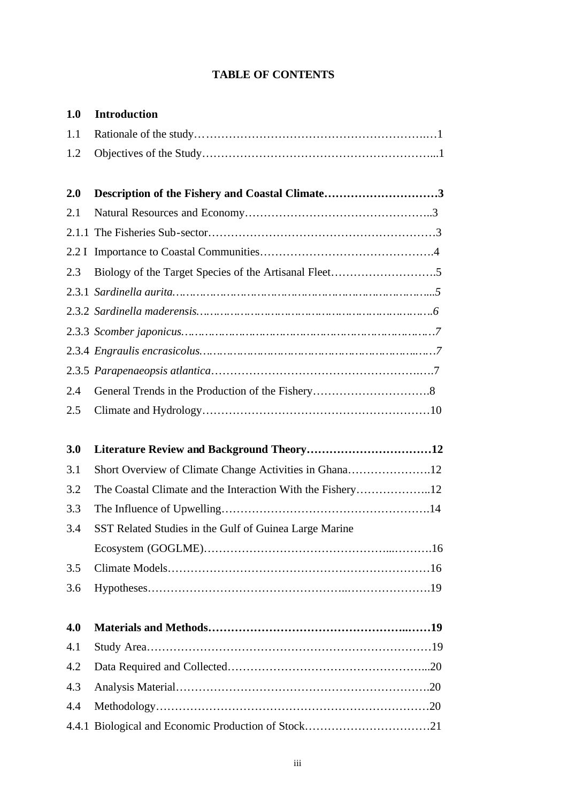# **TABLE OF CONTENTS**

| 1.0   | <b>Introduction</b>                                    |  |
|-------|--------------------------------------------------------|--|
| 1.1   |                                                        |  |
| 1.2   |                                                        |  |
| 2.0   | Description of the Fishery and Coastal Climate3        |  |
| 2.1   |                                                        |  |
|       |                                                        |  |
|       |                                                        |  |
| 2.3   |                                                        |  |
|       |                                                        |  |
|       |                                                        |  |
|       |                                                        |  |
|       |                                                        |  |
|       |                                                        |  |
| 2.4   |                                                        |  |
| 2.5   |                                                        |  |
| 3.0   | Literature Review and Background Theory12              |  |
| 3.1   | Short Overview of Climate Change Activities in Ghana12 |  |
| 3.2   |                                                        |  |
| 3.3   |                                                        |  |
| 3.4   | SST Related Studies in the Gulf of Guinea Large Marine |  |
|       |                                                        |  |
| 3.5   |                                                        |  |
| 3.6   |                                                        |  |
|       |                                                        |  |
| 4.0   |                                                        |  |
| 4.1   |                                                        |  |
| 4.2   |                                                        |  |
| 4.3   |                                                        |  |
| 4.4   |                                                        |  |
| 4.4.1 |                                                        |  |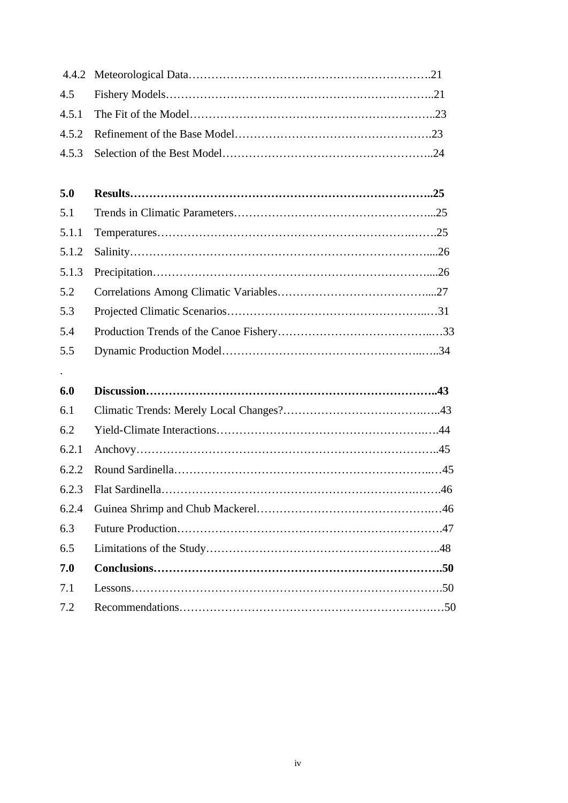| 5.0 |  |
|-----|--|
| 5.1 |  |
|     |  |
|     |  |
|     |  |
|     |  |
| 5.3 |  |
| 5.4 |  |
| 5.5 |  |

.

| 6.0   |  |
|-------|--|
| 6.1   |  |
| 6.2   |  |
| 6.2.1 |  |
|       |  |
|       |  |
| 6.2.4 |  |
| 6.3   |  |
| 6.5   |  |
| 7.0   |  |
| 7.1   |  |
| 7.2   |  |
|       |  |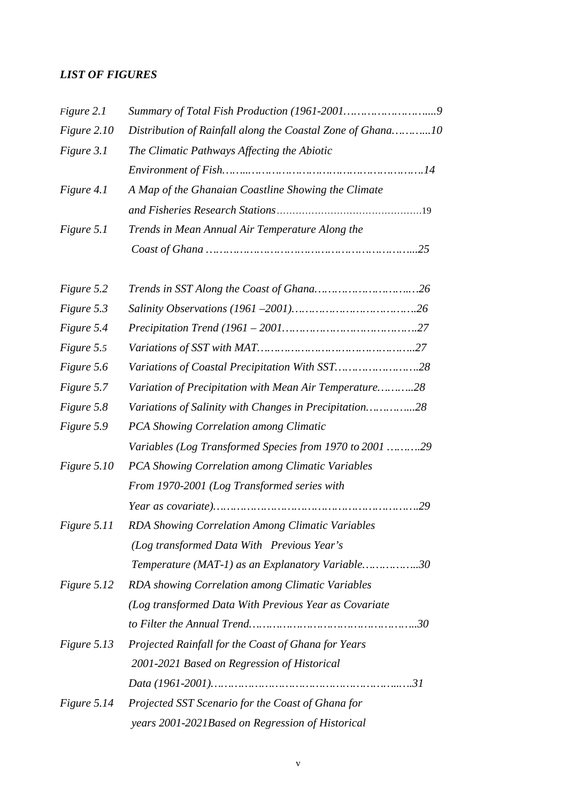# *LIST OF FIGURES*

| Figure 2.1  |                                                            |  |  |  |
|-------------|------------------------------------------------------------|--|--|--|
| Figure 2.10 | Distribution of Rainfall along the Coastal Zone of Ghana10 |  |  |  |
| Figure 3.1  | The Climatic Pathways Affecting the Abiotic                |  |  |  |
|             |                                                            |  |  |  |
| Figure 4.1  | A Map of the Ghanaian Coastline Showing the Climate        |  |  |  |
|             |                                                            |  |  |  |
| Figure 5.1  | Trends in Mean Annual Air Temperature Along the            |  |  |  |
|             |                                                            |  |  |  |
| Figure 5.2  |                                                            |  |  |  |
| Figure 5.3  |                                                            |  |  |  |
| Figure 5.4  |                                                            |  |  |  |
| Figure 5.5  |                                                            |  |  |  |
| Figure 5.6  |                                                            |  |  |  |
| Figure 5.7  | Variation of Precipitation with Mean Air Temperature28     |  |  |  |
| Figure 5.8  | Variations of Salinity with Changes in Precipitation28     |  |  |  |
| Figure 5.9  | PCA Showing Correlation among Climatic                     |  |  |  |
|             | Variables (Log Transformed Species from 1970 to 2001 29    |  |  |  |
| Figure 5.10 | PCA Showing Correlation among Climatic Variables           |  |  |  |
|             | From 1970-2001 (Log Transformed series with                |  |  |  |
|             |                                                            |  |  |  |
| Figure 5.11 | RDA Showing Correlation Among Climatic Variables           |  |  |  |
|             | (Log transformed Data With Previous Year's                 |  |  |  |
|             | Temperature (MAT-1) as an Explanatory Variable30           |  |  |  |
| Figure 5.12 | RDA showing Correlation among Climatic Variables           |  |  |  |
|             | (Log transformed Data With Previous Year as Covariate      |  |  |  |
|             |                                                            |  |  |  |
| Figure 5.13 | Projected Rainfall for the Coast of Ghana for Years        |  |  |  |
|             | 2001-2021 Based on Regression of Historical                |  |  |  |
|             |                                                            |  |  |  |
| Figure 5.14 | Projected SST Scenario for the Coast of Ghana for          |  |  |  |
|             | years 2001-2021Based on Regression of Historical           |  |  |  |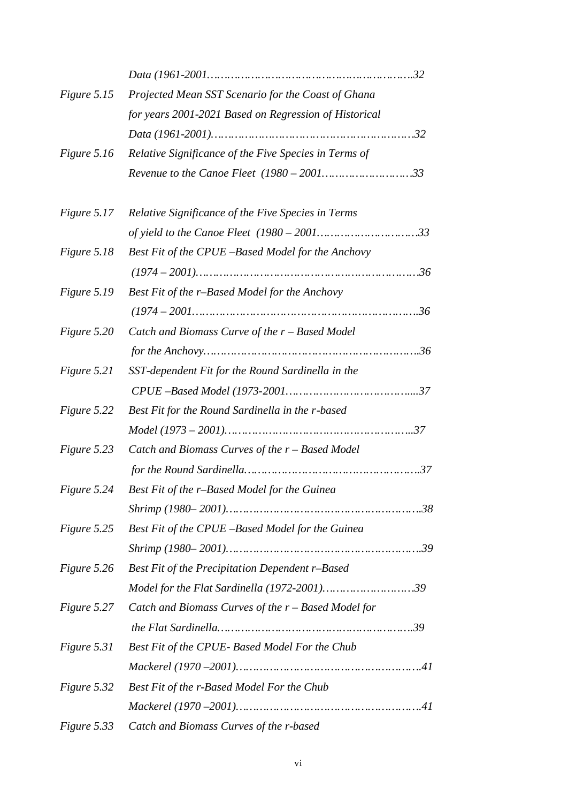| Figure 5.15 | Projected Mean SST Scenario for the Coast of Ghana    |
|-------------|-------------------------------------------------------|
|             | for years 2001-2021 Based on Regression of Historical |
|             |                                                       |
| Figure 5.16 | Relative Significance of the Five Species in Terms of |
|             |                                                       |
| Figure 5.17 | Relative Significance of the Five Species in Terms    |
|             |                                                       |
| Figure 5.18 | Best Fit of the CPUE -Based Model for the Anchovy     |
|             |                                                       |
| Figure 5.19 | Best Fit of the r-Based Model for the Anchovy         |
|             | $(1974 - 200136$                                      |
| Figure 5.20 | Catch and Biomass Curve of the r - Based Model        |
|             |                                                       |
| Figure 5.21 | SST-dependent Fit for the Round Sardinella in the     |
|             |                                                       |
| Figure 5.22 | Best Fit for the Round Sardinella in the r-based      |
|             |                                                       |
| Figure 5.23 | Catch and Biomass Curves of the $r$ – Based Model     |
|             |                                                       |
| Figure 5.24 | Best Fit of the r-Based Model for the Guinea          |
|             |                                                       |
| Figure 5.25 | Best Fit of the CPUE -Based Model for the Guinea      |
|             |                                                       |
| Figure 5.26 | Best Fit of the Precipitation Dependent r-Based       |
|             | Model for the Flat Sardinella (1972-2001)39           |
| Figure 5.27 | Catch and Biomass Curves of the r - Based Model for   |
|             |                                                       |
| Figure 5.31 | Best Fit of the CPUE- Based Model For the Chub        |
|             |                                                       |
| Figure 5.32 | Best Fit of the r-Based Model For the Chub            |
|             |                                                       |
| Figure 5.33 | Catch and Biomass Curves of the r-based               |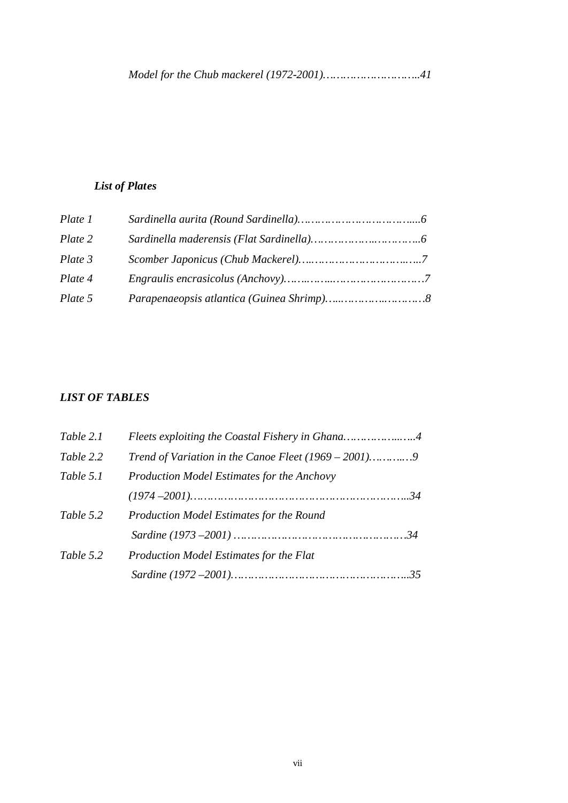# *List of Plates*

| Plate 1 |  |
|---------|--|
| Plate 2 |  |
| Plate 3 |  |
| Plate 4 |  |
| Plate 5 |  |

# *LIST OF TABLES*

| Table 2.1 | Fleets exploiting the Coastal Fishery in Ghana4   |  |
|-----------|---------------------------------------------------|--|
| Table 2.2 |                                                   |  |
| Table 5.1 | <b>Production Model Estimates for the Anchovy</b> |  |
|           |                                                   |  |
| Table 5.2 | Production Model Estimates for the Round          |  |
|           |                                                   |  |
| Table 5.2 | <b>Production Model Estimates for the Flat</b>    |  |
|           |                                                   |  |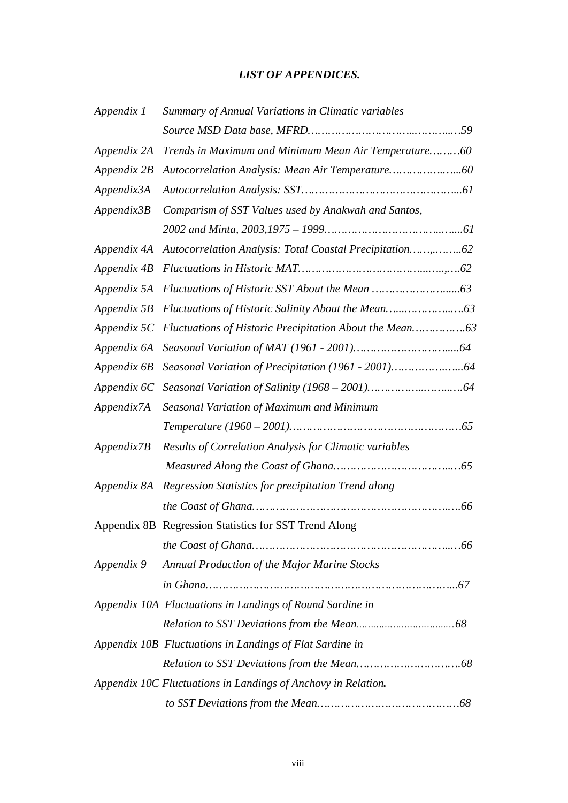# *LIST OF APPENDICES.*

| Appendix 1        | Summary of Annual Variations in Climatic variables              |
|-------------------|-----------------------------------------------------------------|
|                   |                                                                 |
| Appendix 2A       | Trends in Maximum and Minimum Mean Air Temperature60            |
| Appendix 2B       |                                                                 |
| Appendix3A        |                                                                 |
| Appendix3B        | Comparism of SST Values used by Anakwah and Santos,             |
|                   |                                                                 |
|                   |                                                                 |
|                   |                                                                 |
|                   |                                                                 |
|                   |                                                                 |
|                   |                                                                 |
|                   |                                                                 |
|                   |                                                                 |
|                   |                                                                 |
| <i>Appendix7A</i> | Seasonal Variation of Maximum and Minimum                       |
|                   |                                                                 |
| Appendix7B        | Results of Correlation Analysis for Climatic variables          |
|                   |                                                                 |
|                   | Appendix 8A Regression Statistics for precipitation Trend along |
|                   |                                                                 |
|                   | Appendix 8B Regression Statistics for SST Trend Along           |
|                   |                                                                 |
| Appendix 9        | <b>Annual Production of the Major Marine Stocks</b>             |
|                   |                                                                 |
|                   | Appendix 10A Fluctuations in Landings of Round Sardine in       |
|                   |                                                                 |
|                   | Appendix 10B Fluctuations in Landings of Flat Sardine in        |
|                   |                                                                 |
|                   | Appendix 10C Fluctuations in Landings of Anchovy in Relation.   |
|                   |                                                                 |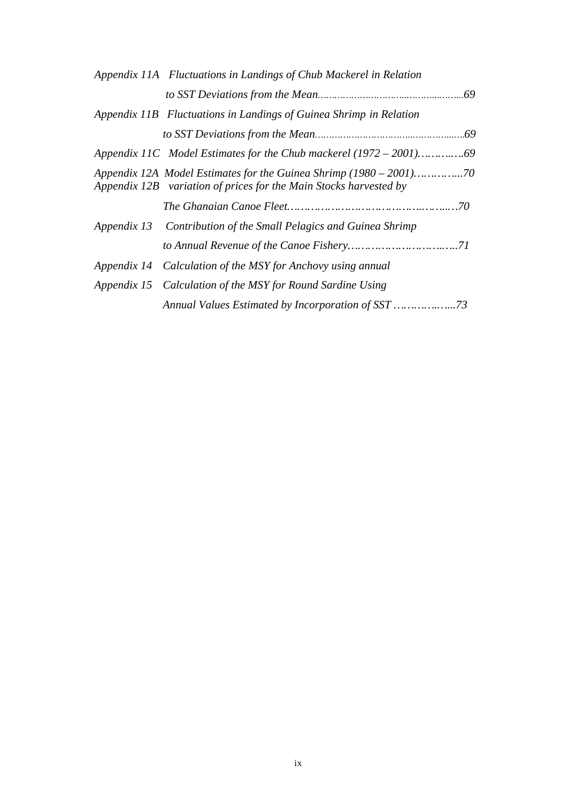| Appendix 11A Fluctuations in Landings of Chub Mackerel in Relation |  |
|--------------------------------------------------------------------|--|
|                                                                    |  |
| Appendix 11B Fluctuations in Landings of Guinea Shrimp in Relation |  |
|                                                                    |  |
|                                                                    |  |
| Appendix 12B variation of prices for the Main Stocks harvested by  |  |
|                                                                    |  |
| Appendix 13 Contribution of the Small Pelagics and Guinea Shrimp   |  |
|                                                                    |  |
| Appendix 14 Calculation of the MSY for Anchovy using annual        |  |
| Appendix 15 Calculation of the MSY for Round Sardine Using         |  |
|                                                                    |  |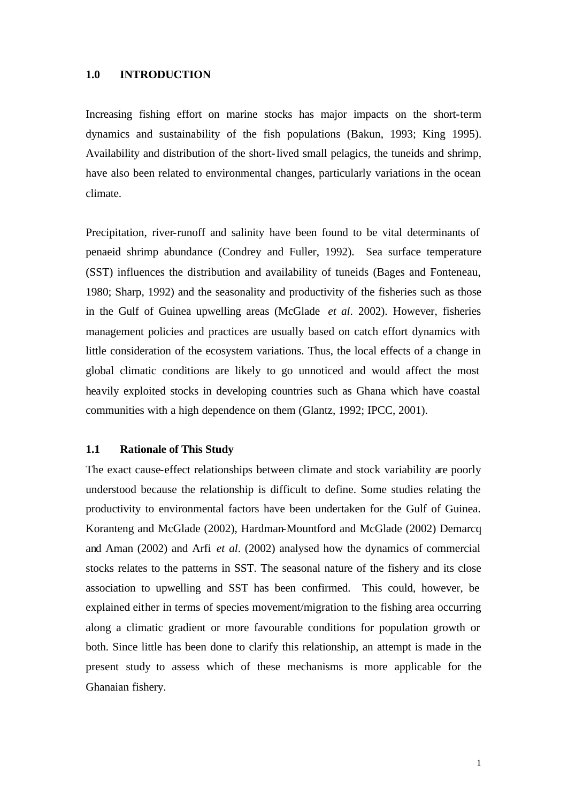Increasing fishing effort on marine stocks has major impacts on the short-term dynamics and sustainability of the fish populations (Bakun, 1993; King 1995). Availability and distribution of the short-lived small pelagics, the tuneids and shrimp, have also been related to environmental changes, particularly variations in the ocean climate.

Precipitation, river-runoff and salinity have been found to be vital determinants of penaeid shrimp abundance (Condrey and Fuller, 1992). Sea surface temperature (SST) influences the distribution and availability of tuneids (Bages and Fonteneau, 1980; Sharp, 1992) and the seasonality and productivity of the fisheries such as those in the Gulf of Guinea upwelling areas (McGlade *et al*. 2002). However, fisheries management policies and practices are usually based on catch effort dynamics with little consideration of the ecosystem variations. Thus, the local effects of a change in global climatic conditions are likely to go unnoticed and would affect the most heavily exploited stocks in developing countries such as Ghana which have coastal communities with a high dependence on them (Glantz, 1992; IPCC, 2001).

#### **1.1 Rationale of This Study**

The exact cause-effect relationships between climate and stock variability are poorly understood because the relationship is difficult to define. Some studies relating the productivity to environmental factors have been undertaken for the Gulf of Guinea. Koranteng and McGlade (2002), Hardman-Mountford and McGlade (2002) Demarcq and Aman (2002) and Arfi *et al*. (2002) analysed how the dynamics of commercial stocks relates to the patterns in SST. The seasonal nature of the fishery and its close association to upwelling and SST has been confirmed. This could, however, be explained either in terms of species movement/migration to the fishing area occurring along a climatic gradient or more favourable conditions for population growth or both. Since little has been done to clarify this relationship, an attempt is made in the present study to assess which of these mechanisms is more applicable for the Ghanaian fishery.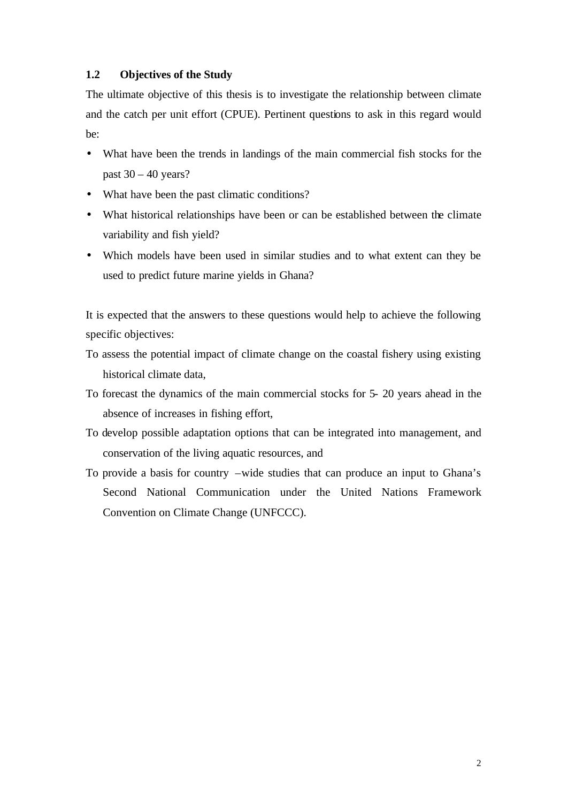### **1.2 Objectives of the Study**

The ultimate objective of this thesis is to investigate the relationship between climate and the catch per unit effort (CPUE). Pertinent questions to ask in this regard would be:

- What have been the trends in landings of the main commercial fish stocks for the past  $30 - 40$  years?
- What have been the past climatic conditions?
- What historical relationships have been or can be established between the climate variability and fish yield?
- Which models have been used in similar studies and to what extent can they be used to predict future marine yields in Ghana?

It is expected that the answers to these questions would help to achieve the following specific objectives:

- To assess the potential impact of climate change on the coastal fishery using existing historical climate data,
- To forecast the dynamics of the main commercial stocks for 5- 20 years ahead in the absence of increases in fishing effort,
- To develop possible adaptation options that can be integrated into management, and conservation of the living aquatic resources, and
- To provide a basis for country –wide studies that can produce an input to Ghana's Second National Communication under the United Nations Framework Convention on Climate Change (UNFCCC).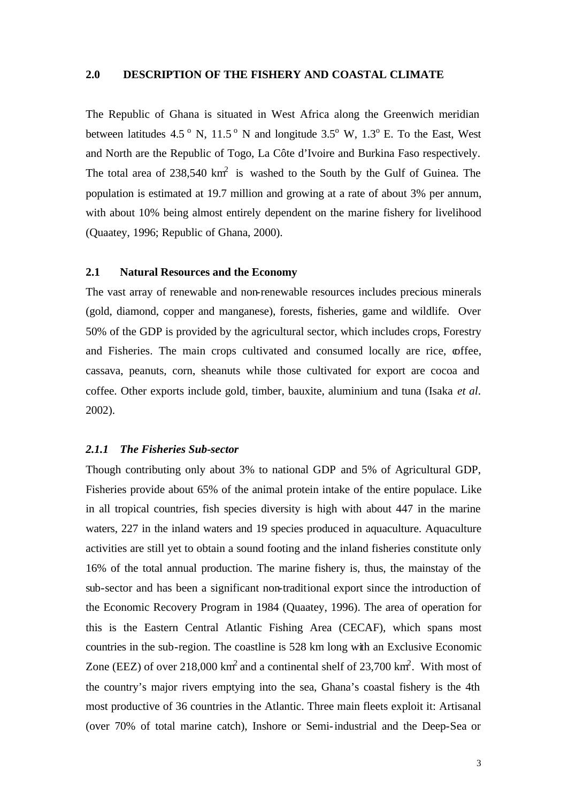#### **2.0 DESCRIPTION OF THE FISHERY AND COASTAL CLIMATE**

The Republic of Ghana is situated in West Africa along the Greenwich meridian between latitudes 4.5<sup>o</sup> N, 11.5<sup>o</sup> N and longitude  $3.5^{\circ}$  W, 1.3<sup>o</sup> E. To the East, West and North are the Republic of Togo, La Côte d'Ivoire and Burkina Faso respectively. The total area of  $238,540 \text{ km}^2$  is washed to the South by the Gulf of Guinea. The population is estimated at 19.7 million and growing at a rate of about 3% per annum, with about 10% being almost entirely dependent on the marine fishery for livelihood (Quaatey, 1996; Republic of Ghana, 2000).

#### **2.1 Natural Resources and the Economy**

The vast array of renewable and non-renewable resources includes precious minerals (gold, diamond, copper and manganese), forests, fisheries, game and wildlife. Over 50% of the GDP is provided by the agricultural sector, which includes crops, Forestry and Fisheries. The main crops cultivated and consumed locally are rice,  $\omega$  ffee, cassava, peanuts, corn, sheanuts while those cultivated for export are cocoa and coffee. Other exports include gold, timber, bauxite, aluminium and tuna (Isaka *et al*. 2002).

#### *2.1.1 The Fisheries Sub-sector*

Though contributing only about 3% to national GDP and 5% of Agricultural GDP, Fisheries provide about 65% of the animal protein intake of the entire populace. Like in all tropical countries, fish species diversity is high with about 447 in the marine waters, 227 in the inland waters and 19 species produced in aquaculture. Aquaculture activities are still yet to obtain a sound footing and the inland fisheries constitute only 16% of the total annual production. The marine fishery is, thus, the mainstay of the sub-sector and has been a significant non-traditional export since the introduction of the Economic Recovery Program in 1984 (Quaatey, 1996). The area of operation for this is the Eastern Central Atlantic Fishing Area (CECAF), which spans most countries in the sub-region. The coastline is 528 km long with an Exclusive Economic Zone (EEZ) of over 218,000 km<sup>2</sup> and a continental shelf of 23,700 km<sup>2</sup>. With most of the country's major rivers emptying into the sea, Ghana's coastal fishery is the 4th most productive of 36 countries in the Atlantic. Three main fleets exploit it: Artisanal (over 70% of total marine catch), Inshore or Semi-industrial and the Deep-Sea or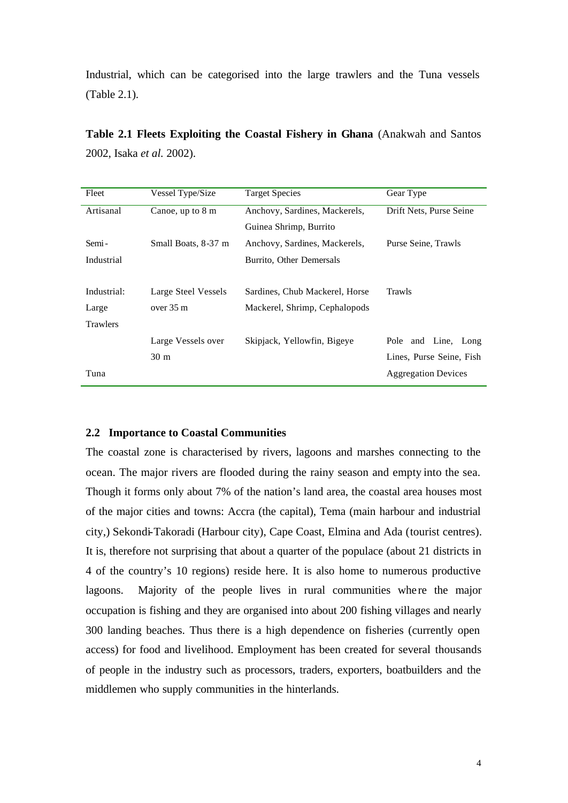Industrial, which can be categorised into the large trawlers and the Tuna vessels (Table 2.1).

| Fleet           | Vessel Type/Size    | <b>Target Species</b>          | Gear Type                  |
|-----------------|---------------------|--------------------------------|----------------------------|
| Artisanal       | Canoe, up to 8 m    | Anchovy, Sardines, Mackerels,  | Drift Nets, Purse Seine    |
|                 |                     | Guinea Shrimp, Burrito         |                            |
| Semi-           | Small Boats, 8-37 m | Anchovy, Sardines, Mackerels,  | Purse Seine, Trawls        |
| Industrial      |                     | Burrito, Other Demersals       |                            |
|                 |                     |                                |                            |
| Industrial:     | Large Steel Vessels | Sardines, Chub Mackerel, Horse | <b>Trawls</b>              |
| Large           | over $35 \text{ m}$ | Mackerel, Shrimp, Cephalopods  |                            |
| <b>Trawlers</b> |                     |                                |                            |
|                 | Large Vessels over  | Skipjack, Yellowfin, Bigeye    | Pole and Line, Long        |
|                 | 30 <sub>m</sub>     |                                | Lines, Purse Seine, Fish   |
| Tuna            |                     |                                | <b>Aggregation Devices</b> |

**Table 2.1 Fleets Exploiting the Coastal Fishery in Ghana** (Anakwah and Santos 2002, Isaka *et al.* 2002).

#### **2.2 Importance to Coastal Communities**

The coastal zone is characterised by rivers, lagoons and marshes connecting to the ocean. The major rivers are flooded during the rainy season and empty into the sea. Though it forms only about 7% of the nation's land area, the coastal area houses most of the major cities and towns: Accra (the capital), Tema (main harbour and industrial city,) Sekondi-Takoradi (Harbour city), Cape Coast, Elmina and Ada (tourist centres). It is, therefore not surprising that about a quarter of the populace (about 21 districts in 4 of the country's 10 regions) reside here. It is also home to numerous productive lagoons. Majority of the people lives in rural communities where the major occupation is fishing and they are organised into about 200 fishing villages and nearly 300 landing beaches. Thus there is a high dependence on fisheries (currently open access) for food and livelihood. Employment has been created for several thousands of people in the industry such as processors, traders, exporters, boatbuilders and the middlemen who supply communities in the hinterlands.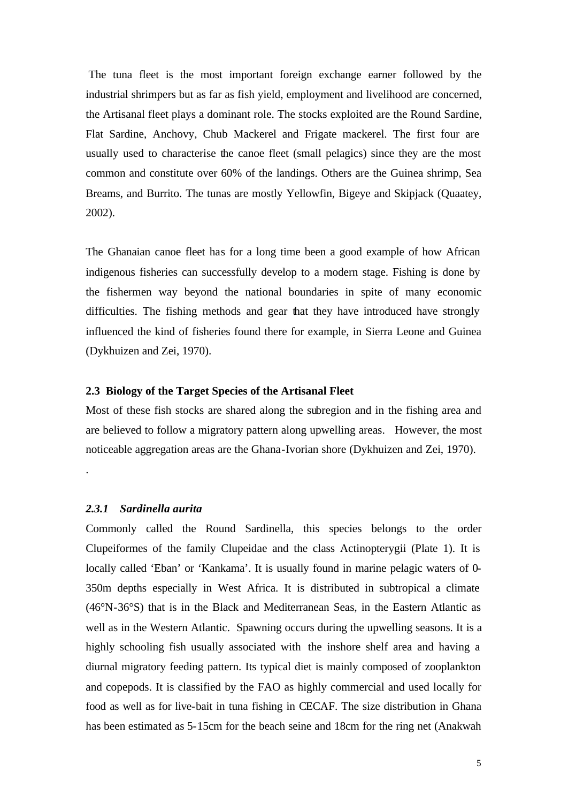The tuna fleet is the most important foreign exchange earner followed by the industrial shrimpers but as far as fish yield, employment and livelihood are concerned, the Artisanal fleet plays a dominant role. The stocks exploited are the Round Sardine, Flat Sardine, Anchovy, Chub Mackerel and Frigate mackerel. The first four are usually used to characterise the canoe fleet (small pelagics) since they are the most common and constitute over 60% of the landings. Others are the Guinea shrimp, Sea Breams, and Burrito. The tunas are mostly Yellowfin, Bigeye and Skipjack (Quaatey, 2002).

The Ghanaian canoe fleet has for a long time been a good example of how African indigenous fisheries can successfully develop to a modern stage. Fishing is done by the fishermen way beyond the national boundaries in spite of many economic difficulties. The fishing methods and gear that they have introduced have strongly influenced the kind of fisheries found there for example, in Sierra Leone and Guinea (Dykhuizen and Zei, 1970).

#### **2.3 Biology of the Target Species of the Artisanal Fleet**

Most of these fish stocks are shared along the subregion and in the fishing area and are believed to follow a migratory pattern along upwelling areas. However, the most noticeable aggregation areas are the Ghana-Ivorian shore (Dykhuizen and Zei, 1970).

#### *2.3.1 Sardinella aurita*

.

Commonly called the Round Sardinella, this species belongs to the order Clupeiformes of the family Clupeidae and the class Actinopterygii (Plate 1). It is locally called 'Eban' or 'Kankama'. It is usually found in marine pelagic waters of 0- 350m depths especially in West Africa. It is distributed in subtropical a climate (46°N-36°S) that is in the Black and Mediterranean Seas, in the Eastern Atlantic as well as in the Western Atlantic. Spawning occurs during the upwelling seasons. It is a highly schooling fish usually associated with the inshore shelf area and having a diurnal migratory feeding pattern. Its typical diet is mainly composed of zooplankton and copepods. It is classified by the FAO as highly commercial and used locally for food as well as for live-bait in tuna fishing in CECAF. The size distribution in Ghana has been estimated as 5-15cm for the beach seine and 18cm for the ring net (Anakwah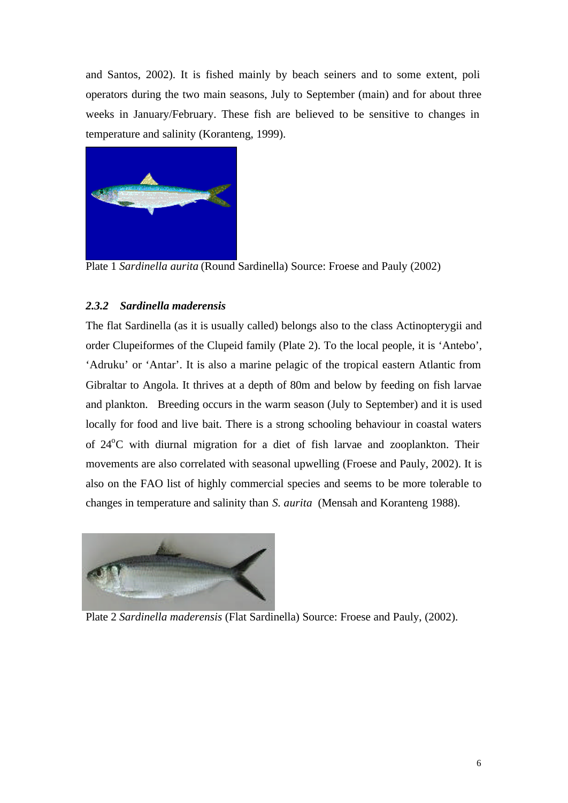and Santos, 2002). It is fished mainly by beach seiners and to some extent, poli operators during the two main seasons, July to September (main) and for about three weeks in January/February. These fish are believed to be sensitive to changes in temperature and salinity (Koranteng, 1999).



Plate 1 *Sardinella aurita* (Round Sardinella) Source: Froese and Pauly (2002)

# *2.3.2 Sardinella maderensis*

The flat Sardinella (as it is usually called) belongs also to the class Actinopterygii and order Clupeiformes of the Clupeid family (Plate 2). To the local people, it is 'Antebo', 'Adruku' or 'Antar'. It is also a marine pelagic of the tropical eastern Atlantic from Gibraltar to Angola. It thrives at a depth of 80m and below by feeding on fish larvae and plankton. Breeding occurs in the warm season (July to September) and it is used locally for food and live bait. There is a strong schooling behaviour in coastal waters of  $24^{\circ}$ C with diurnal migration for a diet of fish larvae and zooplankton. Their movements are also correlated with seasonal upwelling (Froese and Pauly, 2002). It is also on the FAO list of highly commercial species and seems to be more tolerable to changes in temperature and salinity than *S. aurita* (Mensah and Koranteng 1988).



Plate 2 *Sardinella maderensis* (Flat Sardinella) Source: Froese and Pauly, (2002).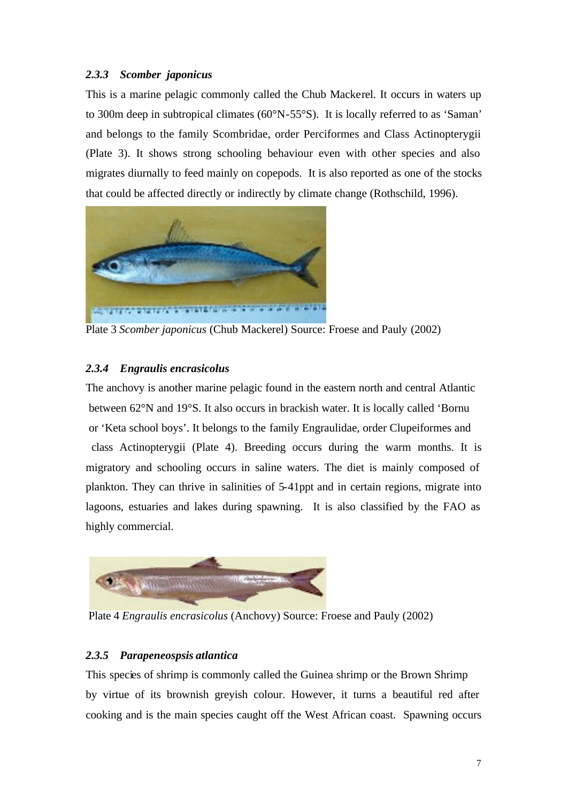# *2.3.3 Scomber japonicus*

This is a marine pelagic commonly called the Chub Mackerel. It occurs in waters up to 300m deep in subtropical climates (60°N-55°S). It is locally referred to as 'Saman' and belongs to the family Scombridae, order Perciformes and Class Actinopterygii (Plate 3). It shows strong schooling behaviour even with other species and also migrates diurnally to feed mainly on copepods. It is also reported as one of the stocks that could be affected directly or indirectly by climate change (Rothschild, 1996).



Plate 3 *Scomber japonicus* (Chub Mackerel) Source: Froese and Pauly (2002)

# *2.3.4 Engraulis encrasicolus*

The anchovy is another marine pelagic found in the eastern north and central Atlantic between 62°N and 19°S. It also occurs in brackish water. It is locally called 'Bornu or 'Keta school boys'. It belongs to the family Engraulidae, order Clupeiformes and class Actinopterygii (Plate 4). Breeding occurs during the warm months. It is migratory and schooling occurs in saline waters. The diet is mainly composed of plankton. They can thrive in salinities of 5-41ppt and in certain regions, migrate into lagoons, estuaries and lakes during spawning. It is also classified by the FAO as highly commercial.



Plate 4 *Engraulis encrasicolus* (Anchovy) Source: Froese and Pauly (2002)

# *2.3.5 Parapeneospsis atlantica*

This species of shrimp is commonly called the Guinea shrimp or the Brown Shrimp by virtue of its brownish greyish colour. However, it turns a beautiful red after cooking and is the main species caught off the West African coast. Spawning occurs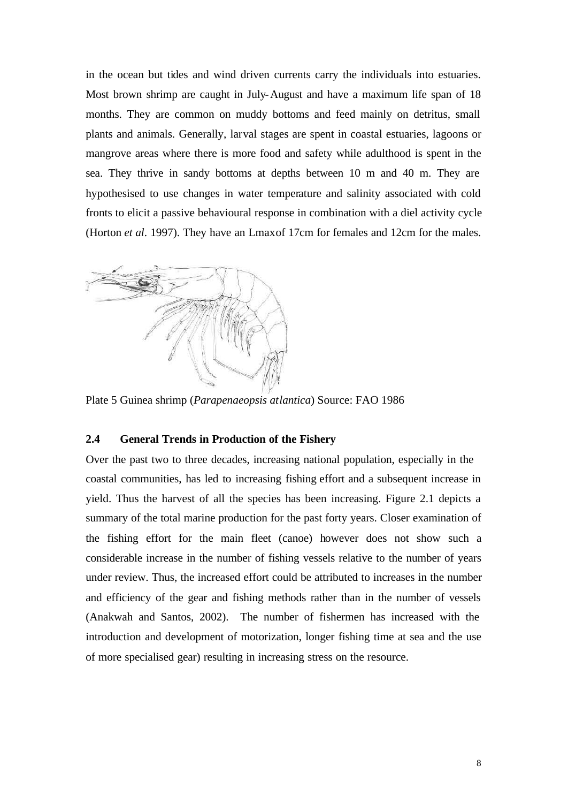in the ocean but tides and wind driven currents carry the individuals into estuaries. Most brown shrimp are caught in July-August and have a maximum life span of 18 months. They are common on muddy bottoms and feed mainly on detritus, small plants and animals. Generally, larval stages are spent in coastal estuaries, lagoons or mangrove areas where there is more food and safety while adulthood is spent in the sea. They thrive in sandy bottoms at depths between 10 m and 40 m. They are hypothesised to use changes in water temperature and salinity associated with cold fronts to elicit a passive behavioural response in combination with a diel activity cycle (Horton *et al*. 1997). They have an Lmaxof 17cm for females and 12cm for the males.



Plate 5 Guinea shrimp (*Parapenaeopsis atlantica*) Source: FAO 1986

#### **2.4 General Trends in Production of the Fishery**

Over the past two to three decades, increasing national population, especially in the coastal communities, has led to increasing fishing effort and a subsequent increase in yield. Thus the harvest of all the species has been increasing. Figure 2.1 depicts a summary of the total marine production for the past forty years. Closer examination of the fishing effort for the main fleet (canoe) however does not show such a considerable increase in the number of fishing vessels relative to the number of years under review. Thus, the increased effort could be attributed to increases in the number and efficiency of the gear and fishing methods rather than in the number of vessels (Anakwah and Santos, 2002). The number of fishermen has increased with the introduction and development of motorization, longer fishing time at sea and the use of more specialised gear) resulting in increasing stress on the resource.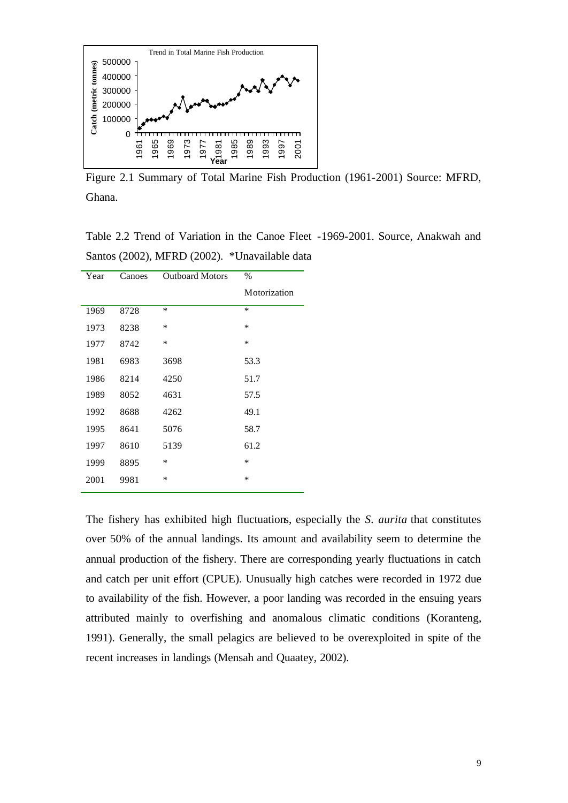

Figure 2.1 Summary of Total Marine Fish Production (1961-2001) Source: MFRD, Ghana.

Table 2.2 Trend of Variation in the Canoe Fleet -1969-2001. Source, Anakwah and Santos (2002), MFRD (2002). \*Unavailable data

| Year | Canoes | <b>Outboard Motors</b> | $\%$         |
|------|--------|------------------------|--------------|
|      |        |                        | Motorization |
| 1969 | 8728   | $\ast$                 | $\ast$       |
| 1973 | 8238   | ∗                      | $\ast$       |
| 1977 | 8742   | ∗                      | $\ast$       |
| 1981 | 6983   | 3698                   | 53.3         |
| 1986 | 8214   | 4250                   | 51.7         |
| 1989 | 8052   | 4631                   | 57.5         |
| 1992 | 8688   | 4262                   | 49.1         |
| 1995 | 8641   | 5076                   | 58.7         |
| 1997 | 8610   | 5139                   | 61.2         |
| 1999 | 8895   | ∗                      | $\ast$       |
| 2001 | 9981   | *                      | $\ast$       |

The fishery has exhibited high fluctuations, especially the *S. aurita* that constitutes over 50% of the annual landings. Its amount and availability seem to determine the annual production of the fishery. There are corresponding yearly fluctuations in catch and catch per unit effort (CPUE). Unusually high catches were recorded in 1972 due to availability of the fish. However, a poor landing was recorded in the ensuing years attributed mainly to overfishing and anomalous climatic conditions (Koranteng, 1991). Generally, the small pelagics are believed to be overexploited in spite of the recent increases in landings (Mensah and Quaatey, 2002).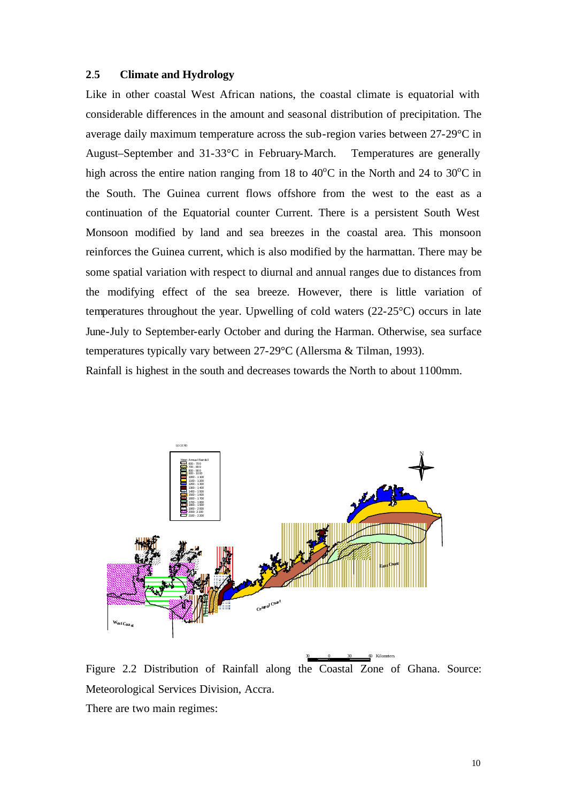# **2**.**5 Climate and Hydrology**

Like in other coastal West African nations, the coastal climate is equatorial with considerable differences in the amount and seasonal distribution of precipitation. The average daily maximum temperature across the sub-region varies between 27-29°C in August–September and 31-33°C in February-March. Temperatures are generally high across the entire nation ranging from 18 to  $40^{\circ}$ C in the North and 24 to 30 $^{\circ}$ C in the South. The Guinea current flows offshore from the west to the east as a continuation of the Equatorial counter Current. There is a persistent South West Monsoon modified by land and sea breezes in the coastal area. This monsoon reinforces the Guinea current, which is also modified by the harmattan. There may be some spatial variation with respect to diurnal and annual ranges due to distances from the modifying effect of the sea breeze. However, there is little variation of temperatures throughout the year. Upwelling of cold waters (22-25°C) occurs in late June-July to September-early October and during the Harman. Otherwise, sea surface temperatures typically vary between 27-29°C (Allersma & Tilman, 1993).

Rainfall is highest in the south and decreases towards the North to about 1100mm.



Figure 2.2 Distribution of Rainfall along the Coastal Zone of Ghana. Source: Meteorological Services Division, Accra. There are two main regimes:

30 0 30 60 Kilometers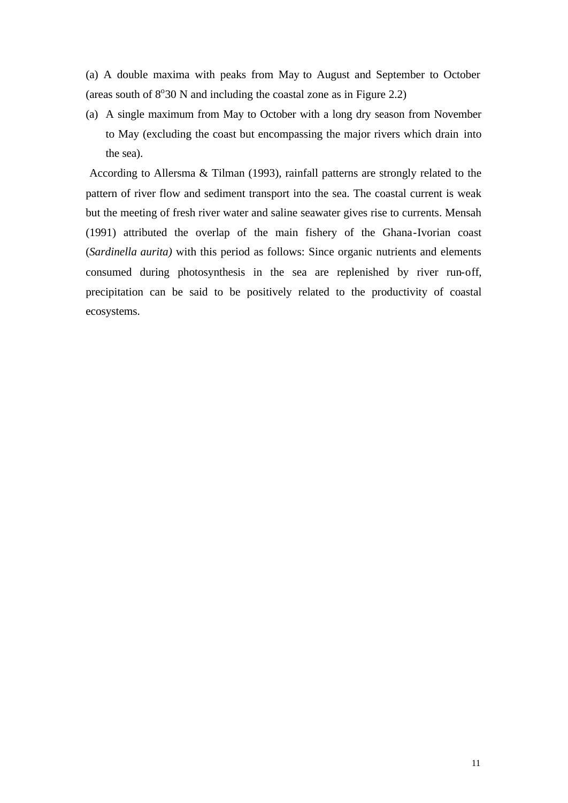(a) A double maxima with peaks from May to August and September to October (areas south of  $8^{\circ}30$  N and including the coastal zone as in Figure 2.2)

(a) A single maximum from May to October with a long dry season from November to May (excluding the coast but encompassing the major rivers which drain into the sea).

 According to Allersma & Tilman (1993), rainfall patterns are strongly related to the pattern of river flow and sediment transport into the sea. The coastal current is weak but the meeting of fresh river water and saline seawater gives rise to currents. Mensah (1991) attributed the overlap of the main fishery of the Ghana-Ivorian coast (*Sardinella aurita)* with this period as follows: Since organic nutrients and elements consumed during photosynthesis in the sea are replenished by river run-off, precipitation can be said to be positively related to the productivity of coastal ecosystems.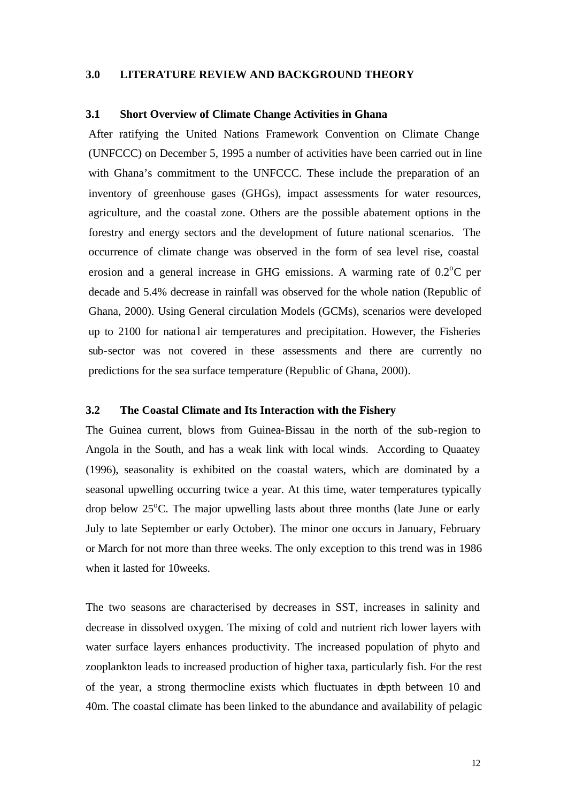#### **3.0 LITERATURE REVIEW AND BACKGROUND THEORY**

#### **3.1 Short Overview of Climate Change Activities in Ghana**

After ratifying the United Nations Framework Convention on Climate Change (UNFCCC) on December 5, 1995 a number of activities have been carried out in line with Ghana's commitment to the UNFCCC. These include the preparation of an inventory of greenhouse gases (GHGs), impact assessments for water resources, agriculture, and the coastal zone. Others are the possible abatement options in the forestry and energy sectors and the development of future national scenarios. The occurrence of climate change was observed in the form of sea level rise, coastal erosion and a general increase in GHG emissions. A warming rate of  $0.2^{\circ}$ C per decade and 5.4% decrease in rainfall was observed for the whole nation (Republic of Ghana, 2000). Using General circulation Models (GCMs), scenarios were developed up to 2100 for national air temperatures and precipitation. However, the Fisheries sub-sector was not covered in these assessments and there are currently no predictions for the sea surface temperature (Republic of Ghana, 2000).

#### **3.2 The Coastal Climate and Its Interaction with the Fishery**

The Guinea current, blows from Guinea-Bissau in the north of the sub-region to Angola in the South, and has a weak link with local winds. According to Quaatey (1996), seasonality is exhibited on the coastal waters, which are dominated by a seasonal upwelling occurring twice a year. At this time, water temperatures typically drop below  $25^{\circ}$ C. The major upwelling lasts about three months (late June or early July to late September or early October). The minor one occurs in January, February or March for not more than three weeks. The only exception to this trend was in 1986 when it lasted for 10weeks.

The two seasons are characterised by decreases in SST, increases in salinity and decrease in dissolved oxygen. The mixing of cold and nutrient rich lower layers with water surface layers enhances productivity. The increased population of phyto and zooplankton leads to increased production of higher taxa, particularly fish. For the rest of the year, a strong thermocline exists which fluctuates in depth between 10 and 40m. The coastal climate has been linked to the abundance and availability of pelagic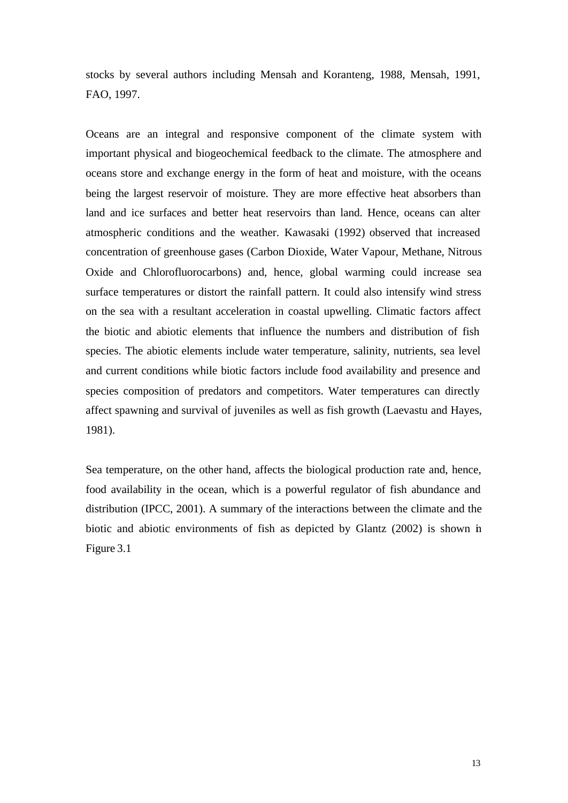stocks by several authors including Mensah and Koranteng, 1988, Mensah, 1991, FAO, 1997.

Oceans are an integral and responsive component of the climate system with important physical and biogeochemical feedback to the climate. The atmosphere and oceans store and exchange energy in the form of heat and moisture, with the oceans being the largest reservoir of moisture. They are more effective heat absorbers than land and ice surfaces and better heat reservoirs than land. Hence, oceans can alter atmospheric conditions and the weather. Kawasaki (1992) observed that increased concentration of greenhouse gases (Carbon Dioxide, Water Vapour, Methane, Nitrous Oxide and Chlorofluorocarbons) and, hence, global warming could increase sea surface temperatures or distort the rainfall pattern. It could also intensify wind stress on the sea with a resultant acceleration in coastal upwelling. Climatic factors affect the biotic and abiotic elements that influence the numbers and distribution of fish species. The abiotic elements include water temperature, salinity, nutrients, sea level and current conditions while biotic factors include food availability and presence and species composition of predators and competitors. Water temperatures can directly affect spawning and survival of juveniles as well as fish growth (Laevastu and Hayes, 1981).

Sea temperature, on the other hand, affects the biological production rate and, hence, food availability in the ocean, which is a powerful regulator of fish abundance and distribution (IPCC, 2001). A summary of the interactions between the climate and the biotic and abiotic environments of fish as depicted by Glantz (2002) is shown in Figure 3.1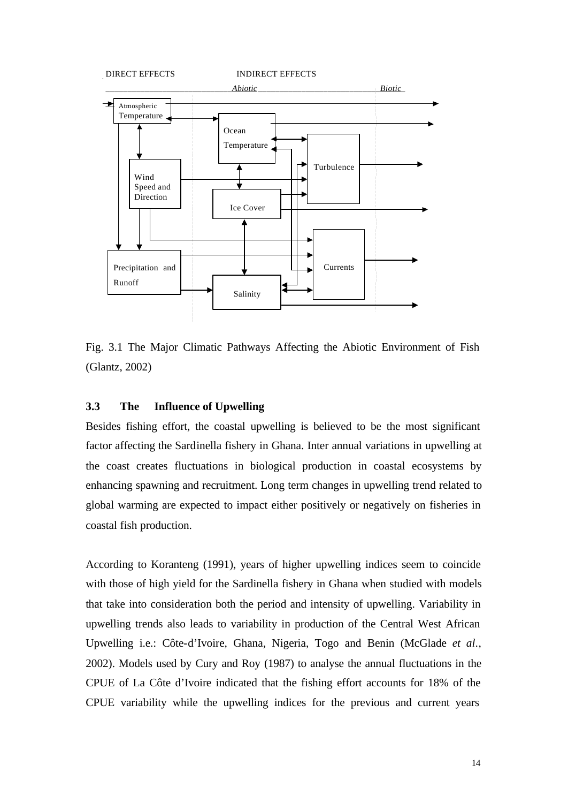

Fig. 3.1 The Major Climatic Pathways Affecting the Abiotic Environment of Fish (Glantz, 2002)

# **3.3 The Influence of Upwelling**

Besides fishing effort, the coastal upwelling is believed to be the most significant factor affecting the Sardinella fishery in Ghana. Inter annual variations in upwelling at the coast creates fluctuations in biological production in coastal ecosystems by enhancing spawning and recruitment. Long term changes in upwelling trend related to global warming are expected to impact either positively or negatively on fisheries in coastal fish production.

According to Koranteng (1991), years of higher upwelling indices seem to coincide with those of high yield for the Sardinella fishery in Ghana when studied with models that take into consideration both the period and intensity of upwelling. Variability in upwelling trends also leads to variability in production of the Central West African Upwelling i.e.: Côte-d'Ivoire, Ghana, Nigeria, Togo and Benin (McGlade *et al*., 2002). Models used by Cury and Roy (1987) to analyse the annual fluctuations in the CPUE of La Côte d'Ivoire indicated that the fishing effort accounts for 18% of the CPUE variability while the upwelling indices for the previous and current years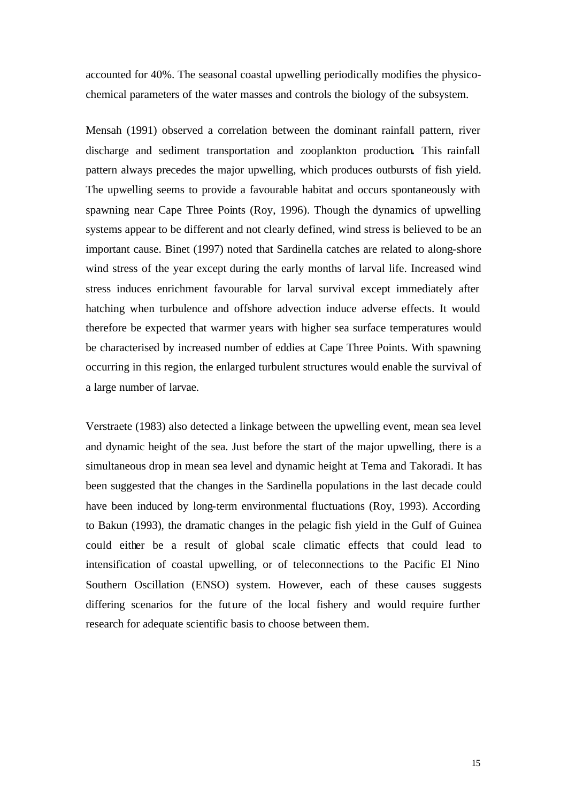accounted for 40%. The seasonal coastal upwelling periodically modifies the physicochemical parameters of the water masses and controls the biology of the subsystem.

Mensah (1991) observed a correlation between the dominant rainfall pattern, river discharge and sediment transportation and zooplankton production**.** This rainfall pattern always precedes the major upwelling, which produces outbursts of fish yield. The upwelling seems to provide a favourable habitat and occurs spontaneously with spawning near Cape Three Points (Roy, 1996). Though the dynamics of upwelling systems appear to be different and not clearly defined, wind stress is believed to be an important cause. Binet (1997) noted that Sardinella catches are related to along-shore wind stress of the year except during the early months of larval life. Increased wind stress induces enrichment favourable for larval survival except immediately after hatching when turbulence and offshore advection induce adverse effects. It would therefore be expected that warmer years with higher sea surface temperatures would be characterised by increased number of eddies at Cape Three Points. With spawning occurring in this region, the enlarged turbulent structures would enable the survival of a large number of larvae.

Verstraete (1983) also detected a linkage between the upwelling event, mean sea level and dynamic height of the sea. Just before the start of the major upwelling, there is a simultaneous drop in mean sea level and dynamic height at Tema and Takoradi. It has been suggested that the changes in the Sardinella populations in the last decade could have been induced by long-term environmental fluctuations (Roy, 1993). According to Bakun (1993), the dramatic changes in the pelagic fish yield in the Gulf of Guinea could either be a result of global scale climatic effects that could lead to intensification of coastal upwelling, or of teleconnections to the Pacific El Nino Southern Oscillation (ENSO) system. However, each of these causes suggests differing scenarios for the future of the local fishery and would require further research for adequate scientific basis to choose between them.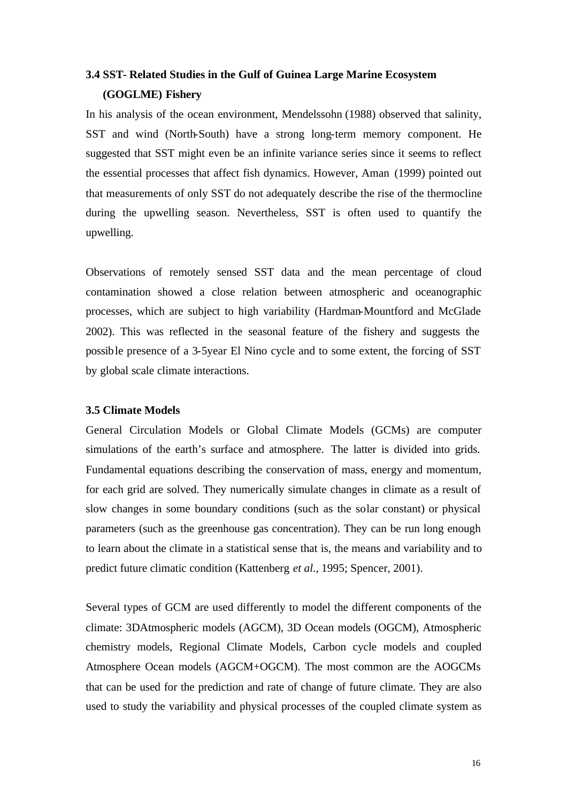# **3.4 SST- Related Studies in the Gulf of Guinea Large Marine Ecosystem (GOGLME) Fishery**

In his analysis of the ocean environment, Mendelssohn (1988) observed that salinity, SST and wind (North-South) have a strong long-term memory component. He suggested that SST might even be an infinite variance series since it seems to reflect the essential processes that affect fish dynamics. However, Aman (1999) pointed out that measurements of only SST do not adequately describe the rise of the thermocline during the upwelling season. Nevertheless, SST is often used to quantify the upwelling.

Observations of remotely sensed SST data and the mean percentage of cloud contamination showed a close relation between atmospheric and oceanographic processes, which are subject to high variability (Hardman-Mountford and McGlade 2002). This was reflected in the seasonal feature of the fishery and suggests the possible presence of a 3-5year El Nino cycle and to some extent, the forcing of SST by global scale climate interactions.

#### **3.5 Climate Models**

General Circulation Models or Global Climate Models (GCMs) are computer simulations of the earth's surface and atmosphere. The latter is divided into grids. Fundamental equations describing the conservation of mass, energy and momentum, for each grid are solved. They numerically simulate changes in climate as a result of slow changes in some boundary conditions (such as the solar constant) or physical parameters (such as the greenhouse gas concentration). They can be run long enough to learn about the climate in a statistical sense that is, the means and variability and to predict future climatic condition (Kattenberg *et al*., 1995; Spencer, 2001).

Several types of GCM are used differently to model the different components of the climate: 3DAtmospheric models (AGCM), 3D Ocean models (OGCM), Atmospheric chemistry models, Regional Climate Models, Carbon cycle models and coupled Atmosphere Ocean models (AGCM+OGCM). The most common are the AOGCMs that can be used for the prediction and rate of change of future climate. They are also used to study the variability and physical processes of the coupled climate system as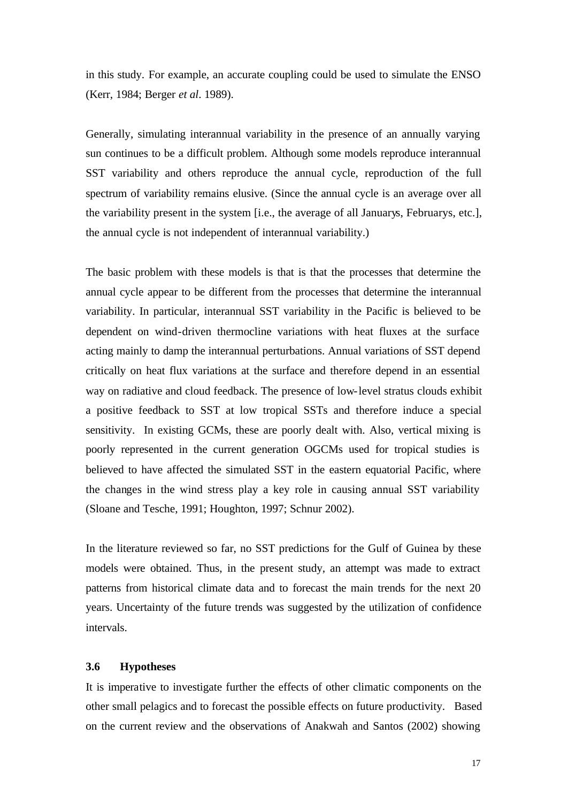in this study. For example, an accurate coupling could be used to simulate the ENSO (Kerr, 1984; Berger *et al*. 1989).

Generally, simulating interannual variability in the presence of an annually varying sun continues to be a difficult problem. Although some models reproduce interannual SST variability and others reproduce the annual cycle, reproduction of the full spectrum of variability remains elusive. (Since the annual cycle is an average over all the variability present in the system [i.e., the average of all Januarys, Februarys, etc.], the annual cycle is not independent of interannual variability.)

The basic problem with these models is that is that the processes that determine the annual cycle appear to be different from the processes that determine the interannual variability. In particular, interannual SST variability in the Pacific is believed to be dependent on wind-driven thermocline variations with heat fluxes at the surface acting mainly to damp the interannual perturbations. Annual variations of SST depend critically on heat flux variations at the surface and therefore depend in an essential way on radiative and cloud feedback. The presence of low-level stratus clouds exhibit a positive feedback to SST at low tropical SSTs and therefore induce a special sensitivity. In existing GCMs, these are poorly dealt with. Also, vertical mixing is poorly represented in the current generation OGCMs used for tropical studies is believed to have affected the simulated SST in the eastern equatorial Pacific, where the changes in the wind stress play a key role in causing annual SST variability (Sloane and Tesche, 1991; Houghton, 1997; Schnur 2002).

In the literature reviewed so far, no SST predictions for the Gulf of Guinea by these models were obtained. Thus, in the present study, an attempt was made to extract patterns from historical climate data and to forecast the main trends for the next 20 years. Uncertainty of the future trends was suggested by the utilization of confidence intervals.

#### **3.6 Hypotheses**

It is imperative to investigate further the effects of other climatic components on the other small pelagics and to forecast the possible effects on future productivity. Based on the current review and the observations of Anakwah and Santos (2002) showing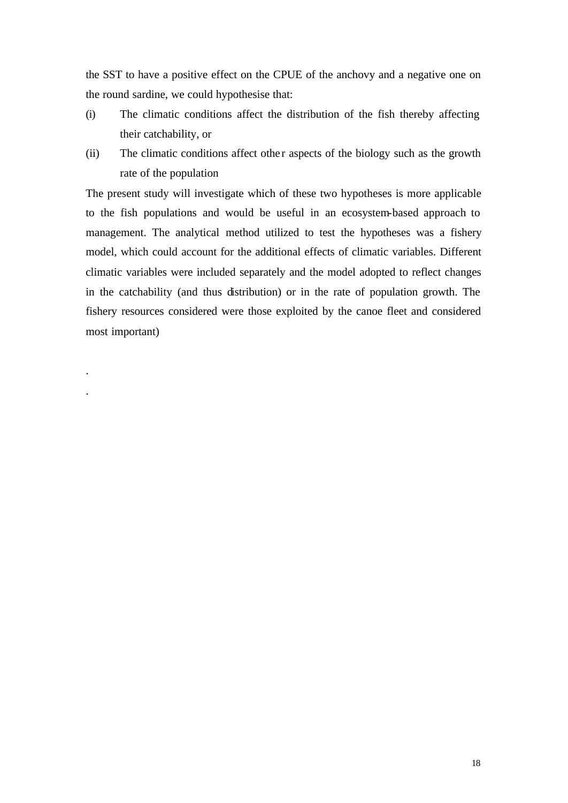the SST to have a positive effect on the CPUE of the anchovy and a negative one on the round sardine, we could hypothesise that:

- (i) The climatic conditions affect the distribution of the fish thereby affecting their catchability, or
- (ii) The climatic conditions affect other aspects of the biology such as the growth rate of the population

The present study will investigate which of these two hypotheses is more applicable to the fish populations and would be useful in an ecosystem-based approach to management. The analytical method utilized to test the hypotheses was a fishery model, which could account for the additional effects of climatic variables. Different climatic variables were included separately and the model adopted to reflect changes in the catchability (and thus distribution) or in the rate of population growth. The fishery resources considered were those exploited by the canoe fleet and considered most important)

.

.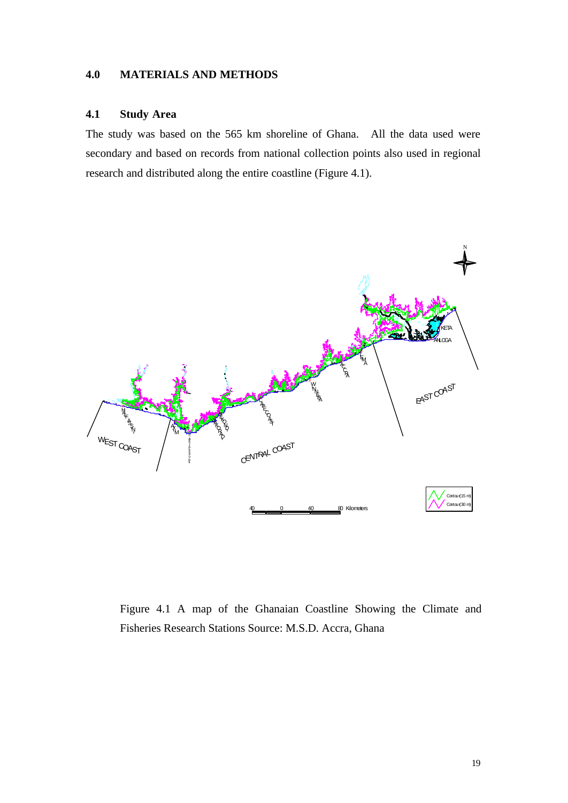# **4.0 MATERIALS AND METHODS**

# **4.1 Study Area**

The study was based on the 565 km shoreline of Ghana. All the data used were secondary and based on records from national collection points also used in regional research and distributed along the entire coastline (Figure 4.1).



Figure 4.1 A map of the Ghanaian Coastline Showing the Climate and Fisheries Research Stations Source: M.S.D. Accra, Ghana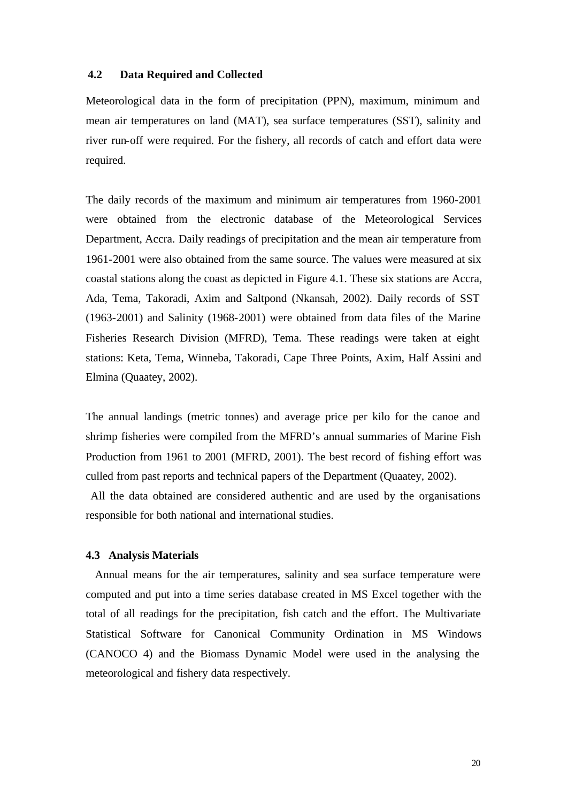### **4.2 Data Required and Collected**

Meteorological data in the form of precipitation (PPN), maximum, minimum and mean air temperatures on land (MAT), sea surface temperatures (SST), salinity and river run-off were required. For the fishery, all records of catch and effort data were required.

The daily records of the maximum and minimum air temperatures from 1960-2001 were obtained from the electronic database of the Meteorological Services Department, Accra. Daily readings of precipitation and the mean air temperature from 1961-2001 were also obtained from the same source. The values were measured at six coastal stations along the coast as depicted in Figure 4.1. These six stations are Accra, Ada, Tema, Takoradi, Axim and Saltpond (Nkansah, 2002). Daily records of SST (1963-2001) and Salinity (1968-2001) were obtained from data files of the Marine Fisheries Research Division (MFRD), Tema. These readings were taken at eight stations: Keta, Tema, Winneba, Takoradi, Cape Three Points, Axim, Half Assini and Elmina (Quaatey, 2002).

The annual landings (metric tonnes) and average price per kilo for the canoe and shrimp fisheries were compiled from the MFRD's annual summaries of Marine Fish Production from 1961 to 2001 (MFRD, 2001). The best record of fishing effort was culled from past reports and technical papers of the Department (Quaatey, 2002).

 All the data obtained are considered authentic and are used by the organisations responsible for both national and international studies.

#### **4.3 Analysis Materials**

 Annual means for the air temperatures, salinity and sea surface temperature were computed and put into a time series database created in MS Excel together with the total of all readings for the precipitation, fish catch and the effort. The Multivariate Statistical Software for Canonical Community Ordination in MS Windows (CANOCO 4) and the Biomass Dynamic Model were used in the analysing the meteorological and fishery data respectively.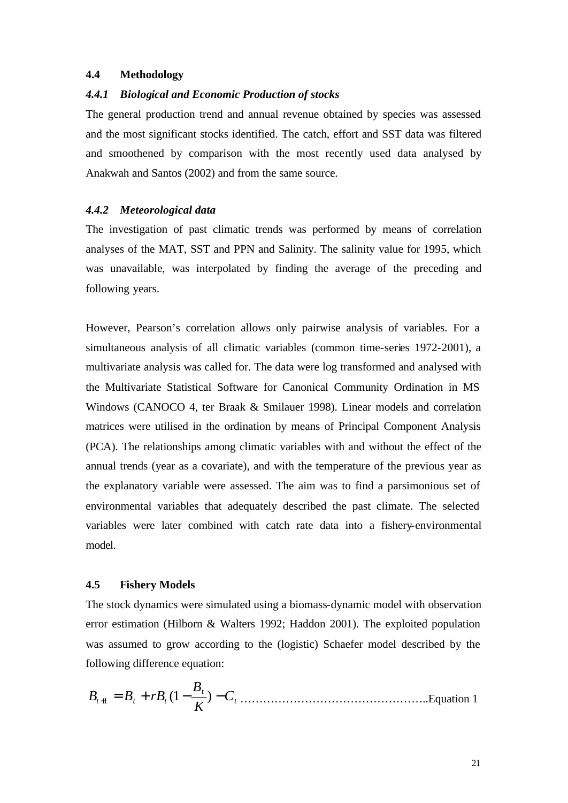#### **4.4 Methodology**

#### *4.4.1 Biological and Economic Production of stocks*

The general production trend and annual revenue obtained by species was assessed and the most significant stocks identified. The catch, effort and SST data was filtered and smoothened by comparison with the most recently used data analysed by Anakwah and Santos (2002) and from the same source.

#### *4.4.2 Meteorological data*

The investigation of past climatic trends was performed by means of correlation analyses of the MAT, SST and PPN and Salinity. The salinity value for 1995, which was unavailable, was interpolated by finding the average of the preceding and following years.

However, Pearson's correlation allows only pairwise analysis of variables. For a simultaneous analysis of all climatic variables (common time-series 1972-2001), a multivariate analysis was called for. The data were log transformed and analysed with the Multivariate Statistical Software for Canonical Community Ordination in MS Windows (CANOCO 4, ter Braak & Smilauer 1998). Linear models and correlation matrices were utilised in the ordination by means of Principal Component Analysis (PCA). The relationships among climatic variables with and without the effect of the annual trends (year as a covariate), and with the temperature of the previous year as the explanatory variable were assessed. The aim was to find a parsimonious set of environmental variables that adequately described the past climate. The selected variables were later combined with catch rate data into a fishery-environmental model.

# **4.5 Fishery Models**

The stock dynamics were simulated using a biomass-dynamic model with observation error estimation (Hilborn & Walters 1992; Haddon 2001). The exploited population was assumed to grow according to the (logistic) Schaefer model described by the following difference equation:

*t t <sup>t</sup> <sup>t</sup> <sup>t</sup> C K B B* <sup>+</sup><sup>1</sup> = *B* + *rB* (1− ) − …………………………………………..Equation 1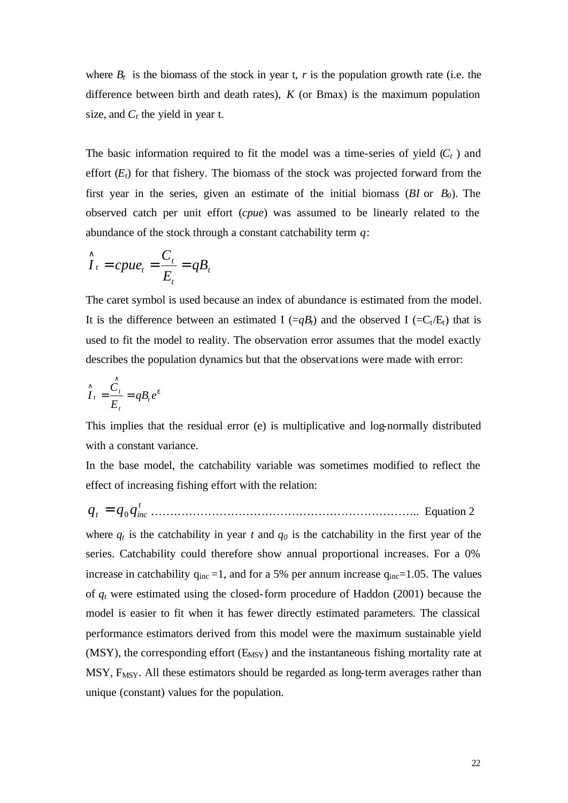where  $B_t$  is the biomass of the stock in year t,  $r$  is the population growth rate (i.e. the difference between birth and death rates), *K* (or Bmax) is the maximum population size, and  $C_t$  the yield in year t.

The basic information required to fit the model was a time-series of yield  $(C_t)$  and effort  $(E_t)$  for that fishery. The biomass of the stock was projected forward from the first year in the series, given an estimate of the initial biomass  $(BI \text{ or } B_0)$ . The observed catch per unit effort (*cpue*) was assumed to be linearly related to the abundance of the stock through a constant catchability term *q*:

$$
\hat{I}_t = c p u e_t = \frac{C_t}{E_t} = q B_t
$$

The caret symbol is used because an index of abundance is estimated from the model. It is the difference between an estimated I  $(=qB_t)$  and the observed I  $(=C_t/E_t)$  that is used to fit the model to reality. The observation error assumes that the model exactly describes the population dynamics but that the observations were made with error:

$$
\hat{I}_t = \frac{\hat{C}_t}{E_t} = qB_t e^e
$$

This implies that the residual error (e) is multiplicative and log-normally distributed with a constant variance.

In the base model, the catchability variable was sometimes modified to reflect the effect of increasing fishing effort with the relation:

*t q<sup>t</sup>* = *q*<sup>0</sup> *qinc* …………………………………………………………….. Equation 2

where  $q_t$  is the catchability in year  $t$  and  $q_0$  is the catchability in the first year of the series. Catchability could therefore show annual proportional increases. For a 0% increase in catchability  $q_{inc} = 1$ , and for a 5% per annum increase  $q_{inc} = 1.05$ . The values of *qt* were estimated using the closed-form procedure of Haddon (2001) because the model is easier to fit when it has fewer directly estimated parameters. The classical performance estimators derived from this model were the maximum sustainable yield  $(MSY)$ , the corresponding effort  $(E_{MSY})$  and the instantaneous fishing mortality rate at  $MSY$ ,  $F_{MSY}$ . All these estimators should be regarded as long-term averages rather than unique (constant) values for the population.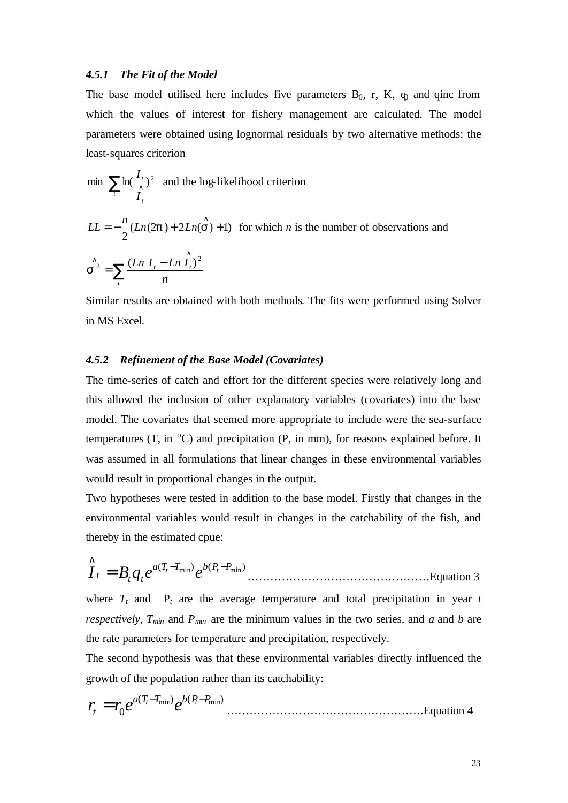#### *4.5.1 The Fit of the Model*

The base model utilised here includes five parameters  $B_0$ , r, K,  $q_0$  and qinc from which the values of interest for fishery management are calculated. The model parameters were obtained using lognormal residuals by two alternative methods: the least-squares criterion

min 
$$
\sum_{t} \ln(\frac{I_t}{I_t})^2
$$
 and the log-likelihood criterion

$$
LL = -\frac{n}{2}(Ln(2\mathbf{p}) + 2Ln(\mathbf{S}) + 1)
$$
 for which *n* is the number of observations and

$$
\hat{\boldsymbol{S}^2} = \sum_{t} \frac{(Ln \, I_t - Ln \, \hat{I}_t)^2}{n}
$$

Similar results are obtained with both methods. The fits were performed using Solver in MS Excel.

#### *4.5.2 Refinement of the Base Model (Covariates)*

The time-series of catch and effort for the different species were relatively long and this allowed the inclusion of other explanatory variables (covariates) into the base model. The covariates that seemed more appropriate to include were the sea-surface temperatures (T, in  $^{\circ}$ C) and precipitation (P, in mm), for reasons explained before. It was assumed in all formulations that linear changes in these environmental variables would result in proportional changes in the output.

Two hypotheses were tested in addition to the base model. Firstly that changes in the environmental variables would result in changes in the catchability of the fish, and thereby in the estimated cpue:

$$
\hat{I}_t = B_t q_t e^{a(T_t - T_{\min})} e^{b(P_t - P_{\min})}
$$
................. Equation 3

where  $T_t$  and  $P_t$  are the average temperature and total precipitation in year  $t$ *respectively*,  $T_{min}$  and  $P_{min}$  are the minimum values in the two series, and *a* and *b* are the rate parameters for temperature and precipitation, respectively.

The second hypothesis was that these environmental variables directly influenced the growth of the population rather than its catchability:

( ) ( ) 0 *a T T*min *b P P*min *t t t r r e e* − − = …………………………………………….Equation 4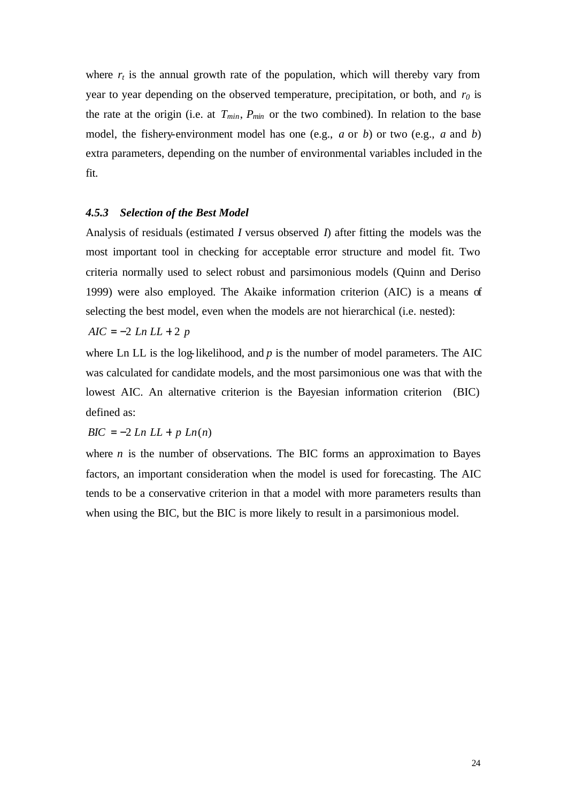where  $r_t$  is the annual growth rate of the population, which will thereby vary from year to year depending on the observed temperature, precipitation, or both, and *r0* is the rate at the origin (i.e. at  $T_{min}$ ,  $P_{min}$  or the two combined). In relation to the base model, the fishery-environment model has one (e.g., *a* or *b*) or two (e.g., *a* and *b*) extra parameters, depending on the number of environmental variables included in the fit.

#### *4.5.3 Selection of the Best Model*

Analysis of residuals (estimated *I* versus observed *I*) after fitting the models was the most important tool in checking for acceptable error structure and model fit. Two criteria normally used to select robust and parsimonious models (Quinn and Deriso 1999) were also employed. The Akaike information criterion (AIC) is a means of selecting the best model, even when the models are not hierarchical (i.e. nested):

*AIC* = −2 *Ln LL* + 2 *p*

where Ln LL is the log-likelihood, and  $p$  is the number of model parameters. The AIC was calculated for candidate models, and the most parsimonious one was that with the lowest AIC. An alternative criterion is the Bayesian information criterion (BIC) defined as:

*BIC* =  $-2$  *Ln LL* + *p Ln*(*n*)

where  $n$  is the number of observations. The BIC forms an approximation to Bayes factors, an important consideration when the model is used for forecasting. The AIC tends to be a conservative criterion in that a model with more parameters results than when using the BIC, but the BIC is more likely to result in a parsimonious model.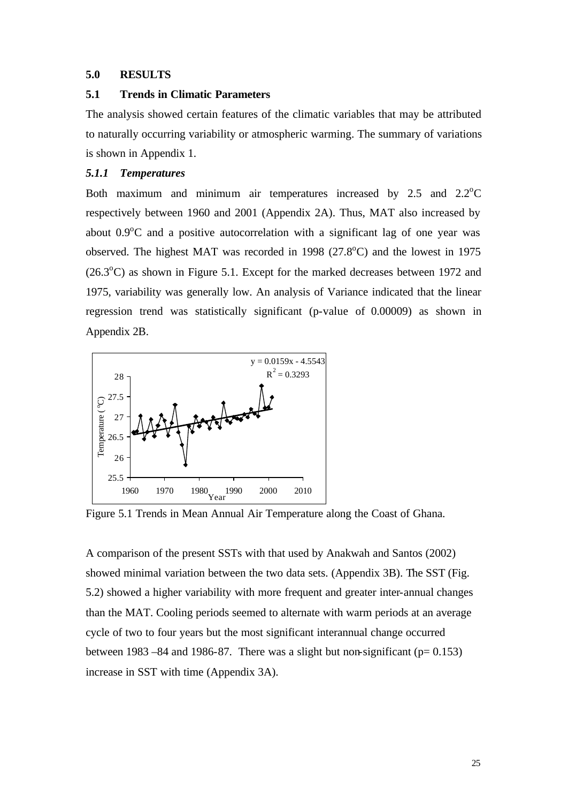#### **5.0 RESULTS**

### **5.1 Trends in Climatic Parameters**

The analysis showed certain features of the climatic variables that may be attributed to naturally occurring variability or atmospheric warming. The summary of variations is shown in Appendix 1.

# *5.1.1 Temperatures*

Both maximum and minimum air temperatures increased by  $2.5$  and  $2.2^{\circ}$ C respectively between 1960 and 2001 (Appendix 2A). Thus, MAT also increased by about  $0.9^{\circ}$ C and a positive autocorrelation with a significant lag of one year was observed. The highest MAT was recorded in 1998 ( $27.8^{\circ}$ C) and the lowest in 1975  $(26.3<sup>o</sup>C)$  as shown in Figure 5.1. Except for the marked decreases between 1972 and 1975, variability was generally low. An analysis of Variance indicated that the linear regression trend was statistically significant (p-value of 0.00009) as shown in Appendix 2B.



Figure 5.1 Trends in Mean Annual Air Temperature along the Coast of Ghana.

A comparison of the present SSTs with that used by Anakwah and Santos (2002) showed minimal variation between the two data sets. (Appendix 3B). The SST (Fig. 5.2) showed a higher variability with more frequent and greater inter-annual changes than the MAT. Cooling periods seemed to alternate with warm periods at an average cycle of two to four years but the most significant interannual change occurred between 1983 –84 and 1986-87. There was a slight but non-significant ( $p= 0.153$ ) increase in SST with time (Appendix 3A).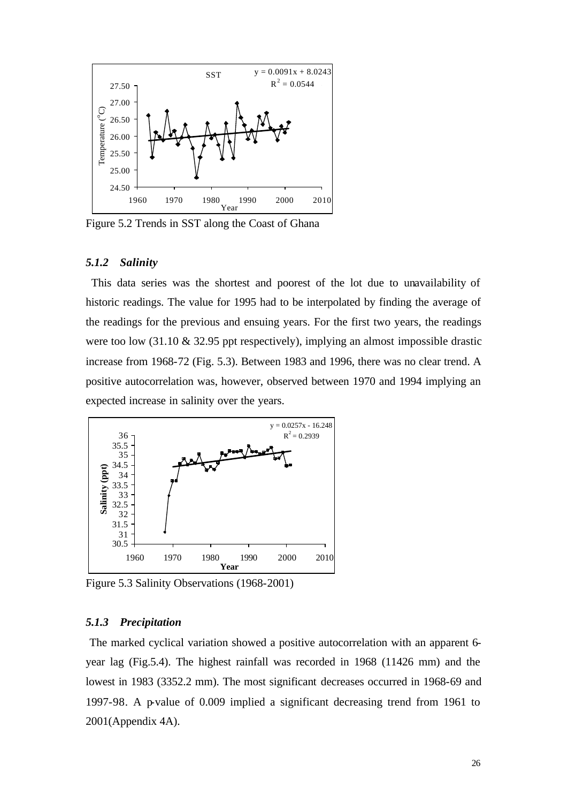

Figure 5.2 Trends in SST along the Coast of Ghana

#### *5.1.2 Salinity*

 This data series was the shortest and poorest of the lot due to unavailability of historic readings. The value for 1995 had to be interpolated by finding the average of the readings for the previous and ensuing years. For the first two years, the readings were too low (31.10 & 32.95 ppt respectively), implying an almost impossible drastic increase from 1968-72 (Fig. 5.3). Between 1983 and 1996, there was no clear trend. A positive autocorrelation was, however, observed between 1970 and 1994 implying an expected increase in salinity over the years.



Figure 5.3 Salinity Observations (1968-2001)

#### *5.1.3 Precipitation*

 The marked cyclical variation showed a positive autocorrelation with an apparent 6 year lag (Fig.5.4). The highest rainfall was recorded in 1968 (11426 mm) and the lowest in 1983 (3352.2 mm). The most significant decreases occurred in 1968-69 and 1997-98. A p-value of 0.009 implied a significant decreasing trend from 1961 to 2001(Appendix 4A).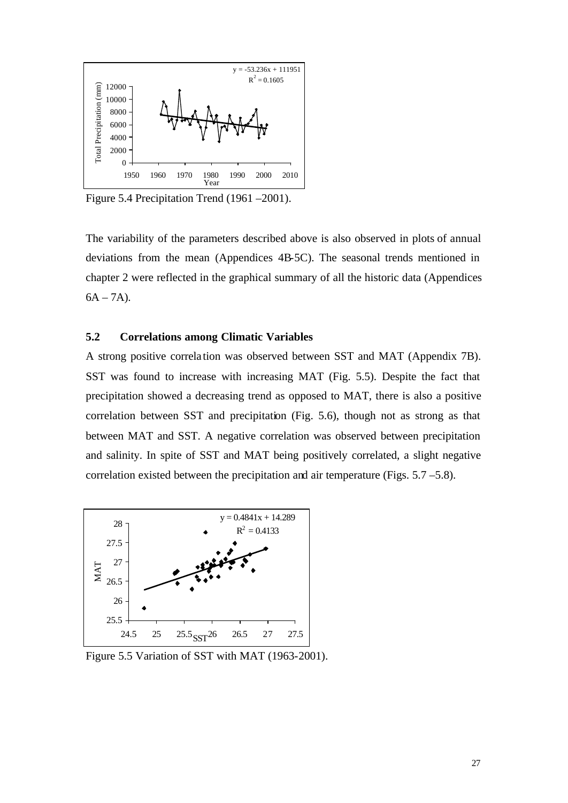

Figure 5.4 Precipitation Trend (1961 –2001).

The variability of the parameters described above is also observed in plots of annual deviations from the mean (Appendices 4B-5C). The seasonal trends mentioned in chapter 2 were reflected in the graphical summary of all the historic data (Appendices  $6A - 7A$ ).

# **5.2 Correlations among Climatic Variables**

A strong positive correla tion was observed between SST and MAT (Appendix 7B). SST was found to increase with increasing MAT (Fig. 5.5). Despite the fact that precipitation showed a decreasing trend as opposed to MAT, there is also a positive correlation between SST and precipitation (Fig. 5.6), though not as strong as that between MAT and SST. A negative correlation was observed between precipitation and salinity. In spite of SST and MAT being positively correlated, a slight negative correlation existed between the precipitation and air temperature (Figs. 5.7 –5.8).



Figure 5.5 Variation of SST with MAT (1963-2001).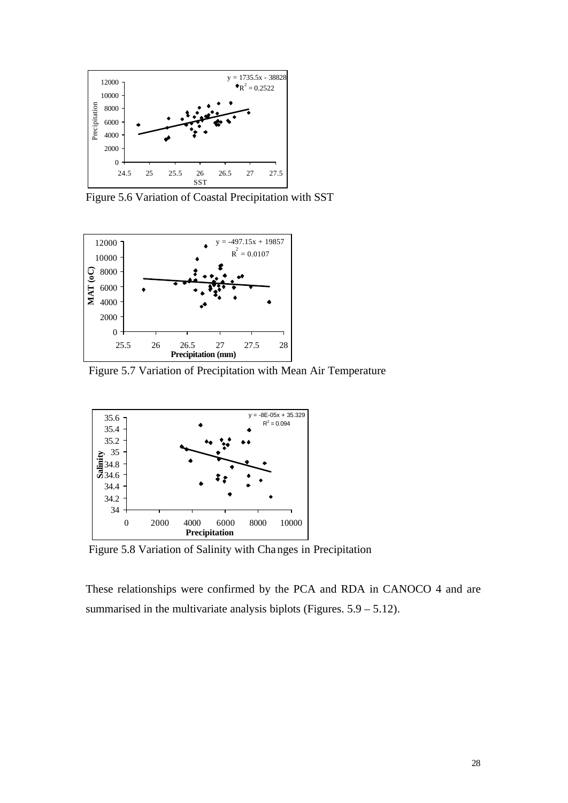

Figure 5.6 Variation of Coastal Precipitation with SST



Figure 5.7 Variation of Precipitation with Mean Air Temperature



Figure 5.8 Variation of Salinity with Changes in Precipitation

These relationships were confirmed by the PCA and RDA in CANOCO 4 and are summarised in the multivariate analysis biplots (Figures.  $5.9 - 5.12$ ).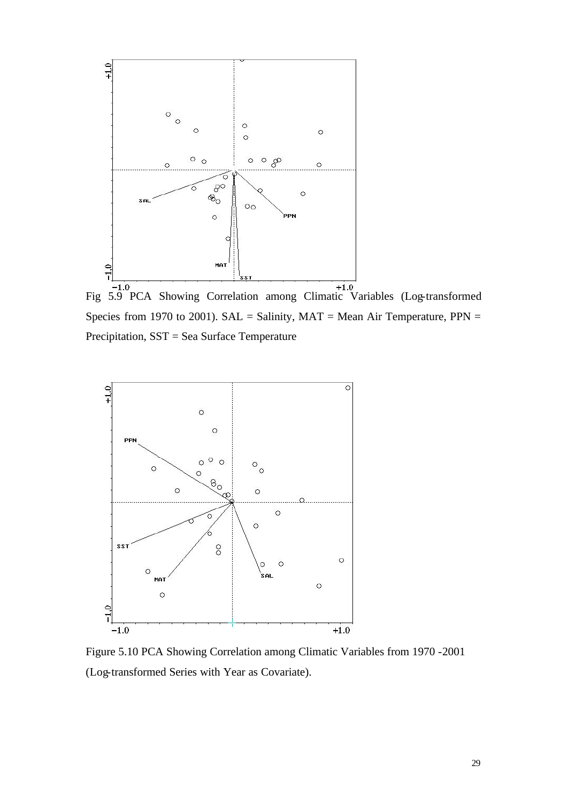

Fig 5.9 PCA Showing Correlation among Climatic Variables (Log-transformed Species from 1970 to 2001). SAL = Salinity,  $MAT = Mean Air Temperature, PPN =$ Precipitation, SST = Sea Surface Temperature



Figure 5.10 PCA Showing Correlation among Climatic Variables from 1970 -2001 (Log-transformed Series with Year as Covariate).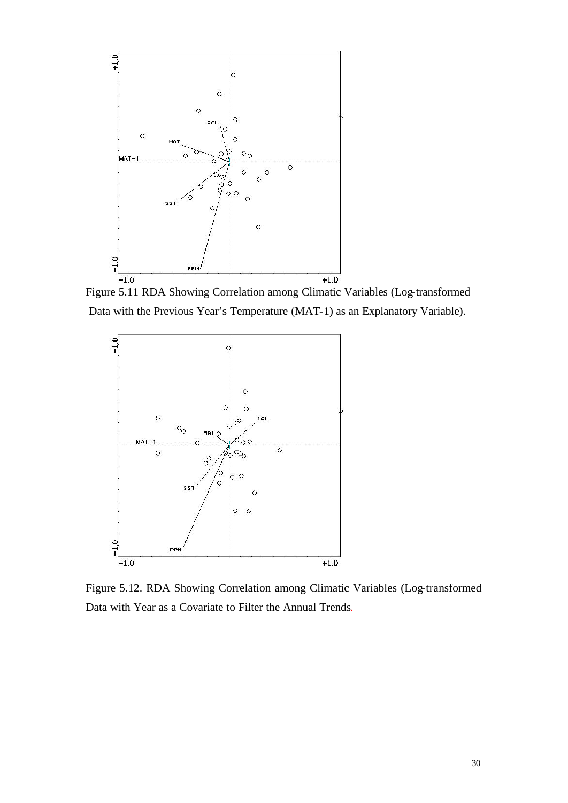

Figure 5.11 RDA Showing Correlation among Climatic Variables (Log-transformed Data with the Previous Year's Temperature (MAT-1) as an Explanatory Variable).



Figure 5.12. RDA Showing Correlation among Climatic Variables (Log-transformed Data with Year as a Covariate to Filter the Annual Trends.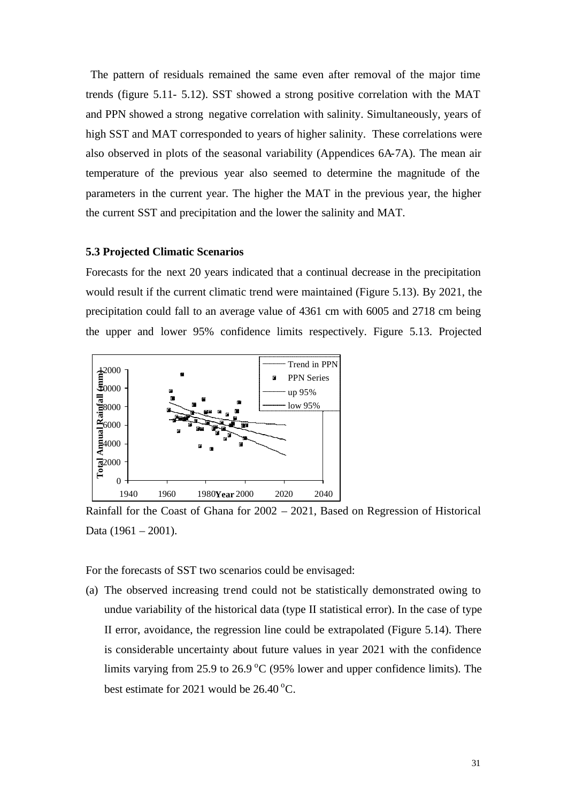The pattern of residuals remained the same even after removal of the major time trends (figure 5.11- 5.12). SST showed a strong positive correlation with the MAT and PPN showed a strong negative correlation with salinity. Simultaneously, years of high SST and MAT corresponded to years of higher salinity. These correlations were also observed in plots of the seasonal variability (Appendices 6A-7A). The mean air temperature of the previous year also seemed to determine the magnitude of the parameters in the current year. The higher the MAT in the previous year, the higher the current SST and precipitation and the lower the salinity and MAT.

#### **5.3 Projected Climatic Scenarios**

Forecasts for the next 20 years indicated that a continual decrease in the precipitation would result if the current climatic trend were maintained (Figure 5.13). By 2021, the precipitation could fall to an average value of 4361 cm with 6005 and 2718 cm being the upper and lower 95% confidence limits respectively. Figure 5.13. Projected



Rainfall for the Coast of Ghana for 2002 – 2021, Based on Regression of Historical Data (1961 – 2001).

For the forecasts of SST two scenarios could be envisaged:

(a) The observed increasing trend could not be statistically demonstrated owing to undue variability of the historical data (type II statistical error). In the case of type II error, avoidance, the regression line could be extrapolated (Figure 5.14). There is considerable uncertainty about future values in year 2021 with the confidence limits varying from 25.9 to 26.9  $\rm{^{\circ}C}$  (95% lower and upper confidence limits). The best estimate for 2021 would be  $26.40^{\circ}$ C.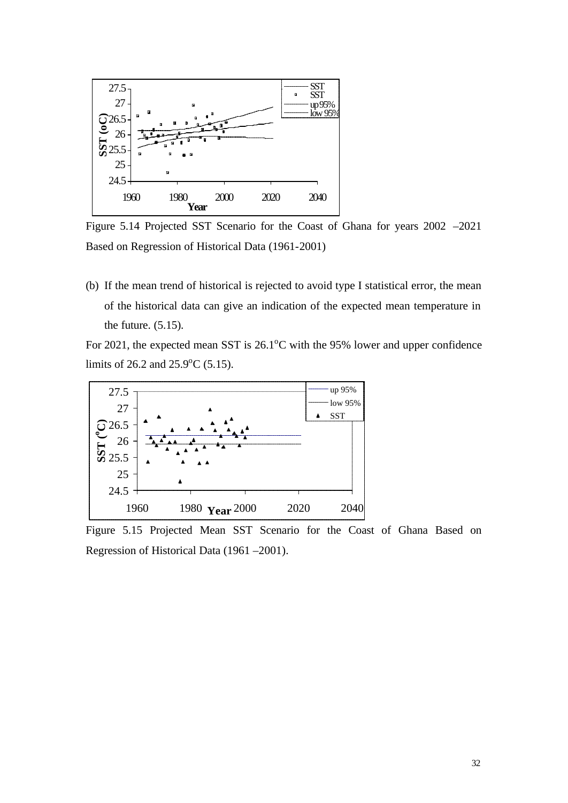

Figure 5.14 Projected SST Scenario for the Coast of Ghana for years 2002 –2021 Based on Regression of Historical Data (1961-2001)

(b) If the mean trend of historical is rejected to avoid type I statistical error, the mean of the historical data can give an indication of the expected mean temperature in the future.  $(5.15)$ .

For 2021, the expected mean SST is  $26.1^{\circ}$ C with the 95% lower and upper confidence limits of 26.2 and  $25.9^{\circ}$ C (5.15).



Figure 5.15 Projected Mean SST Scenario for the Coast of Ghana Based on Regression of Historical Data (1961 –2001).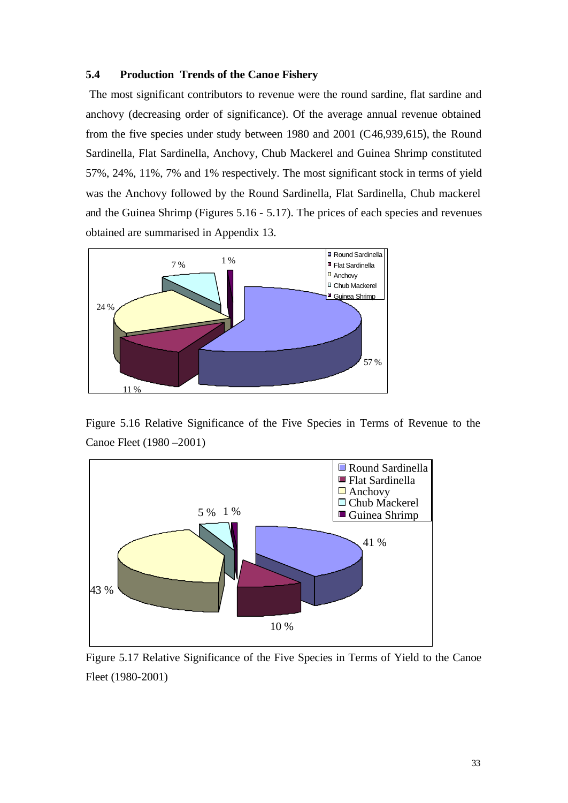# **5.4 Production Trends of the Canoe Fishery**

 The most significant contributors to revenue were the round sardine, flat sardine and anchovy (decreasing order of significance). Of the average annual revenue obtained from the five species under study between 1980 and 2001 (C46,939,615), the Round Sardinella, Flat Sardinella, Anchovy, Chub Mackerel and Guinea Shrimp constituted 57%, 24%, 11%, 7% and 1% respectively. The most significant stock in terms of yield was the Anchovy followed by the Round Sardinella, Flat Sardinella, Chub mackerel and the Guinea Shrimp (Figures 5.16 - 5.17). The prices of each species and revenues obtained are summarised in Appendix 13.



Figure 5.16 Relative Significance of the Five Species in Terms of Revenue to the Canoe Fleet (1980 –2001)



Figure 5.17 Relative Significance of the Five Species in Terms of Yield to the Canoe Fleet (1980-2001)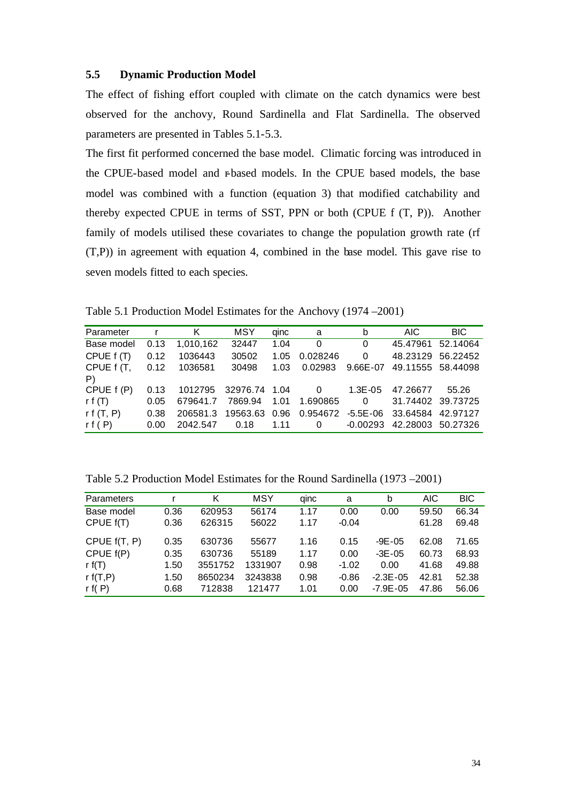### **5.5 Dynamic Production Model**

The effect of fishing effort coupled with climate on the catch dynamics were best observed for the anchovy, Round Sardinella and Flat Sardinella. The observed parameters are presented in Tables 5.1-5.3.

The first fit performed concerned the base model. Climatic forcing was introduced in the CPUE-based model and r-based models. In the CPUE based models, the base model was combined with a function (equation 3) that modified catchability and thereby expected CPUE in terms of SST, PPN or both (CPUE f (T, P)). Another family of models utilised these covariates to change the population growth rate (rf (T,P)) in agreement with equation 4, combined in the base model. This gave rise to seven models fitted to each species.

Table 5.1 Production Model Estimates for the Anchovy (1974 –2001)

| Parameter         | $\mathsf{r}$ | Κ         | MSY             | qinc | a                       | b            | <b>AIC</b>        | BIC.              |
|-------------------|--------------|-----------|-----------------|------|-------------------------|--------------|-------------------|-------------------|
| Base model        | 0.13         | 1.010.162 | 32447           | 1.04 | 0                       | $\Omega$     | 45.47961          | 52.14064          |
| CPUE f (T)        | 0.12         | 1036443   | 30502           | 1.05 | 0.028246                | $\Omega$     |                   | 48.23129 56.22452 |
| CPUE f (T,        | 0.12         | 1036581   | 30498           | 1.03 | 0.02983                 | $9.66E - 07$ |                   | 49.11555 58.44098 |
| $\vert P \rangle$ |              |           |                 |      |                         |              |                   |                   |
| CPUE f (P)        | 0.13         | 1012795   | 32976.74 1.04 0 |      |                         | 1.3E-05      | 47.26677          | 55.26             |
| r f $(T)$         | 0.05         | 679641.7  | 7869.94         | 1.01 | 1.690865                | 0            | 31.74402 39.73725 |                   |
| rf(T, P)          | 0.38         | 206581.3  | 19563.63        | 0.96 | 0.954672                | $-5.5E - 06$ | 33.64584 42.97127 |                   |
| rf(P)             | 0.00         | 2042.547  | 0.18            | 1.11 | $\overline{\mathbf{0}}$ | $-0.00293$   |                   | 42.28003 50.27326 |

Table 5.2 Production Model Estimates for the Round Sardinella (1973 –2001)

| Parameters     |      | K       | MSY     | ainc | a       | b             | <b>AIC</b> | <b>BIC</b> |
|----------------|------|---------|---------|------|---------|---------------|------------|------------|
| Base model     | 0.36 | 620953  | 56174   | 1.17 | 0.00    | 0.00          | 59.50      | 66.34      |
| CPUE $f(T)$    | 0.36 | 626315  | 56022   | 1.17 | $-0.04$ |               | 61.28      | 69.48      |
| CPUE $f(T, P)$ | 0.35 | 630736  | 55677   | 1.16 | 0.15    | $-9E-05$      | 62.08      | 71.65      |
| CPUE f(P)      | 0.35 | 630736  | 55189   | 1.17 | 0.00    | $-3E-05$      | 60.73      | 68.93      |
| r $f(T)$       | 1.50 | 3551752 | 1331907 | 0.98 | $-1.02$ | 0.00          | 41.68      | 49.88      |
| r $f(T,P)$     | 1.50 | 8650234 | 3243838 | 0.98 | $-0.86$ | $-2.3E - 0.5$ | 42.81      | 52.38      |
| r $f(P)$       | 0.68 | 712838  | 121477  | 1.01 | 0.00    | $-7.9E - 05$  | 47.86      | 56.06      |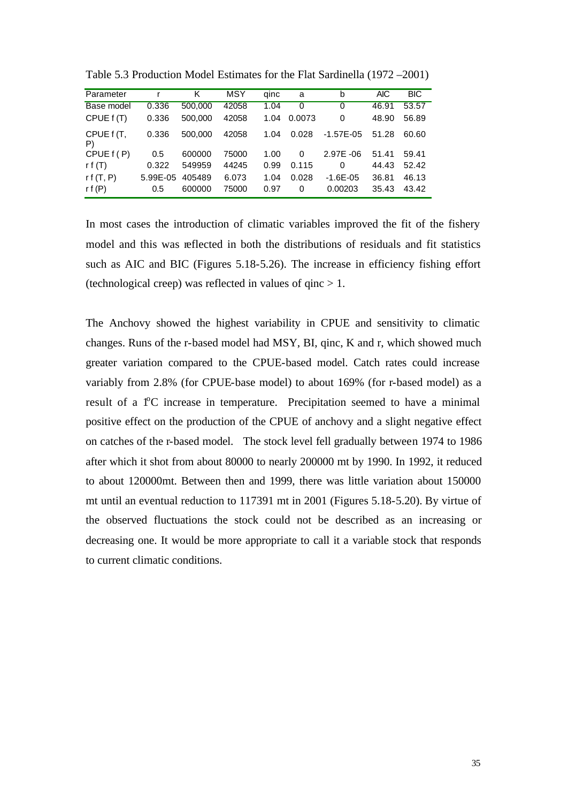| Parameter        | r        | Κ       | MSY   | qinc | a      | b             | <b>AIC</b> | <b>BIC</b> |
|------------------|----------|---------|-------|------|--------|---------------|------------|------------|
| Base model       | 0.336    | 500,000 | 42058 | 1.04 | 0      | 0             | 46.91      | 53.57      |
| CPUE f (T)       | 0.336    | 500,000 | 42058 | 1.04 | 0.0073 | 0             | 48.90      | 56.89      |
| CPUE f (T,<br>P) | 0.336    | 500,000 | 42058 | 1.04 | 0.028  | $-1.57E - 05$ | 51.28      | 60.60      |
| CPUE $f(P)$      | 0.5      | 600000  | 75000 | 1.00 | 0      | $2.97E -06$   | 51.41      | 59.41      |
| r f $(T)$        | 0.322    | 549959  | 44245 | 0.99 | 0.115  | 0             | 44.43      | 52.42      |
| rf(T, P)         | 5.99E-05 | 405489  | 6.073 | 1.04 | 0.028  | $-1.6E - 0.5$ | 36.81      | 46.13      |
| rf $(P)$         | 0.5      | 600000  | 75000 | 0.97 | 0      | 0.00203       | 35.43      | 43.42      |

Table 5.3 Production Model Estimates for the Flat Sardinella (1972 –2001)

In most cases the introduction of climatic variables improved the fit of the fishery model and this was reflected in both the distributions of residuals and fit statistics such as AIC and BIC (Figures 5.18-5.26). The increase in efficiency fishing effort (technological creep) was reflected in values of  $qinc > 1$ .

The Anchovy showed the highest variability in CPUE and sensitivity to climatic changes. Runs of the r-based model had MSY, BI, qinc, K and r, which showed much greater variation compared to the CPUE-based model. Catch rates could increase variably from 2.8% (for CPUE-base model) to about 169% (for r-based model) as a result of a <sup>1</sup>°C increase in temperature. Precipitation seemed to have a minimal positive effect on the production of the CPUE of anchovy and a slight negative effect on catches of the r-based model. The stock level fell gradually between 1974 to 1986 after which it shot from about 80000 to nearly 200000 mt by 1990. In 1992, it reduced to about 120000mt. Between then and 1999, there was little variation about 150000 mt until an eventual reduction to 117391 mt in 2001 (Figures 5.18-5.20). By virtue of the observed fluctuations the stock could not be described as an increasing or decreasing one. It would be more appropriate to call it a variable stock that responds to current climatic conditions.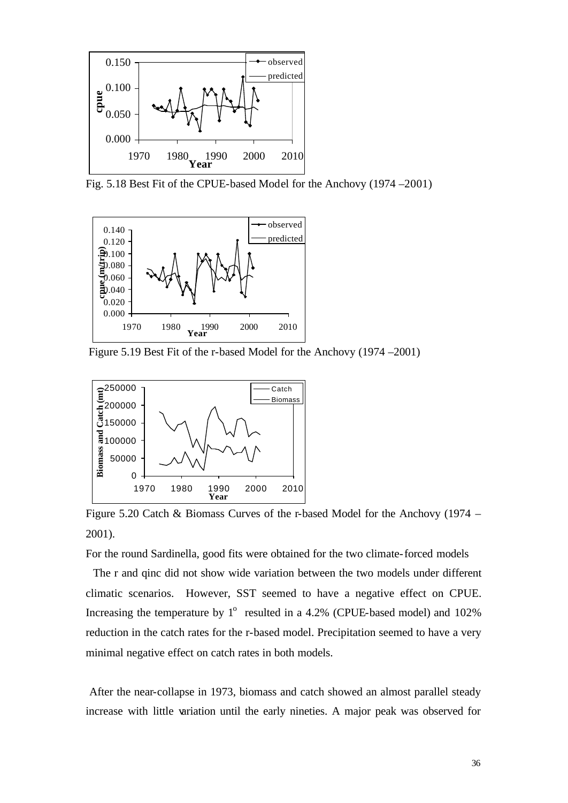

Fig. 5.18 Best Fit of the CPUE-based Model for the Anchovy (1974 –2001)



Figure 5.19 Best Fit of the r-based Model for the Anchovy (1974 –2001)



Figure 5.20 Catch & Biomass Curves of the r-based Model for the Anchovy (1974 – 2001).

For the round Sardinella, good fits were obtained for the two climate-forced models

 The r and qinc did not show wide variation between the two models under different climatic scenarios. However, SST seemed to have a negative effect on CPUE. Increasing the temperature by  $1^{\circ}$  resulted in a 4.2% (CPUE-based model) and 102% reduction in the catch rates for the r-based model. Precipitation seemed to have a very minimal negative effect on catch rates in both models.

 After the near-collapse in 1973, biomass and catch showed an almost parallel steady increase with little variation until the early nineties. A major peak was observed for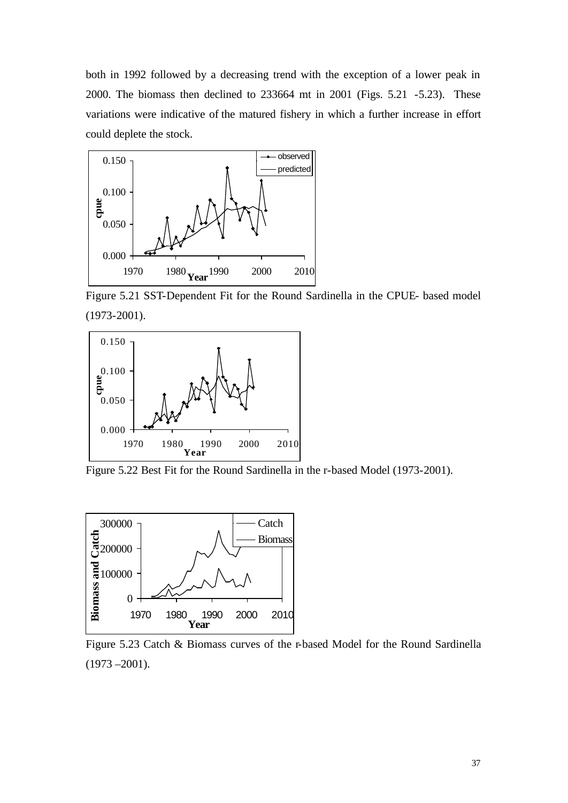both in 1992 followed by a decreasing trend with the exception of a lower peak in 2000. The biomass then declined to 233664 mt in 2001 (Figs. 5.21 -5.23). These variations were indicative of the matured fishery in which a further increase in effort could deplete the stock.



Figure 5.21 SST-Dependent Fit for the Round Sardinella in the CPUE- based model (1973-2001).



Figure 5.22 Best Fit for the Round Sardinella in the r-based Model (1973-2001).



Figure 5.23 Catch & Biomass curves of the r-based Model for the Round Sardinella  $(1973 - 2001)$ .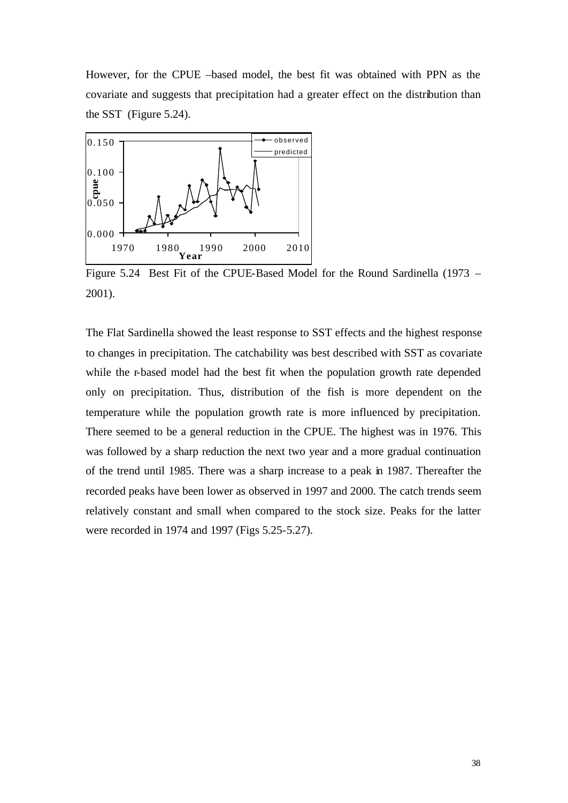However, for the CPUE –based model, the best fit was obtained with PPN as the covariate and suggests that precipitation had a greater effect on the distribution than the SST (Figure 5.24).



Figure 5.24 Best Fit of the CPUE-Based Model for the Round Sardinella (1973 – 2001).

The Flat Sardinella showed the least response to SST effects and the highest response to changes in precipitation. The catchability was best described with SST as covariate while the r-based model had the best fit when the population growth rate depended only on precipitation. Thus, distribution of the fish is more dependent on the temperature while the population growth rate is more influenced by precipitation. There seemed to be a general reduction in the CPUE. The highest was in 1976. This was followed by a sharp reduction the next two year and a more gradual continuation of the trend until 1985. There was a sharp increase to a peak in 1987. Thereafter the recorded peaks have been lower as observed in 1997 and 2000. The catch trends seem relatively constant and small when compared to the stock size. Peaks for the latter were recorded in 1974 and 1997 (Figs 5.25-5.27).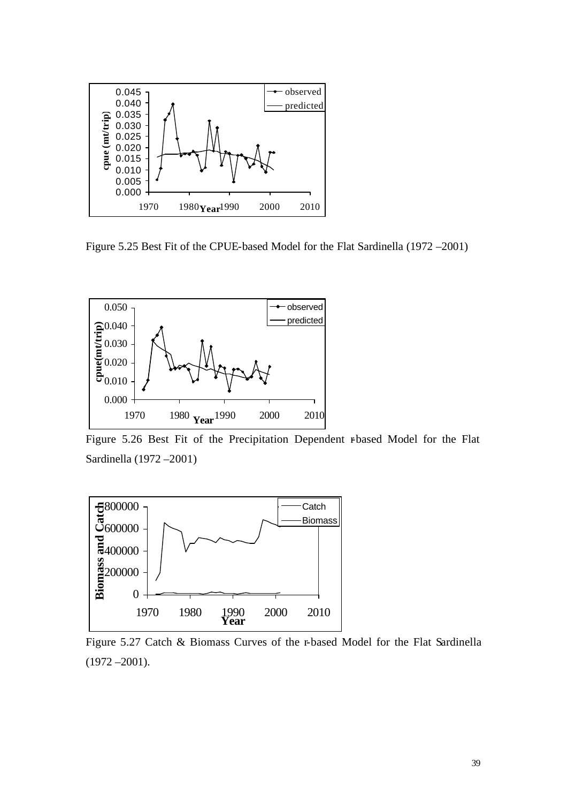

Figure 5.25 Best Fit of the CPUE-based Model for the Flat Sardinella (1972 –2001)



Figure 5.26 Best Fit of the Precipitation Dependent r-based Model for the Flat Sardinella (1972 –2001)



Figure 5.27 Catch & Biomass Curves of the r-based Model for the Flat Sardinella  $(1972 - 2001)$ .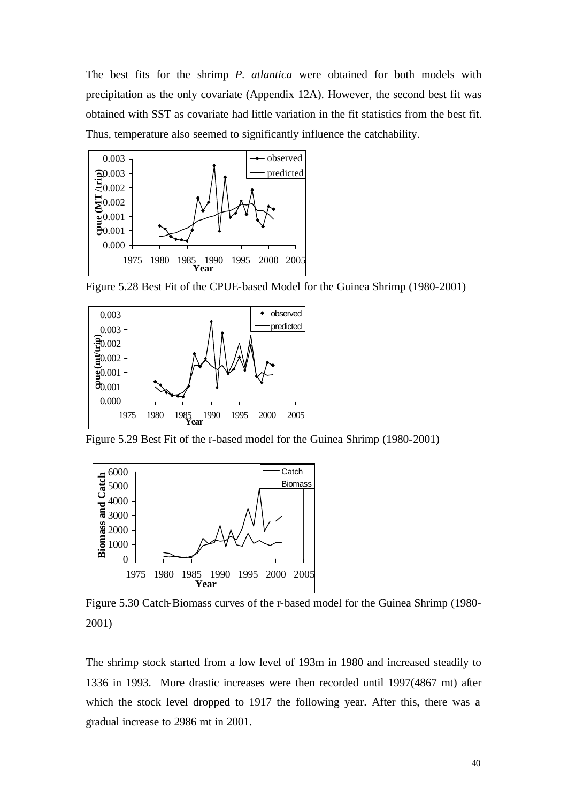The best fits for the shrimp *P. atlantica* were obtained for both models with precipitation as the only covariate (Appendix 12A). However, the second best fit was obtained with SST as covariate had little variation in the fit statistics from the best fit. Thus, temperature also seemed to significantly influence the catchability.



Figure 5.28 Best Fit of the CPUE-based Model for the Guinea Shrimp (1980-2001)



Figure 5.29 Best Fit of the r-based model for the Guinea Shrimp (1980-2001)



Figure 5.30 Catch-Biomass curves of the r-based model for the Guinea Shrimp (1980- 2001)

The shrimp stock started from a low level of 193m in 1980 and increased steadily to 1336 in 1993. More drastic increases were then recorded until 1997(4867 mt) after which the stock level dropped to 1917 the following year. After this, there was a gradual increase to 2986 mt in 2001.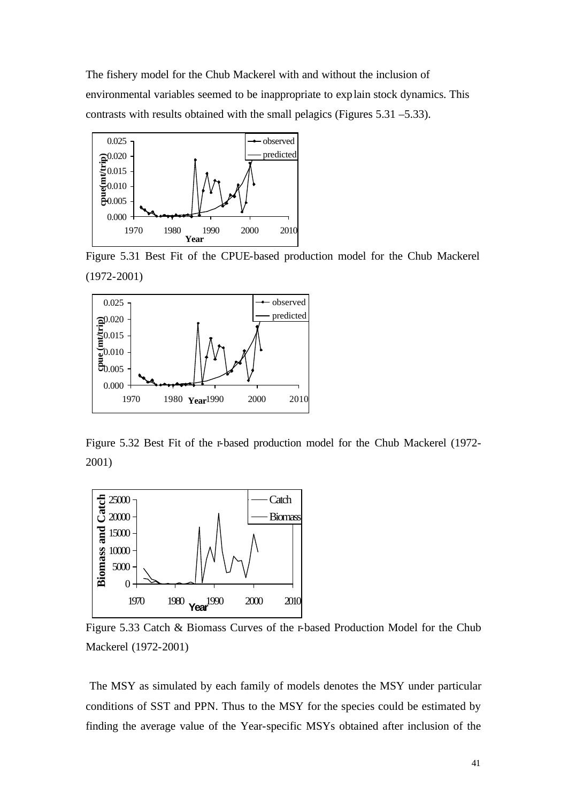The fishery model for the Chub Mackerel with and without the inclusion of environmental variables seemed to be inappropriate to explain stock dynamics. This contrasts with results obtained with the small pelagics (Figures 5.31 –5.33).



Figure 5.31 Best Fit of the CPUE-based production model for the Chub Mackerel (1972-2001)



Figure 5.32 Best Fit of the r-based production model for the Chub Mackerel (1972- 2001)



Figure 5.33 Catch & Biomass Curves of the r-based Production Model for the Chub Mackerel (1972-2001)

 The MSY as simulated by each family of models denotes the MSY under particular conditions of SST and PPN. Thus to the MSY for the species could be estimated by finding the average value of the Year-specific MSYs obtained after inclusion of the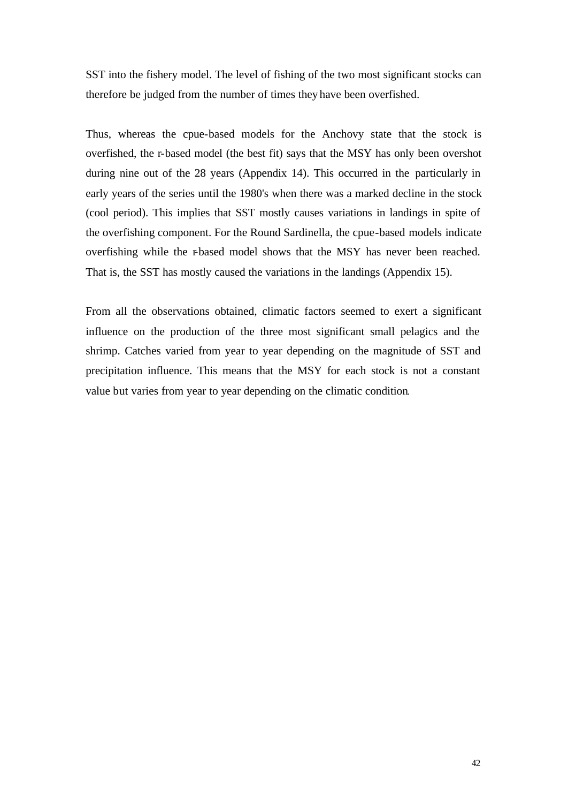SST into the fishery model. The level of fishing of the two most significant stocks can therefore be judged from the number of times they have been overfished.

Thus, whereas the cpue-based models for the Anchovy state that the stock is overfished, the r-based model (the best fit) says that the MSY has only been overshot during nine out of the 28 years (Appendix 14). This occurred in the particularly in early years of the series until the 1980's when there was a marked decline in the stock (cool period). This implies that SST mostly causes variations in landings in spite of the overfishing component. For the Round Sardinella, the cpue-based models indicate overfishing while the r-based model shows that the MSY has never been reached. That is, the SST has mostly caused the variations in the landings (Appendix 15).

From all the observations obtained, climatic factors seemed to exert a significant influence on the production of the three most significant small pelagics and the shrimp. Catches varied from year to year depending on the magnitude of SST and precipitation influence. This means that the MSY for each stock is not a constant value but varies from year to year depending on the climatic condition.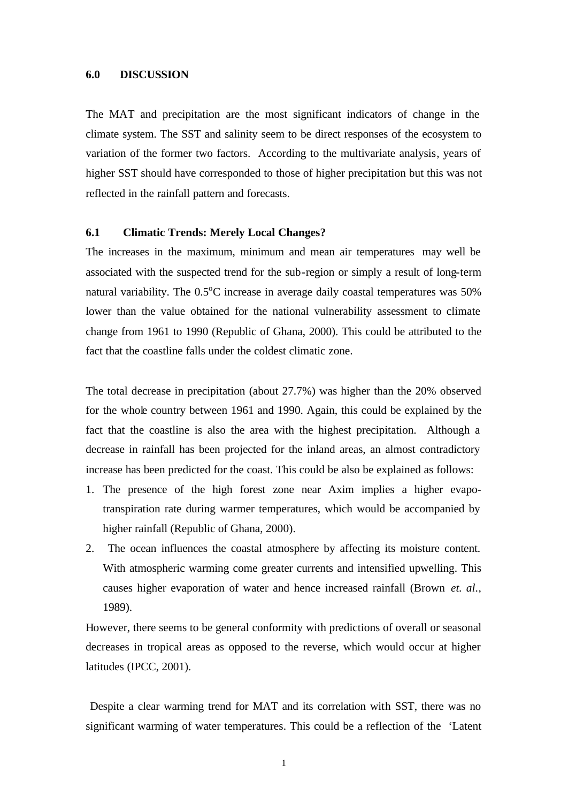#### **6.0 DISCUSSION**

The MAT and precipitation are the most significant indicators of change in the climate system. The SST and salinity seem to be direct responses of the ecosystem to variation of the former two factors. According to the multivariate analysis, years of higher SST should have corresponded to those of higher precipitation but this was not reflected in the rainfall pattern and forecasts.

#### **6.1 Climatic Trends: Merely Local Changes?**

The increases in the maximum, minimum and mean air temperatures may well be associated with the suspected trend for the sub-region or simply a result of long-term natural variability. The  $0.5^{\circ}$ C increase in average daily coastal temperatures was  $50\%$ lower than the value obtained for the national vulnerability assessment to climate change from 1961 to 1990 (Republic of Ghana, 2000). This could be attributed to the fact that the coastline falls under the coldest climatic zone.

The total decrease in precipitation (about 27.7%) was higher than the 20% observed for the whole country between 1961 and 1990. Again, this could be explained by the fact that the coastline is also the area with the highest precipitation. Although a decrease in rainfall has been projected for the inland areas, an almost contradictory increase has been predicted for the coast. This could be also be explained as follows:

- 1. The presence of the high forest zone near Axim implies a higher evapotranspiration rate during warmer temperatures, which would be accompanied by higher rainfall (Republic of Ghana, 2000).
- 2. The ocean influences the coastal atmosphere by affecting its moisture content. With atmospheric warming come greater currents and intensified upwelling. This causes higher evaporation of water and hence increased rainfall (Brown *et. al*., 1989).

However, there seems to be general conformity with predictions of overall or seasonal decreases in tropical areas as opposed to the reverse, which would occur at higher latitudes (IPCC, 2001).

 Despite a clear warming trend for MAT and its correlation with SST, there was no significant warming of water temperatures. This could be a reflection of the 'Latent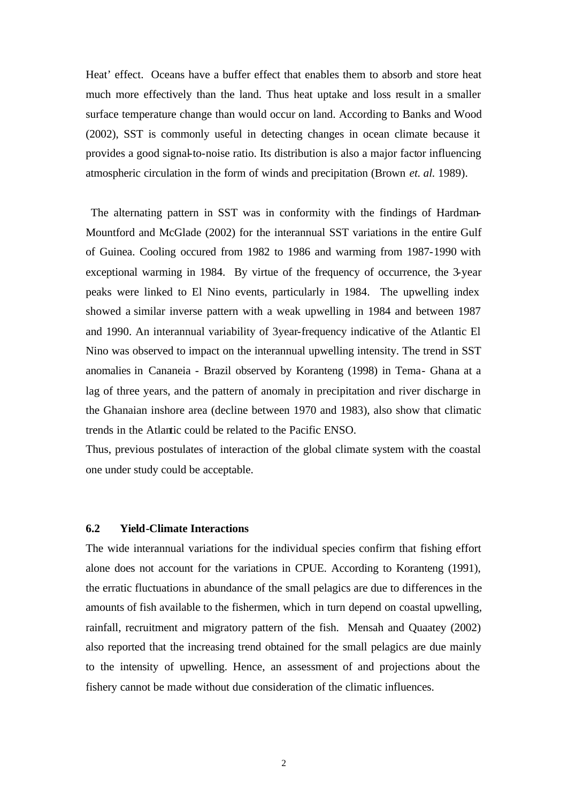Heat' effect. Oceans have a buffer effect that enables them to absorb and store heat much more effectively than the land. Thus heat uptake and loss result in a smaller surface temperature change than would occur on land. According to Banks and Wood (2002), SST is commonly useful in detecting changes in ocean climate because it provides a good signal-to-noise ratio. Its distribution is also a major factor influencing atmospheric circulation in the form of winds and precipitation (Brown *et. al.* 1989).

 The alternating pattern in SST was in conformity with the findings of Hardman-Mountford and McGlade (2002) for the interannual SST variations in the entire Gulf of Guinea. Cooling occured from 1982 to 1986 and warming from 1987-1990 with exceptional warming in 1984. By virtue of the frequency of occurrence, the 3-year peaks were linked to El Nino events, particularly in 1984. The upwelling index showed a similar inverse pattern with a weak upwelling in 1984 and between 1987 and 1990. An interannual variability of 3year-frequency indicative of the Atlantic El Nino was observed to impact on the interannual upwelling intensity. The trend in SST anomalies in Cananeia - Brazil observed by Koranteng (1998) in Tema- Ghana at a lag of three years, and the pattern of anomaly in precipitation and river discharge in the Ghanaian inshore area (decline between 1970 and 1983), also show that climatic trends in the Atlantic could be related to the Pacific ENSO.

Thus, previous postulates of interaction of the global climate system with the coastal one under study could be acceptable.

### **6.2 Yield-Climate Interactions**

The wide interannual variations for the individual species confirm that fishing effort alone does not account for the variations in CPUE. According to Koranteng (1991), the erratic fluctuations in abundance of the small pelagics are due to differences in the amounts of fish available to the fishermen, which in turn depend on coastal upwelling, rainfall, recruitment and migratory pattern of the fish. Mensah and Quaatey (2002) also reported that the increasing trend obtained for the small pelagics are due mainly to the intensity of upwelling. Hence, an assessment of and projections about the fishery cannot be made without due consideration of the climatic influences.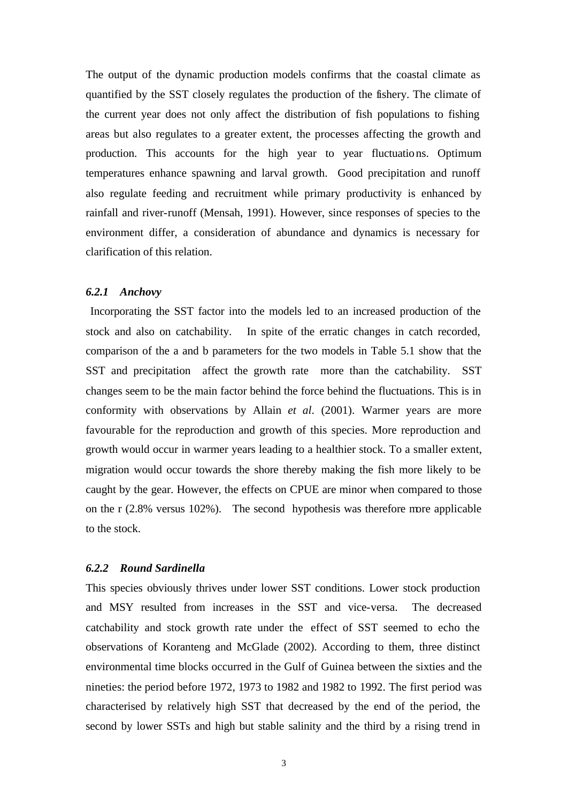The output of the dynamic production models confirms that the coastal climate as quantified by the SST closely regulates the production of the fishery. The climate of the current year does not only affect the distribution of fish populations to fishing areas but also regulates to a greater extent, the processes affecting the growth and production. This accounts for the high year to year fluctuations. Optimum temperatures enhance spawning and larval growth. Good precipitation and runoff also regulate feeding and recruitment while primary productivity is enhanced by rainfall and river-runoff (Mensah, 1991). However, since responses of species to the environment differ, a consideration of abundance and dynamics is necessary for clarification of this relation.

#### *6.2.1 Anchovy*

 Incorporating the SST factor into the models led to an increased production of the stock and also on catchability. In spite of the erratic changes in catch recorded, comparison of the a and b parameters for the two models in Table 5.1 show that the SST and precipitation affect the growth rate more than the catchability. SST changes seem to be the main factor behind the force behind the fluctuations. This is in conformity with observations by Allain *et al*. (2001). Warmer years are more favourable for the reproduction and growth of this species. More reproduction and growth would occur in warmer years leading to a healthier stock. To a smaller extent, migration would occur towards the shore thereby making the fish more likely to be caught by the gear. However, the effects on CPUE are minor when compared to those on the r (2.8% versus 102%). The second hypothesis was therefore more applicable to the stock.

## *6.2.2 Round Sardinella*

This species obviously thrives under lower SST conditions. Lower stock production and MSY resulted from increases in the SST and vice-versa. The decreased catchability and stock growth rate under the effect of SST seemed to echo the observations of Koranteng and McGlade (2002). According to them, three distinct environmental time blocks occurred in the Gulf of Guinea between the sixties and the nineties: the period before 1972, 1973 to 1982 and 1982 to 1992. The first period was characterised by relatively high SST that decreased by the end of the period, the second by lower SSTs and high but stable salinity and the third by a rising trend in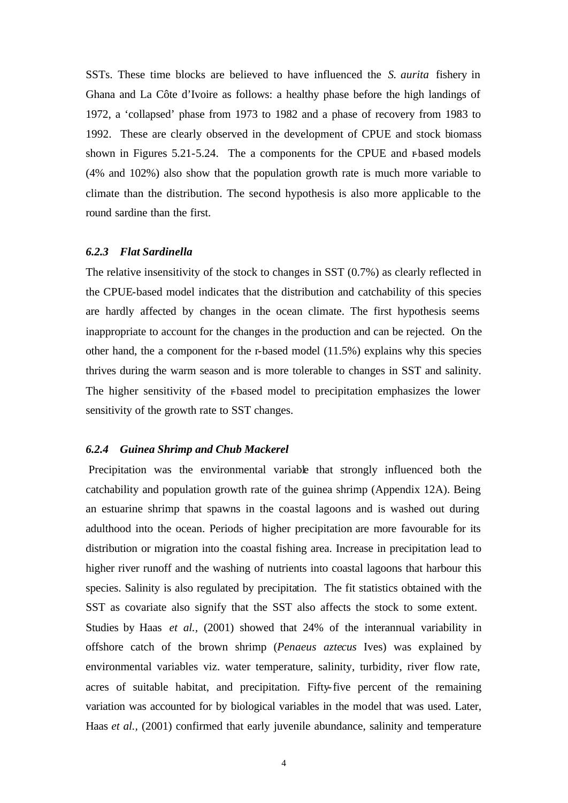SSTs. These time blocks are believed to have influenced the *S. aurita* fishery in Ghana and La Côte d'Ivoire as follows: a healthy phase before the high landings of 1972, a 'collapsed' phase from 1973 to 1982 and a phase of recovery from 1983 to 1992. These are clearly observed in the development of CPUE and stock biomass shown in Figures 5.21-5.24. The a components for the CPUE and r-based models (4% and 102%) also show that the population growth rate is much more variable to climate than the distribution. The second hypothesis is also more applicable to the round sardine than the first.

#### *6.2.3 Flat Sardinella*

The relative insensitivity of the stock to changes in SST (0.7%) as clearly reflected in the CPUE-based model indicates that the distribution and catchability of this species are hardly affected by changes in the ocean climate. The first hypothesis seems inappropriate to account for the changes in the production and can be rejected. On the other hand, the a component for the r-based model (11.5%) explains why this species thrives during the warm season and is more tolerable to changes in SST and salinity. The higher sensitivity of the r-based model to precipitation emphasizes the lower sensitivity of the growth rate to SST changes.

#### *6.2.4 Guinea Shrimp and Chub Mackerel*

Precipitation was the environmental variable that strongly influenced both the catchability and population growth rate of the guinea shrimp (Appendix 12A). Being an estuarine shrimp that spawns in the coastal lagoons and is washed out during adulthood into the ocean. Periods of higher precipitation are more favourable for its distribution or migration into the coastal fishing area. Increase in precipitation lead to higher river runoff and the washing of nutrients into coastal lagoons that harbour this species. Salinity is also regulated by precipitation. The fit statistics obtained with the SST as covariate also signify that the SST also affects the stock to some extent. Studies by Haas *et al.,* (2001) showed that 24% of the interannual variability in offshore catch of the brown shrimp (*Penaeus aztecus* Ives) was explained by environmental variables viz. water temperature, salinity, turbidity, river flow rate, acres of suitable habitat, and precipitation. Fifty-five percent of the remaining variation was accounted for by biological variables in the model that was used. Later, Haas *et al.*, (2001) confirmed that early juvenile abundance, salinity and temperature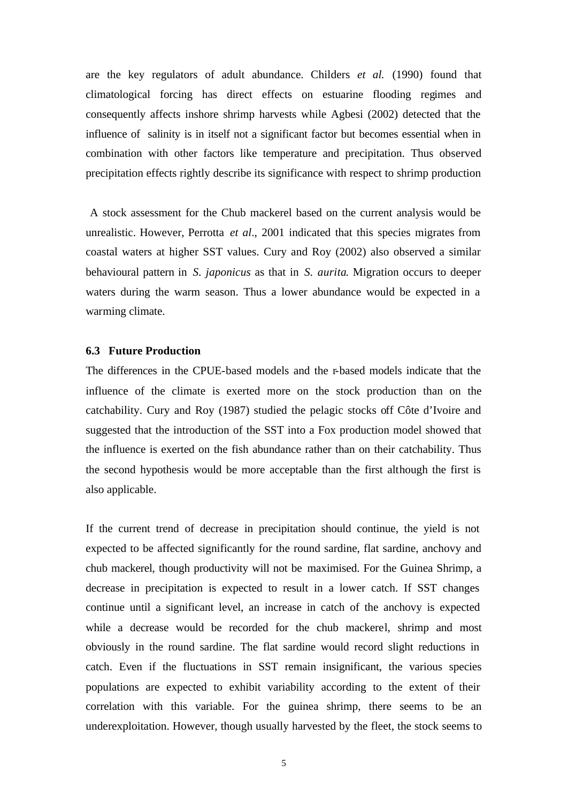are the key regulators of adult abundance. Childers *et al.* (1990) found that climatological forcing has direct effects on estuarine flooding regimes and consequently affects inshore shrimp harvests while Agbesi (2002) detected that the influence of salinity is in itself not a significant factor but becomes essential when in combination with other factors like temperature and precipitation. Thus observed precipitation effects rightly describe its significance with respect to shrimp production

 A stock assessment for the Chub mackerel based on the current analysis would be unrealistic. However, Perrotta *et al*., 2001 indicated that this species migrates from coastal waters at higher SST values. Cury and Roy (2002) also observed a similar behavioural pattern in *S. japonicus* as that in *S. aurita*. Migration occurs to deeper waters during the warm season. Thus a lower abundance would be expected in a warming climate.

#### **6.3 Future Production**

The differences in the CPUE-based models and the r-based models indicate that the influence of the climate is exerted more on the stock production than on the catchability. Cury and Roy (1987) studied the pelagic stocks off Côte d'Ivoire and suggested that the introduction of the SST into a Fox production model showed that the influence is exerted on the fish abundance rather than on their catchability. Thus the second hypothesis would be more acceptable than the first although the first is also applicable.

If the current trend of decrease in precipitation should continue, the yield is not expected to be affected significantly for the round sardine, flat sardine, anchovy and chub mackerel, though productivity will not be maximised. For the Guinea Shrimp, a decrease in precipitation is expected to result in a lower catch. If SST changes continue until a significant level, an increase in catch of the anchovy is expected while a decrease would be recorded for the chub mackerel, shrimp and most obviously in the round sardine. The flat sardine would record slight reductions in catch. Even if the fluctuations in SST remain insignificant, the various species populations are expected to exhibit variability according to the extent of their correlation with this variable. For the guinea shrimp, there seems to be an underexploitation. However, though usually harvested by the fleet, the stock seems to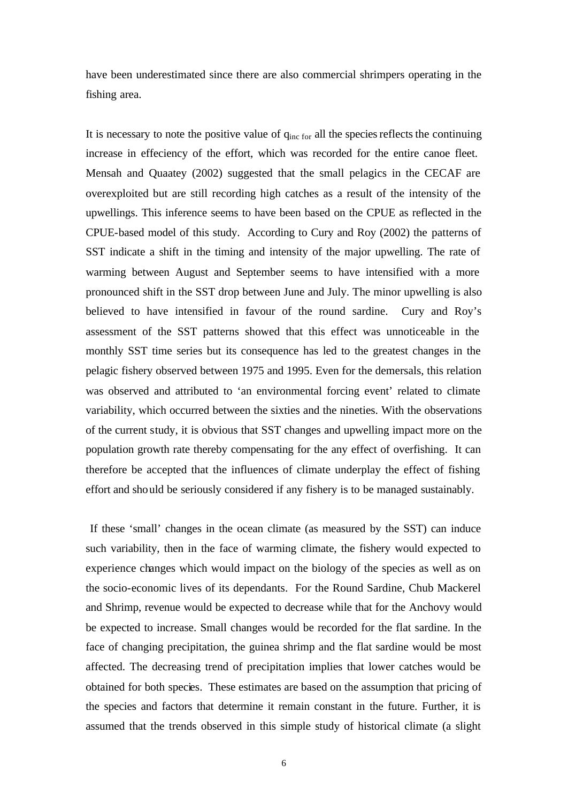have been underestimated since there are also commercial shrimpers operating in the fishing area.

It is necessary to note the positive value of  $q_{inc\ for}$  all the species reflects the continuing increase in effeciency of the effort, which was recorded for the entire canoe fleet. Mensah and Quaatey (2002) suggested that the small pelagics in the CECAF are overexploited but are still recording high catches as a result of the intensity of the upwellings. This inference seems to have been based on the CPUE as reflected in the CPUE-based model of this study. According to Cury and Roy (2002) the patterns of SST indicate a shift in the timing and intensity of the major upwelling. The rate of warming between August and September seems to have intensified with a more pronounced shift in the SST drop between June and July. The minor upwelling is also believed to have intensified in favour of the round sardine. Cury and Roy's assessment of the SST patterns showed that this effect was unnoticeable in the monthly SST time series but its consequence has led to the greatest changes in the pelagic fishery observed between 1975 and 1995. Even for the demersals, this relation was observed and attributed to 'an environmental forcing event' related to climate variability, which occurred between the sixties and the nineties. With the observations of the current study, it is obvious that SST changes and upwelling impact more on the population growth rate thereby compensating for the any effect of overfishing. It can therefore be accepted that the influences of climate underplay the effect of fishing effort and should be seriously considered if any fishery is to be managed sustainably.

 If these 'small' changes in the ocean climate (as measured by the SST) can induce such variability, then in the face of warming climate, the fishery would expected to experience changes which would impact on the biology of the species as well as on the socio-economic lives of its dependants. For the Round Sardine, Chub Mackerel and Shrimp, revenue would be expected to decrease while that for the Anchovy would be expected to increase. Small changes would be recorded for the flat sardine. In the face of changing precipitation, the guinea shrimp and the flat sardine would be most affected. The decreasing trend of precipitation implies that lower catches would be obtained for both species. These estimates are based on the assumption that pricing of the species and factors that determine it remain constant in the future. Further, it is assumed that the trends observed in this simple study of historical climate (a slight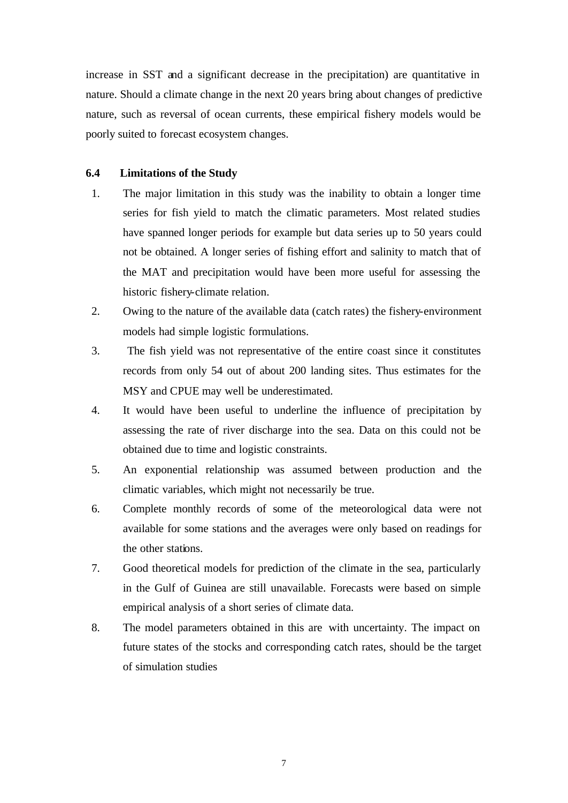increase in SST and a significant decrease in the precipitation) are quantitative in nature. Should a climate change in the next 20 years bring about changes of predictive nature, such as reversal of ocean currents, these empirical fishery models would be poorly suited to forecast ecosystem changes.

### **6.4 Limitations of the Study**

- 1. The major limitation in this study was the inability to obtain a longer time series for fish yield to match the climatic parameters. Most related studies have spanned longer periods for example but data series up to 50 years could not be obtained. A longer series of fishing effort and salinity to match that of the MAT and precipitation would have been more useful for assessing the historic fishery-climate relation.
- 2. Owing to the nature of the available data (catch rates) the fishery-environment models had simple logistic formulations.
- 3. The fish yield was not representative of the entire coast since it constitutes records from only 54 out of about 200 landing sites. Thus estimates for the MSY and CPUE may well be underestimated.
- 4. It would have been useful to underline the influence of precipitation by assessing the rate of river discharge into the sea. Data on this could not be obtained due to time and logistic constraints.
- 5. An exponential relationship was assumed between production and the climatic variables, which might not necessarily be true.
- 6. Complete monthly records of some of the meteorological data were not available for some stations and the averages were only based on readings for the other stations.
- 7. Good theoretical models for prediction of the climate in the sea, particularly in the Gulf of Guinea are still unavailable. Forecasts were based on simple empirical analysis of a short series of climate data.
- 8. The model parameters obtained in this are with uncertainty. The impact on future states of the stocks and corresponding catch rates, should be the target of simulation studies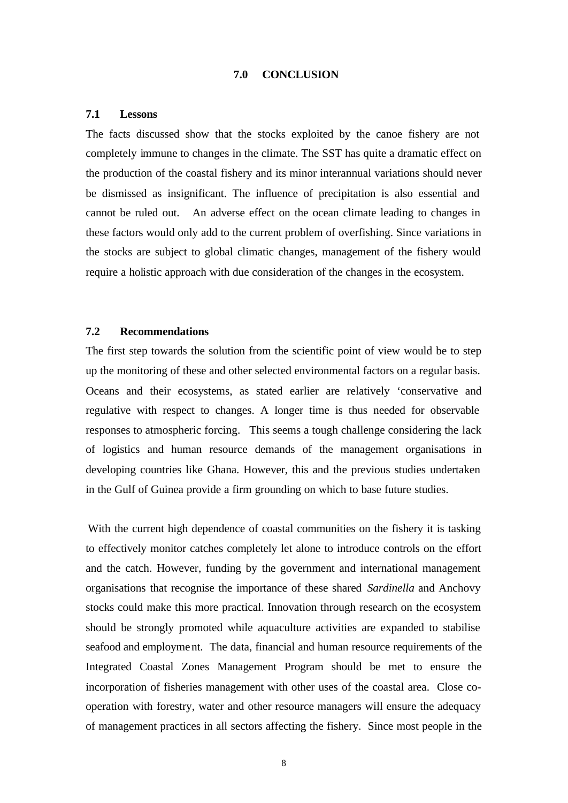#### **7.0 CONCLUSION**

#### **7.1 Lessons**

The facts discussed show that the stocks exploited by the canoe fishery are not completely immune to changes in the climate. The SST has quite a dramatic effect on the production of the coastal fishery and its minor interannual variations should never be dismissed as insignificant. The influence of precipitation is also essential and cannot be ruled out. An adverse effect on the ocean climate leading to changes in these factors would only add to the current problem of overfishing. Since variations in the stocks are subject to global climatic changes, management of the fishery would require a holistic approach with due consideration of the changes in the ecosystem.

# **7.2 Recommendations**

The first step towards the solution from the scientific point of view would be to step up the monitoring of these and other selected environmental factors on a regular basis. Oceans and their ecosystems, as stated earlier are relatively 'conservative and regulative with respect to changes. A longer time is thus needed for observable responses to atmospheric forcing. This seems a tough challenge considering the lack of logistics and human resource demands of the management organisations in developing countries like Ghana. However, this and the previous studies undertaken in the Gulf of Guinea provide a firm grounding on which to base future studies.

With the current high dependence of coastal communities on the fishery it is tasking to effectively monitor catches completely let alone to introduce controls on the effort and the catch. However, funding by the government and international management organisations that recognise the importance of these shared *Sardinella* and Anchovy stocks could make this more practical. Innovation through research on the ecosystem should be strongly promoted while aquaculture activities are expanded to stabilise seafood and employment. The data, financial and human resource requirements of the Integrated Coastal Zones Management Program should be met to ensure the incorporation of fisheries management with other uses of the coastal area. Close cooperation with forestry, water and other resource managers will ensure the adequacy of management practices in all sectors affecting the fishery. Since most people in the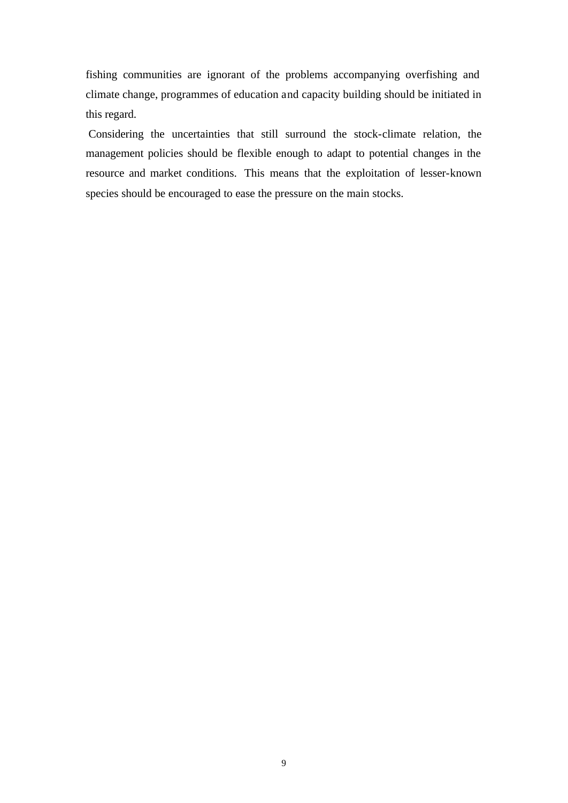fishing communities are ignorant of the problems accompanying overfishing and climate change, programmes of education and capacity building should be initiated in this regard.

 Considering the uncertainties that still surround the stock-climate relation, the management policies should be flexible enough to adapt to potential changes in the resource and market conditions. This means that the exploitation of lesser-known species should be encouraged to ease the pressure on the main stocks.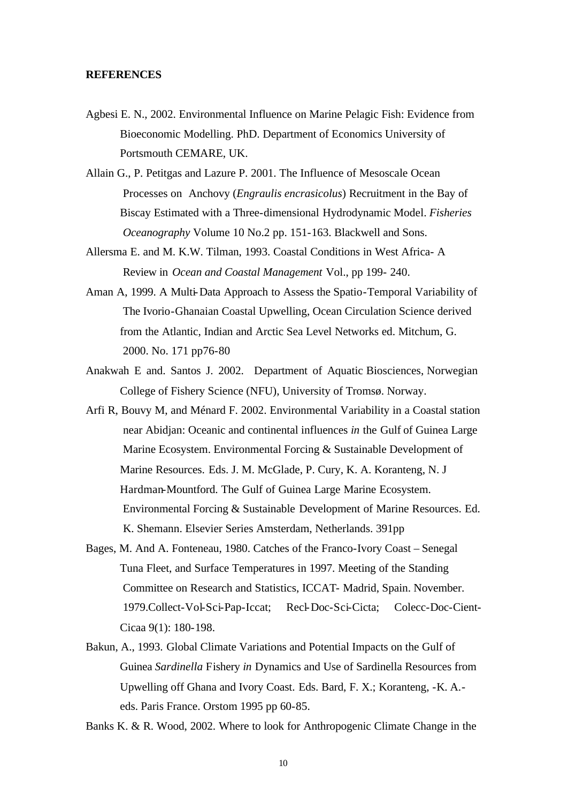#### **REFERENCES**

- Agbesi E. N., 2002. Environmental Influence on Marine Pelagic Fish: Evidence from Bioeconomic Modelling. PhD. Department of Economics University of Portsmouth CEMARE, UK.
- Allain G., P. Petitgas and Lazure P. 2001. The Influence of Mesoscale Ocean Processes on Anchovy (*Engraulis encrasicolus*) Recruitment in the Bay of Biscay Estimated with a Three-dimensional Hydrodynamic Model. *Fisheries Oceanography* Volume 10 No.2 pp. 151-163. Blackwell and Sons.
- Allersma E. and M. K.W. Tilman, 1993. Coastal Conditions in West Africa- A Review in *Ocean and Coastal Management* Vol., pp 199- 240.
- Aman A, 1999. A Multi-Data Approach to Assess the Spatio-Temporal Variability of The Ivorio-Ghanaian Coastal Upwelling, Ocean Circulation Science derived from the Atlantic, Indian and Arctic Sea Level Networks ed. Mitchum, G. 2000. No. 171 pp76-80
- Anakwah E and. Santos J. 2002. Department of Aquatic Biosciences, Norwegian College of Fishery Science (NFU), University of Tromsø. Norway.
- Arfi R, Bouvy M, and Ménard F. 2002. Environmental Variability in a Coastal station near Abidjan: Oceanic and continental influences *in* the Gulf of Guinea Large Marine Ecosystem. Environmental Forcing & Sustainable Development of Marine Resources. Eds. J. M. McGlade, P. Cury, K. A. Koranteng, N. J Hardman-Mountford. The Gulf of Guinea Large Marine Ecosystem. Environmental Forcing & Sustainable Development of Marine Resources. Ed. K. Shemann. Elsevier Series Amsterdam, Netherlands. 391pp
- Bages, M. And A. Fonteneau, 1980. Catches of the Franco-Ivory Coast Senegal Tuna Fleet, and Surface Temperatures in 1997. Meeting of the Standing Committee on Research and Statistics, ICCAT- Madrid, Spain. November. 1979.Collect-Vol-Sci-Pap-Iccat; Recl-Doc-Sci-Cicta; Colecc-Doc-Cient-Cicaa 9(1): 180-198.
- Bakun, A., 1993. Global Climate Variations and Potential Impacts on the Gulf of Guinea *Sardinella* Fishery *in* Dynamics and Use of Sardinella Resources from Upwelling off Ghana and Ivory Coast. Eds. Bard, F. X.; Koranteng, -K. A. eds. Paris France. Orstom 1995 pp 60-85.

Banks K. & R. Wood, 2002. Where to look for Anthropogenic Climate Change in the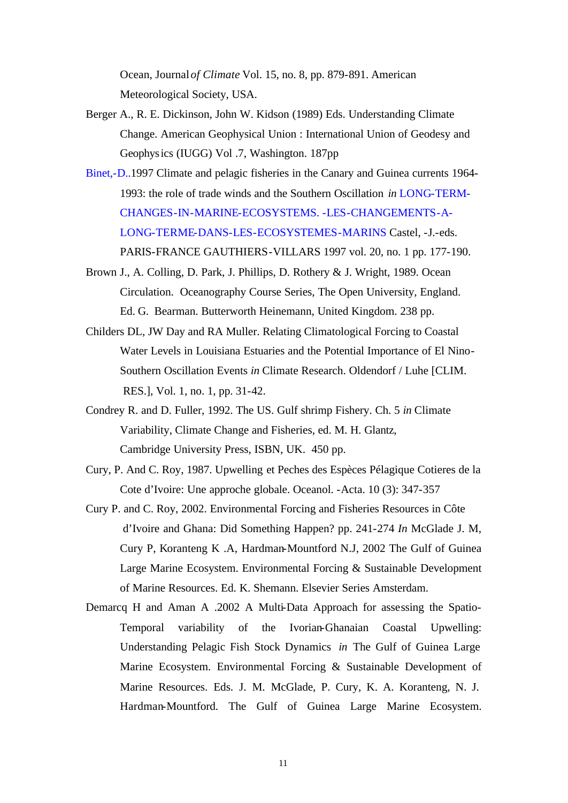Ocean, Journal *of Climate* Vol. 15, no. 8, pp. 879-891. American Meteorological Society, USA.

- Berger A., R. E. Dickinson, John W. Kidson (1989) Eds. Understanding Climate Change. American Geophysical Union : International Union of Geodesy and Geophysics (IUGG) Vol .7, Washington. 187pp
- Binet,-D..1997 Climate and pelagic fisheries in the Canary and Guinea currents 1964- 1993: the role of trade winds and the Southern Oscillation *in* LONG-TERM-CHANGES-IN-MARINE-ECOSYSTEMS. -LES-CHANGEMENTS-A-LONG-TERME-DANS-LES-ECOSYSTEMES-MARINS Castel, -J.-eds. PARIS-FRANCE GAUTHIERS-VILLARS 1997 vol. 20, no. 1 pp. 177-190.
- Brown J., A. Colling, D. Park, J. Phillips, D. Rothery & J. Wright, 1989. Ocean Circulation. Oceanography Course Series, The Open University, England. Ed. G. Bearman. Butterworth Heinemann, United Kingdom. 238 pp.
- Childers DL, JW Day and RA Muller. Relating Climatological Forcing to Coastal Water Levels in Louisiana Estuaries and the Potential Importance of El Nino-Southern Oscillation Events *in* Climate Research. Oldendorf / Luhe [CLIM. RES.], Vol. 1, no. 1, pp. 31-42.
- Condrey R. and D. Fuller, 1992. The US. Gulf shrimp Fishery. Ch. 5 *in* Climate Variability, Climate Change and Fisheries, ed. M. H. Glantz, Cambridge University Press, ISBN, UK. 450 pp.
- Cury, P. And C. Roy, 1987. Upwelling et Peches des Espèces Pélagique Cotieres de la Cote d'Ivoire: Une approche globale. Oceanol. -Acta. 10 (3): 347-357
- Cury P. and C. Roy, 2002. Environmental Forcing and Fisheries Resources in Côte d'Ivoire and Ghana: Did Something Happen? pp. 241-274 *In* McGlade J. M, Cury P, Koranteng K .A, Hardman-Mountford N.J, 2002 The Gulf of Guinea Large Marine Ecosystem. Environmental Forcing & Sustainable Development of Marine Resources. Ed. K. Shemann. Elsevier Series Amsterdam.
- Demarcq H and Aman A .2002 A Multi-Data Approach for assessing the Spatio-Temporal variability of the Ivorian-Ghanaian Coastal Upwelling: Understanding Pelagic Fish Stock Dynamics *in* The Gulf of Guinea Large Marine Ecosystem. Environmental Forcing & Sustainable Development of Marine Resources. Eds. J. M. McGlade, P. Cury, K. A. Koranteng, N. J. Hardman-Mountford. The Gulf of Guinea Large Marine Ecosystem.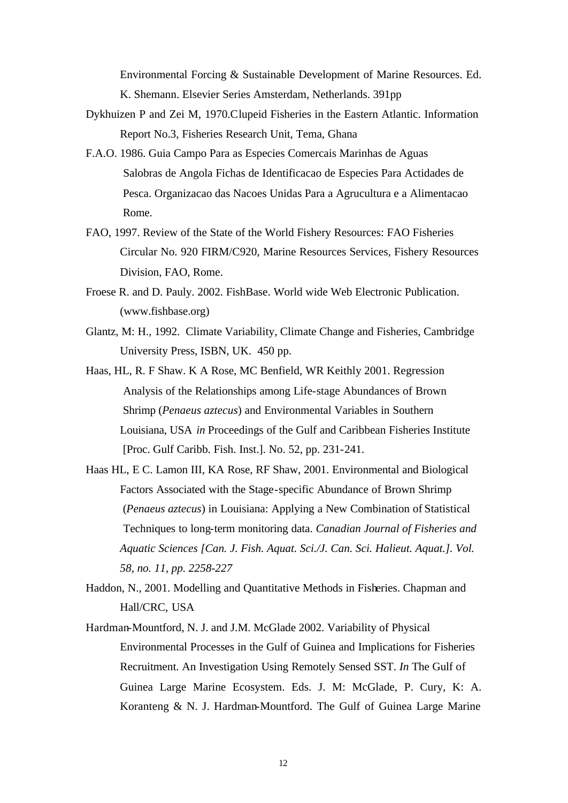Environmental Forcing & Sustainable Development of Marine Resources. Ed. K. Shemann. Elsevier Series Amsterdam, Netherlands. 391pp

- Dykhuizen P and Zei M, 1970.Clupeid Fisheries in the Eastern Atlantic. Information Report No.3, Fisheries Research Unit, Tema, Ghana
- F.A.O. 1986. Guia Campo Para as Especies Comercais Marinhas de Aguas Salobras de Angola Fichas de Identificacao de Especies Para Actidades de Pesca. Organizacao das Nacoes Unidas Para a Agrucultura e a Alimentacao Rome.
- FAO, 1997. Review of the State of the World Fishery Resources: FAO Fisheries Circular No. 920 FIRM/C920, Marine Resources Services, Fishery Resources Division, FAO, Rome.
- Froese R. and D. Pauly. 2002. FishBase. World wide Web Electronic Publication. (www.fishbase.org)
- Glantz, M: H., 1992. Climate Variability, Climate Change and Fisheries, Cambridge University Press, ISBN, UK. 450 pp.
- Haas, HL, R. F Shaw. K A Rose, MC Benfield, WR Keithly 2001. Regression Analysis of the Relationships among Life-stage Abundances of Brown Shrimp (*Penaeus aztecus*) and Environmental Variables in Southern Louisiana, USA *in* Proceedings of the Gulf and Caribbean Fisheries Institute [Proc. Gulf Caribb. Fish. Inst.]. No. 52, pp. 231-241.
- Haas HL, E C. Lamon III, KA Rose, RF Shaw, 2001. Environmental and Biological Factors Associated with the Stage-specific Abundance of Brown Shrimp (*Penaeus aztecus*) in Louisiana: Applying a New Combination of Statistical Techniques to long-term monitoring data. *Canadian Journal of Fisheries and Aquatic Sciences [Can. J. Fish. Aquat. Sci./J. Can. Sci. Halieut. Aquat.]. Vol. 58, no. 11, pp. 2258-227*

Haddon, N., 2001. Modelling and Quantitative Methods in Fisheries. Chapman and Hall/CRC, USA

Hardman-Mountford, N. J. and J.M. McGlade 2002. Variability of Physical Environmental Processes in the Gulf of Guinea and Implications for Fisheries Recruitment. An Investigation Using Remotely Sensed SST. *In* The Gulf of Guinea Large Marine Ecosystem. Eds. J. M: McGlade, P. Cury, K: A. Koranteng & N. J. Hardman-Mountford. The Gulf of Guinea Large Marine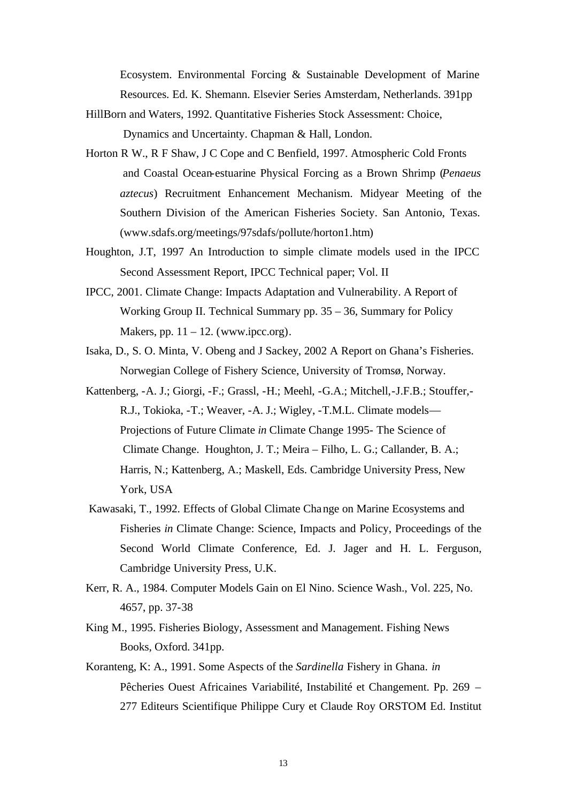Ecosystem. Environmental Forcing & Sustainable Development of Marine Resources. Ed. K. Shemann. Elsevier Series Amsterdam, Netherlands. 391pp

- HillBorn and Waters, 1992. Quantitative Fisheries Stock Assessment: Choice, Dynamics and Uncertainty. Chapman & Hall, London.
- Horton R W., R F Shaw, J C Cope and C Benfield, 1997. Atmospheric Cold Fronts and Coastal Ocean-estuarine Physical Forcing as a Brown Shrimp (*Penaeus aztecus*) Recruitment Enhancement Mechanism. Midyear Meeting of the Southern Division of the American Fisheries Society. San Antonio, Texas. (www.sdafs.org/meetings/97sdafs/pollute/horton1.htm)
- Houghton, J.T, 1997 An Introduction to simple climate models used in the IPCC Second Assessment Report, IPCC Technical paper; Vol. II
- IPCC, 2001. Climate Change: Impacts Adaptation and Vulnerability. A Report of Working Group II. Technical Summary pp. 35 – 36, Summary for Policy Makers, pp.  $11 - 12$ . (www.ipcc.org).
- Isaka, D., S. O. Minta, V. Obeng and J Sackey, 2002 A Report on Ghana's Fisheries. Norwegian College of Fishery Science, University of Tromsø, Norway.
- Kattenberg, -A. J.; Giorgi, -F.; Grassl, -H.; Meehl, -G.A.; Mitchell,-J.F.B.; Stouffer,- R.J., Tokioka, -T.; Weaver, -A. J.; Wigley, -T.M.L. Climate models— Projections of Future Climate *in* Climate Change 1995- The Science of Climate Change. Houghton, J. T.; Meira – Filho, L. G.; Callander, B. A.; Harris, N.; Kattenberg, A.; Maskell, Eds. Cambridge University Press, New York, USA
- Kawasaki, T., 1992. Effects of Global Climate Change on Marine Ecosystems and Fisheries *in* Climate Change: Science, Impacts and Policy, Proceedings of the Second World Climate Conference*,* Ed. J. Jager and H. L. Ferguson, Cambridge University Press, U.K.
- Kerr, R. A., 1984. Computer Models Gain on El Nino. Science Wash., Vol. 225, No. 4657, pp. 37-38
- King M., 1995. Fisheries Biology, Assessment and Management. Fishing News Books, Oxford. 341pp.
- Koranteng, K: A., 1991. Some Aspects of the *Sardinella* Fishery in Ghana. *in* Pêcheries Ouest Africaines Variabilité, Instabilité et Changement. Pp. 269 – 277 Editeurs Scientifique Philippe Cury et Claude Roy ORSTOM Ed. Institut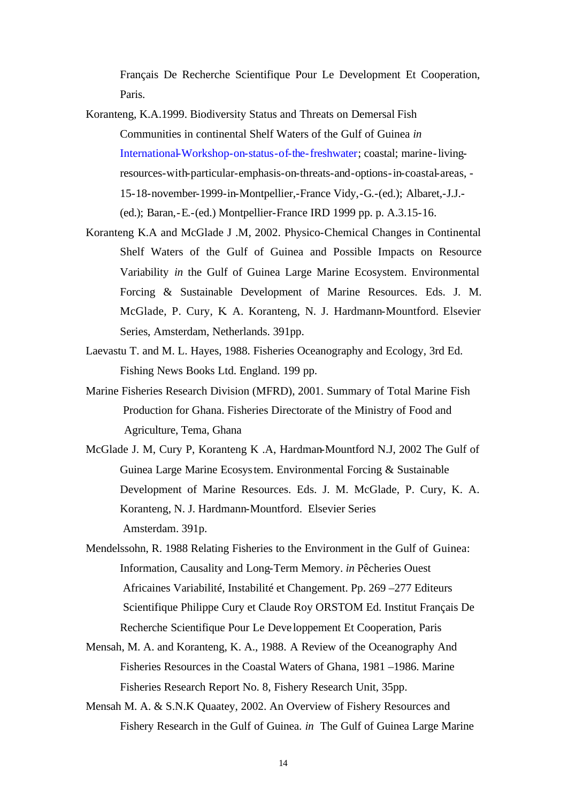Français De Recherche Scientifique Pour Le Development Et Cooperation, Paris.

- Koranteng, K.A.1999. Biodiversity Status and Threats on Demersal Fish Communities in continental Shelf Waters of the Gulf of Guinea *in* International-Workshop-on-status-of-the-freshwater; coastal; marine-livingresources-with-particular-emphasis-on-threats-and-options-in-coastal-areas, - 15-18-november-1999-in-Montpellier,-France Vidy,-G.-(ed.); Albaret,-J.J.- (ed.); Baran,-E.-(ed.) Montpellier-France IRD 1999 pp. p. A.3.15-16.
- Koranteng K.A and McGlade J .M, 2002. Physico-Chemical Changes in Continental Shelf Waters of the Gulf of Guinea and Possible Impacts on Resource Variability *in* the Gulf of Guinea Large Marine Ecosystem. Environmental Forcing & Sustainable Development of Marine Resources. Eds. J. M. McGlade, P. Cury, K. A. Koranteng, N. J. Hardmann-Mountford. Elsevier Series, Amsterdam, Netherlands. 391pp.
- Laevastu T. and M. L. Hayes, 1988. Fisheries Oceanography and Ecology, 3rd Ed. Fishing News Books Ltd. England. 199 pp.
- Marine Fisheries Research Division (MFRD), 2001. Summary of Total Marine Fish Production for Ghana. Fisheries Directorate of the Ministry of Food and Agriculture, Tema, Ghana
- McGlade J. M, Cury P, Koranteng K .A, Hardman-Mountford N.J, 2002 The Gulf of Guinea Large Marine Ecosystem. Environmental Forcing & Sustainable Development of Marine Resources. Eds. J. M. McGlade, P. Cury, K. A. Koranteng, N. J. Hardmann-Mountford. Elsevier Series Amsterdam. 391p.
- Mendelssohn, R. 1988 Relating Fisheries to the Environment in the Gulf of Guinea: Information, Causality and Long-Term Memory. *in* Pêcheries Ouest Africaines Variabilité, Instabilité et Changement. Pp. 269 –277 Editeurs Scientifique Philippe Cury et Claude Roy ORSTOM Ed. Institut Français De Recherche Scientifique Pour Le Deve loppement Et Cooperation, Paris
- Mensah, M. A. and Koranteng, K. A., 1988. A Review of the Oceanography And Fisheries Resources in the Coastal Waters of Ghana, 1981 –1986. Marine Fisheries Research Report No. 8, Fishery Research Unit, 35pp.
- Mensah M. A. & S.N.K Quaatey, 2002. An Overview of Fishery Resources and Fishery Research in the Gulf of Guinea. *in* The Gulf of Guinea Large Marine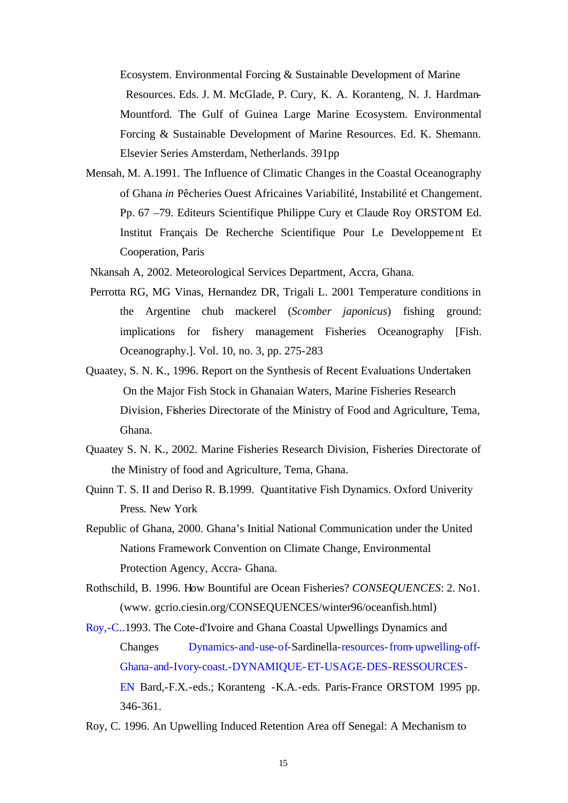Ecosystem. Environmental Forcing & Sustainable Development of Marine Resources. Eds. J. M. McGlade, P. Cury, K. A. Koranteng, N. J. Hardman-Mountford. The Gulf of Guinea Large Marine Ecosystem. Environmental Forcing & Sustainable Development of Marine Resources. Ed. K. Shemann. Elsevier Series Amsterdam, Netherlands. 391pp

- Mensah, M. A.1991. The Influence of Climatic Changes in the Coastal Oceanography of Ghana *in* Pêcheries Ouest Africaines Variabilité, Instabilité et Changement. Pp. 67 –79. Editeurs Scientifique Philippe Cury et Claude Roy ORSTOM Ed. Institut Français De Recherche Scientifique Pour Le Developpement Et Cooperation, Paris
- Nkansah A, 2002. Meteorological Services Department, Accra, Ghana.
- Perrotta RG, MG Vinas, Hernandez DR, Trigali L. 2001 Temperature conditions in the Argentine chub mackerel (*Scomber japonicus*) fishing ground: implications for fishery management Fisheries Oceanography [Fish. Oceanography.]. Vol. 10, no. 3, pp. 275-283
- Quaatey, S. N. K., 1996. Report on the Synthesis of Recent Evaluations Undertaken On the Major Fish Stock in Ghanaian Waters, Marine Fisheries Research Division, Fisheries Directorate of the Ministry of Food and Agriculture, Tema, Ghana.
- Quaatey S. N. K., 2002. Marine Fisheries Research Division, Fisheries Directorate of the Ministry of food and Agriculture, Tema, Ghana.
- Quinn T. S. II and Deriso R. B.1999. Quantitative Fish Dynamics. Oxford Univerity Press. New York
- Republic of Ghana, 2000. Ghana's Initial National Communication under the United Nations Framework Convention on Climate Change, Environmental Protection Agency, Accra- Ghana.
- Rothschild, B. 1996. How Bountiful are Ocean Fisheries? *CONSEQUENCES*: 2. No1. (www. gcrio.ciesin.org/CONSEQUENCES/winter96/oceanfish.html)
- Roy,-C..1993. The Cote-d'Ivoire and Ghana Coastal Upwellings Dynamics and Changes Dynamics-and-use-of-Sardinella-resources-from-upwelling-off-Ghana-and-Ivory-coast.-DYNAMIQUE-ET-USAGE-DES-RESSOURCES-EN Bard,-F.X.-eds.; Koranteng -K.A.-eds. Paris-France ORSTOM 1995 pp. 346-361.
- Roy, C. 1996. An Upwelling Induced Retention Area off Senegal: A Mechanism to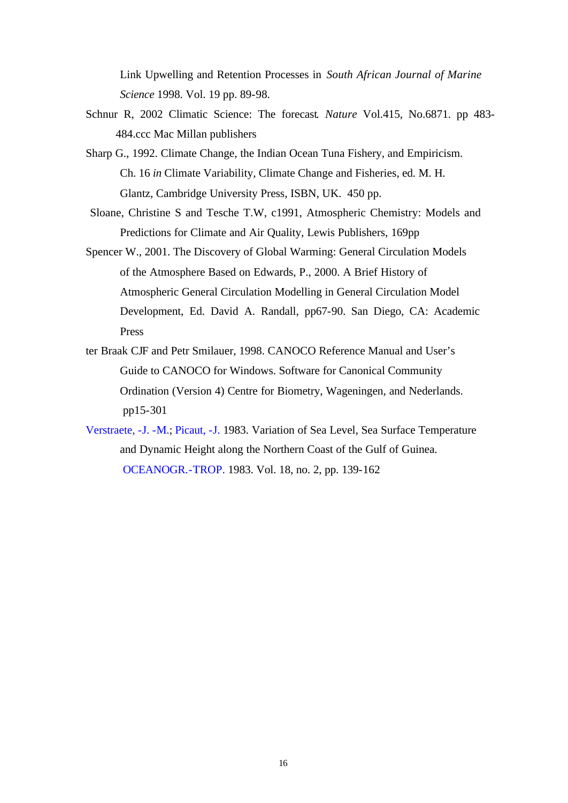Link Upwelling and Retention Processes in *South African Journal of Marine Science* 1998. Vol. 19 pp. 89-98.

- Schnur R, 2002 Climatic Science: The forecast*. Nature* Vol.415, No.6871. pp 483- 484.ccc Mac Millan publishers
- Sharp G., 1992. Climate Change, the Indian Ocean Tuna Fishery, and Empiricism. Ch. 16 *in* Climate Variability, Climate Change and Fisheries, ed. M. H. Glantz, Cambridge University Press, ISBN, UK. 450 pp.
- Sloane, Christine S and Tesche T.W, c1991, Atmospheric Chemistry: Models and Predictions for Climate and Air Quality, Lewis Publishers, 169pp
- Spencer W., 2001. The Discovery of Global Warming: General Circulation Models of the Atmosphere Based on Edwards, P., 2000. A Brief History of Atmospheric General Circulation Modelling in General Circulation Model Development, Ed. David A. Randall, pp67-90. San Diego, CA: Academic Press
- ter Braak CJF and Petr Smilauer, 1998. CANOCO Reference Manual and User's Guide to CANOCO for Windows. Software for Canonical Community Ordination (Version 4) Centre for Biometry, Wageningen, and Nederlands. pp15-301
- Verstraete, -J. -M.; Picaut, -J. 1983. Variation of Sea Level, Sea Surface Temperature and Dynamic Height along the Northern Coast of the Gulf of Guinea. OCEANOGR.-TROP. 1983. Vol. 18, no. 2, pp. 139-162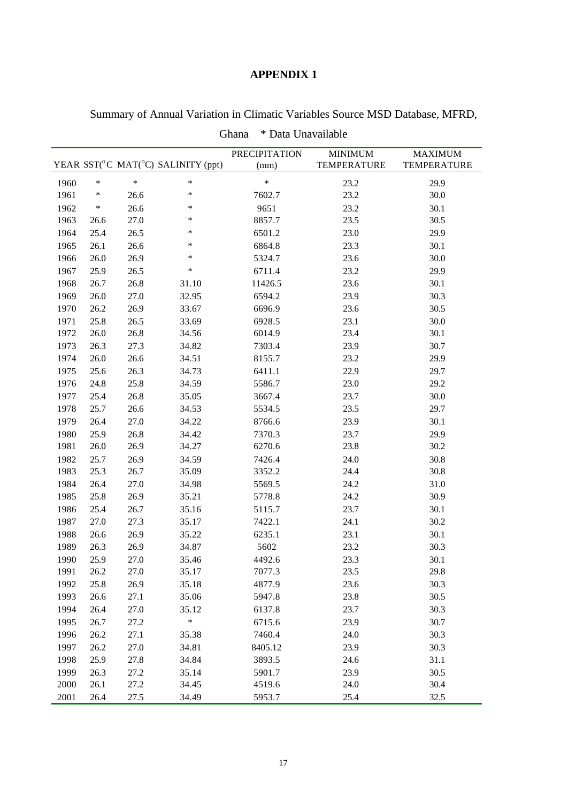|      | Ghana<br>* Data Unavailable |        |                                    |                              |                               |                               |  |  |
|------|-----------------------------|--------|------------------------------------|------------------------------|-------------------------------|-------------------------------|--|--|
|      |                             |        | YEAR SST(°C MAT(°C) SALINITY (ppt) | <b>PRECIPITATION</b><br>(mm) | <b>MINIMUM</b><br>TEMPERATURE | <b>MAXIMUM</b><br>TEMPERATURE |  |  |
| 1960 | $\ast$                      | $\ast$ | $\ast$                             | $\ast$                       | 23.2                          | 29.9                          |  |  |
| 1961 | $\ast$                      | 26.6   | $\ast$                             | 7602.7                       | 23.2                          | 30.0                          |  |  |
| 1962 | $\ast$                      | 26.6   | $\ast$                             | 9651                         | 23.2                          | 30.1                          |  |  |
| 1963 | 26.6                        | 27.0   | $\ast$                             | 8857.7                       | 23.5                          | 30.5                          |  |  |
| 1964 | 25.4                        | 26.5   | *                                  | 6501.2                       | 23.0                          | 29.9                          |  |  |
| 1965 | 26.1                        | 26.6   | $\ast$                             | 6864.8                       | 23.3                          | 30.1                          |  |  |
| 1966 | 26.0                        | 26.9   | $\ast$                             | 5324.7                       | 23.6                          | 30.0                          |  |  |
| 1967 | 25.9                        | 26.5   | $\ast$                             | 6711.4                       | 23.2                          | 29.9                          |  |  |
| 1968 | 26.7                        | 26.8   | 31.10                              | 11426.5                      | 23.6                          | 30.1                          |  |  |
| 1969 | 26.0                        | 27.0   | 32.95                              | 6594.2                       | 23.9                          | 30.3                          |  |  |
| 1970 | 26.2                        | 26.9   | 33.67                              | 6696.9                       | 23.6                          | 30.5                          |  |  |
| 1971 | 25.8                        | 26.5   | 33.69                              | 6928.5                       | 23.1                          | 30.0                          |  |  |
| 1972 | 26.0                        | 26.8   | 34.56                              | 6014.9                       | 23.4                          | 30.1                          |  |  |
| 1973 | 26.3                        | 27.3   | 34.82                              | 7303.4                       | 23.9                          | 30.7                          |  |  |
| 1974 | 26.0                        | 26.6   | 34.51                              | 8155.7                       | 23.2                          | 29.9                          |  |  |
| 1975 | 25.6                        | 26.3   | 34.73                              | 6411.1                       | 22.9                          | 29.7                          |  |  |
| 1976 | 24.8                        | 25.8   | 34.59                              | 5586.7                       | 23.0                          | 29.2                          |  |  |
| 1977 | 25.4                        | 26.8   | 35.05                              | 3667.4                       | 23.7                          | 30.0                          |  |  |
| 1978 | 25.7                        | 26.6   | 34.53                              | 5534.5                       | 23.5                          | 29.7                          |  |  |
| 1979 | 26.4                        | 27.0   | 34.22                              | 8766.6                       | 23.9                          | 30.1                          |  |  |
| 1980 | 25.9                        | 26.8   | 34.42                              | 7370.3                       | 23.7                          | 29.9                          |  |  |
| 1981 | 26.0                        | 26.9   | 34.27                              | 6270.6                       | 23.8                          | 30.2                          |  |  |
| 1982 | 25.7                        | 26.9   | 34.59                              | 7426.4                       | 24.0                          | 30.8                          |  |  |
| 1983 | 25.3                        | 26.7   | 35.09                              | 3352.2                       | 24.4                          | 30.8                          |  |  |
| 1984 | 26.4                        | 27.0   | 34.98                              | 5569.5                       | 24.2                          | 31.0                          |  |  |
| 1985 | 25.8                        | 26.9   | 35.21                              | 5778.8                       | 24.2                          | 30.9                          |  |  |
| 1986 | 25.4                        | 26.7   | 35.16                              | 5115.7                       | 23.7                          | 30.1                          |  |  |
| 1987 | 27.0                        | 27.3   | 35.17                              | 7422.1                       | 24.1                          | 30.2                          |  |  |
| 1988 | 26.6                        | 26.9   | 35.22                              | 6235.1                       | 23.1                          | 30.1                          |  |  |
| 1989 | 26.3                        | 26.9   | 34.87                              | 5602                         | 23.2                          | 30.3                          |  |  |
| 1990 | 25.9                        | 27.0   | 35.46                              | 4492.6                       | 23.3                          | 30.1                          |  |  |
| 1991 | 26.2                        | 27.0   | 35.17                              | 7077.3                       | 23.5                          | 29.8                          |  |  |
| 1992 | 25.8                        | 26.9   | 35.18                              | 4877.9                       | 23.6                          | 30.3                          |  |  |
| 1993 | 26.6                        | 27.1   | 35.06                              | 5947.8                       | 23.8                          | 30.5                          |  |  |
| 1994 | 26.4                        | 27.0   | 35.12                              | 6137.8                       | 23.7                          | 30.3                          |  |  |
| 1995 | 26.7                        | 27.2   | $\ast$                             | 6715.6                       | 23.9                          | 30.7                          |  |  |
| 1996 | 26.2                        | 27.1   | 35.38                              | 7460.4                       | 24.0                          | 30.3                          |  |  |
| 1997 | 26.2                        | 27.0   | 34.81                              | 8405.12                      | 23.9                          | 30.3                          |  |  |
| 1998 | 25.9                        | 27.8   | 34.84                              | 3893.5                       | 24.6                          | 31.1                          |  |  |
| 1999 | 26.3                        | 27.2   | 35.14                              | 5901.7                       | 23.9                          | 30.5                          |  |  |
| 2000 | 26.1                        | 27.2   | 34.45                              | 4519.6                       | 24.0                          | 30.4                          |  |  |
| 2001 | 26.4                        | 27.5   | 34.49                              | 5953.7                       | 25.4                          | 32.5                          |  |  |

Summary of Annual Variation in Climatic Variables Source MSD Database, MFRD,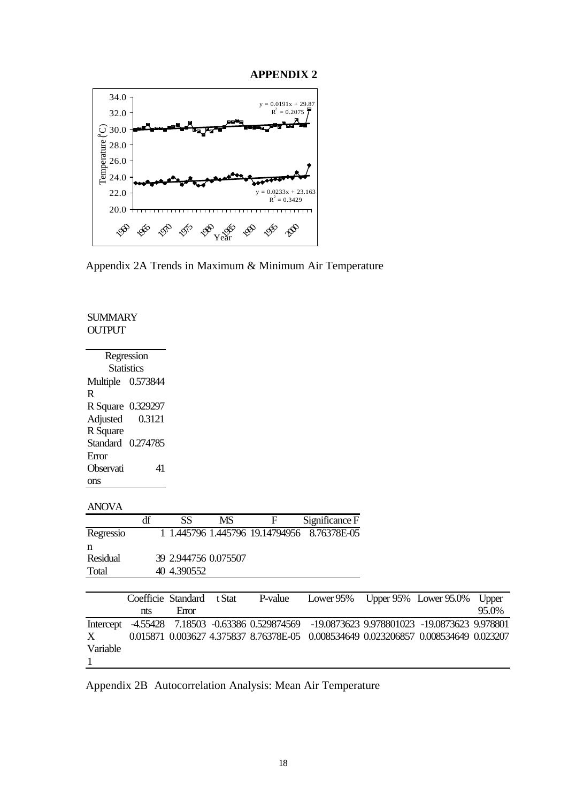

Appendix 2A Trends in Maximum & Minimum Air Temperature

### **SUMMARY OUTPUT**

| Regression        |          |  |  |  |  |  |  |  |  |
|-------------------|----------|--|--|--|--|--|--|--|--|
| <b>Statistics</b> |          |  |  |  |  |  |  |  |  |
| Multiple 0.573844 |          |  |  |  |  |  |  |  |  |
| R                 |          |  |  |  |  |  |  |  |  |
| R Square          | 0.329297 |  |  |  |  |  |  |  |  |
| Adjusted          | 0.3121   |  |  |  |  |  |  |  |  |
| R Square          |          |  |  |  |  |  |  |  |  |
| Standard 0.274785 |          |  |  |  |  |  |  |  |  |
| Error             |          |  |  |  |  |  |  |  |  |
| Observati         | 41       |  |  |  |  |  |  |  |  |
| ons               |          |  |  |  |  |  |  |  |  |

ANOVA

|           | df | SS                   | MS | н | Significance F                              |
|-----------|----|----------------------|----|---|---------------------------------------------|
| Regressio |    |                      |    |   | 1 1.445796 1.445796 19.14794956 8.76378E-05 |
| n         |    |                      |    |   |                                             |
| Residual  |    | 39 2.944756 0.075507 |    |   |                                             |
| Total     |    | 40 4.390552          |    |   |                                             |
|           |    |                      |    |   |                                             |

|             |     |             |  | Coefficie Standard t Stat P-value Lower 95% Upper 95% Lower 95.0% Upper                      |  |       |
|-------------|-----|-------------|--|----------------------------------------------------------------------------------------------|--|-------|
|             | nts | <b>Emor</b> |  |                                                                                              |  | 95.0% |
|             |     |             |  | Intercept -4.55428 7.18503 -0.63386 0.529874569 -19.0873623 9.978801023 -19.0873623 9.978801 |  |       |
| $X$ and $X$ |     |             |  | 0.015871 0.003627 4.375837 8.76378E-05 0.008534649 0.023206857 0.008534649 0.023207          |  |       |
| Variable    |     |             |  |                                                                                              |  |       |
|             |     |             |  |                                                                                              |  |       |

Appendix 2B Autocorrelation Analysis: Mean Air Temperature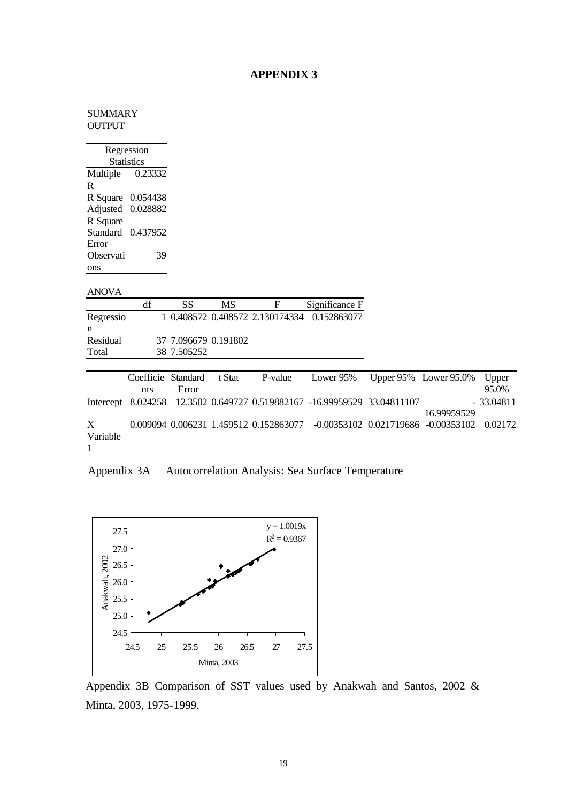### **SUMMARY** OUTPUT

|              | Regression        |                      |           |                                        |                                                       |                             |                       |                |
|--------------|-------------------|----------------------|-----------|----------------------------------------|-------------------------------------------------------|-----------------------------|-----------------------|----------------|
|              | <b>Statistics</b> |                      |           |                                        |                                                       |                             |                       |                |
| Multiple     | 0.23332           |                      |           |                                        |                                                       |                             |                       |                |
| R            |                   |                      |           |                                        |                                                       |                             |                       |                |
|              | R Square 0.054438 |                      |           |                                        |                                                       |                             |                       |                |
| Adjusted     | 0.028882          |                      |           |                                        |                                                       |                             |                       |                |
| R Square     |                   |                      |           |                                        |                                                       |                             |                       |                |
|              | Standard 0.437952 |                      |           |                                        |                                                       |                             |                       |                |
| Error        |                   |                      |           |                                        |                                                       |                             |                       |                |
| Observati    | 39                |                      |           |                                        |                                                       |                             |                       |                |
| ons          |                   |                      |           |                                        |                                                       |                             |                       |                |
|              |                   |                      |           |                                        |                                                       |                             |                       |                |
| <b>ANOVA</b> |                   |                      |           |                                        |                                                       |                             |                       |                |
|              | df                | <b>SS</b>            | <b>MS</b> | F                                      | Significance F                                        |                             |                       |                |
|              |                   |                      |           |                                        |                                                       |                             |                       |                |
| Regressio    |                   |                      |           | 1 0.408572 0.408572 2.130174334        | 0.152863077                                           |                             |                       |                |
| n            |                   |                      |           |                                        |                                                       |                             |                       |                |
| Residual     |                   | 37 7.096679 0.191802 |           |                                        |                                                       |                             |                       |                |
| Total        |                   | 38 7.505252          |           |                                        |                                                       |                             |                       |                |
|              |                   |                      |           |                                        |                                                       |                             |                       |                |
|              | Coefficie         | Standard             | t Stat    | P-value                                | Lower 95%                                             |                             | Upper 95% Lower 95.0% |                |
|              | nts               | Error                |           |                                        |                                                       |                             |                       | Upper<br>95.0% |
|              |                   |                      |           |                                        |                                                       |                             |                       |                |
| Intercept    | 8.024258          |                      |           |                                        | 12.3502 0.649727 0.519882167 -16.99959529 33.04811107 |                             | 16.99959529           | $-33.04811$    |
| X            |                   |                      |           | 0.009094 0.006231 1.459512 0.152863077 |                                                       | $-0.00353102$ $0.021719686$ | $-0.00353102$         | 0.02172        |
| Variable     |                   |                      |           |                                        |                                                       |                             |                       |                |

Appendix 3A Autocorrelation Analysis: Sea Surface Temperature



Appendix 3B Comparison of SST values used by Anakwah and Santos, 2002 & Minta, 2003, 1975-1999.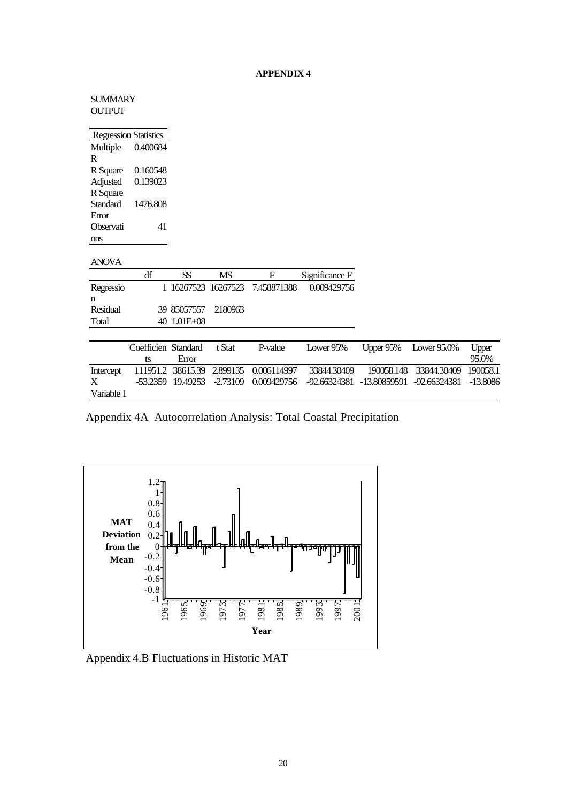| SUMMARY                      |
|------------------------------|
| OUTPUT                       |
|                              |
| <b>Regression Statistics</b> |

|           | www.namman |
|-----------|------------|
| Multiple  | 0.400684   |
| R         |            |
| R Square  | 0.160548   |
| Adjusted  | 0.139023   |
| R Square  |            |
| Standard  | 1476.808   |
| Error     |            |
| Observati | 41         |
| ons       |            |

|           | df | SS                  | MS | ы                               | Significance F |
|-----------|----|---------------------|----|---------------------------------|----------------|
| Regressio |    |                     |    | 1 16267523 16267523 7.458871388 | 0.009429756    |
| n         |    |                     |    |                                 |                |
| Residual  |    | 39 85057557 2180963 |    |                                 |                |
| Total     |    | 40 1.01E+08         |    |                                 |                |
|           |    |                     |    |                                 |                |

|            | Coefficien Standard |       | t Stat | P-value | Lower 95% Upper 95% Lower 95.0%                                                        |  | Upper |
|------------|---------------------|-------|--------|---------|----------------------------------------------------------------------------------------|--|-------|
|            | ts                  | Error |        |         |                                                                                        |  | 95.0% |
| Intercept  |                     |       |        |         | 111951.2 38615.39 2.899135 0.006114997 33844.30409 190058.148 33844.30409 190058.1     |  |       |
| X          |                     |       |        |         | -53,2359 19,49253 -2,73109 0,009429756 -92,66324381 -13,80859591 -92,66324381 -13,8086 |  |       |
| Variable 1 |                     |       |        |         |                                                                                        |  |       |

Appendix 4A Autocorrelation Analysis: Total Coastal Precipitation



Appendix 4.B Fluctuations in Historic MAT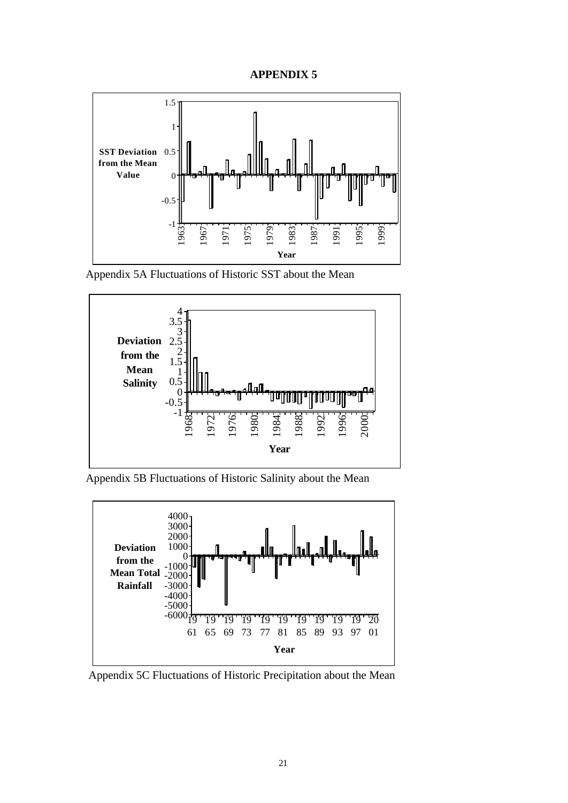



Appendix 5A Fluctuations of Historic SST about the Mean



Appendix 5B Fluctuations of Historic Salinity about the Mean



Appendix 5C Fluctuations of Historic Precipitation about the Mean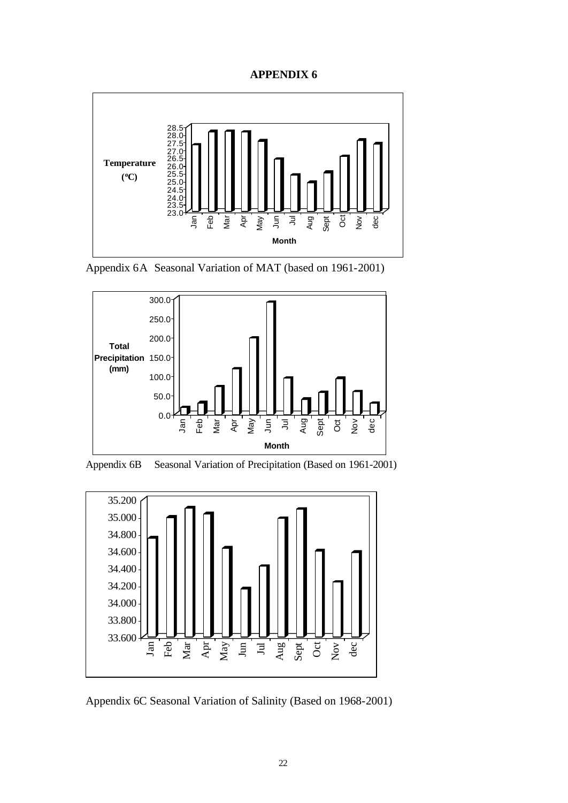

Appendix 6A Seasonal Variation of MAT (based on 1961-2001)



Appendix 6B Seasonal Variation of Precipitation (Based on 1961-2001)



Appendix 6C Seasonal Variation of Salinity (Based on 1968-2001)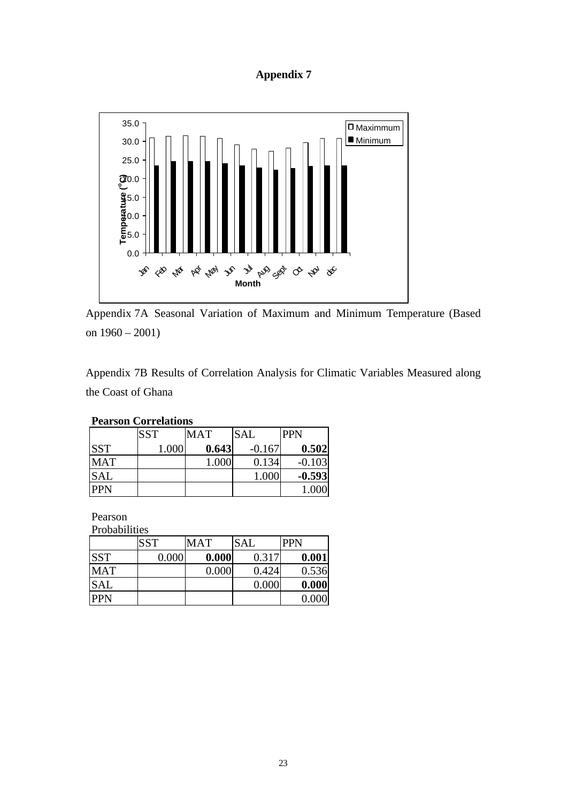## **Appendix 7**



Appendix 7A Seasonal Variation of Maximum and Minimum Temperature (Based on 1960 – 2001)

Appendix 7B Results of Correlation Analysis for Climatic Variables Measured along the Coast of Ghana

| I GALSOIL COLLEIAUOIIS |            |       |            |            |  |  |  |  |  |
|------------------------|------------|-------|------------|------------|--|--|--|--|--|
|                        | <b>SST</b> | MAT   | <b>SAL</b> | <b>PPN</b> |  |  |  |  |  |
| <b>SST</b>             | 1.000      | 0.643 | $-0.167$   | 0.502      |  |  |  |  |  |
| <b>MAT</b>             |            | 1.000 | 0.134      | $-0.103$   |  |  |  |  |  |
| <b>SAL</b>             |            |       | 1.000      | $-0.593$   |  |  |  |  |  |
| <b>PPN</b>             |            |       |            | 1.000      |  |  |  |  |  |

### **Pearson Correlations**

Pearson Probabilities

| <b>Propabilities</b> |            |       |            |            |  |  |  |  |  |
|----------------------|------------|-------|------------|------------|--|--|--|--|--|
|                      | <b>SST</b> | MAT   | <b>SAL</b> | <b>PPN</b> |  |  |  |  |  |
| <b>SST</b>           | 0.000      | 0.000 | 0.317      | 0.001      |  |  |  |  |  |
| <b>MAT</b>           |            | 0.000 | 0.424      | 0.536      |  |  |  |  |  |
| <b>SAL</b>           |            |       | 0.000      | 0.000      |  |  |  |  |  |
| <b>PPN</b>           |            |       |            | 0.000      |  |  |  |  |  |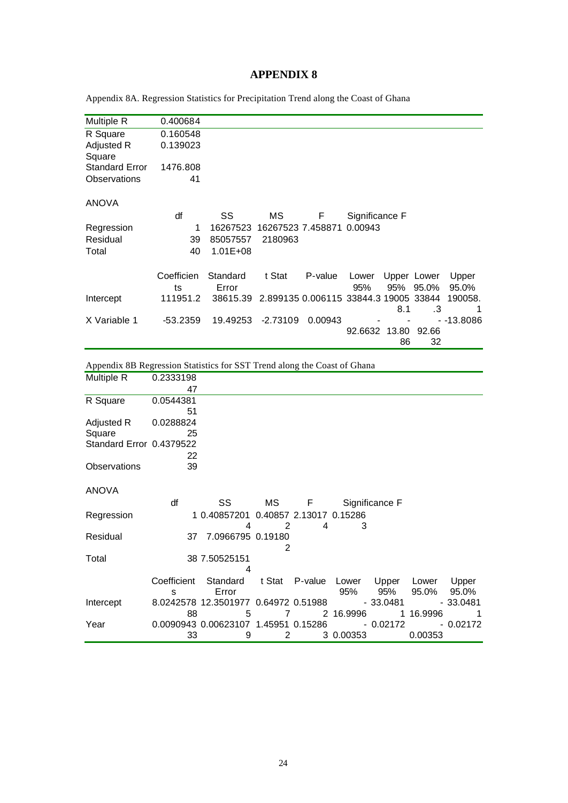Appendix 8A. Regression Statistics for Precipitation Trend along the Coast of Ghana

| Multiple R            | 0.400684   |              |                                                |                           |                |     |             |            |
|-----------------------|------------|--------------|------------------------------------------------|---------------------------|----------------|-----|-------------|------------|
| R Square              | 0.160548   |              |                                                |                           |                |     |             |            |
| Adjusted R            | 0.139023   |              |                                                |                           |                |     |             |            |
| Square                |            |              |                                                |                           |                |     |             |            |
| <b>Standard Error</b> | 1476.808   |              |                                                |                           |                |     |             |            |
| Observations          | 41         |              |                                                |                           |                |     |             |            |
|                       |            |              |                                                |                           |                |     |             |            |
| <b>ANOVA</b>          |            |              |                                                |                           |                |     |             |            |
|                       | df         | SS           | MS.                                            | F                         | Significance F |     |             |            |
| Regression            | 1          | 16267523     |                                                | 16267523 7.458871 0.00943 |                |     |             |            |
| Residual              | 39         | 85057557     | 2180963                                        |                           |                |     |             |            |
| Total                 | 40         | $1.01E + 08$ |                                                |                           |                |     |             |            |
|                       |            |              |                                                |                           |                |     |             |            |
|                       | Coefficien | Standard     | t Stat                                         | P-value                   | Lower          |     | Upper Lower | Upper      |
|                       | ts         | Error        |                                                |                           | 95%            |     | 95% 95.0%   | 95.0%      |
| Intercept             | 111951.2   |              | 38615.39 2.899135 0.006115 33844.3 19005 33844 |                           |                |     |             | 190058.    |
|                       |            |              |                                                |                           |                | 8.1 | $\cdot$ 3   |            |
| X Variable 1          | $-53.2359$ | 19.49253     | $-2.73109$                                     | 0.00943                   |                |     |             | - -13.8086 |
|                       |            |              |                                                |                           | 92.6632 13.80  |     | 92.66       |            |
|                       |            |              |                                                |                           |                | 86  | 32          |            |
|                       |            |              |                                                |                           |                |     |             |            |

Appendix 8B Regression Statistics for SST Trend along the Coast of Ghana

| Multiple R               | 0.2333198 |                                                             |    |   |           |                |           |            |
|--------------------------|-----------|-------------------------------------------------------------|----|---|-----------|----------------|-----------|------------|
|                          | 47        |                                                             |    |   |           |                |           |            |
| R Square                 | 0.0544381 |                                                             |    |   |           |                |           |            |
|                          | 51        |                                                             |    |   |           |                |           |            |
| Adjusted R               | 0.0288824 |                                                             |    |   |           |                |           |            |
| Square                   | 25        |                                                             |    |   |           |                |           |            |
| Standard Error 0.4379522 |           |                                                             |    |   |           |                |           |            |
|                          | 22        |                                                             |    |   |           |                |           |            |
| Observations             | 39        |                                                             |    |   |           |                |           |            |
|                          |           |                                                             |    |   |           |                |           |            |
| <b>ANOVA</b>             |           |                                                             |    |   |           |                |           |            |
|                          | df        | SS                                                          | MS | F |           | Significance F |           |            |
| Regression               |           | 1 0.40857201 0.40857 2.13017 0.15286                        |    |   |           |                |           |            |
|                          |           | 4                                                           | 2  | 4 | 3         |                |           |            |
| Residual                 |           | 37 7.0966795 0.19180                                        |    |   |           |                |           |            |
|                          |           |                                                             | 2  |   |           |                |           |            |
| Total                    |           | 38 7.50525151                                               |    |   |           |                |           |            |
|                          |           | 4                                                           |    |   |           |                |           |            |
|                          |           | Coefficient Standard t Stat P-value Lower Upper Lower Upper |    |   |           |                |           |            |
|                          | S         | Error                                                       |    |   | 95%       | 95%            | 95.0%     | 95.0%      |
| Intercept                |           | 8.0242578 12.3501977 0.64972 0.51988                        |    |   |           | - 33.0481      |           | - 33.0481  |
|                          | 88        | 5                                                           | 7  |   | 2 16.9996 |                | 1 16.9996 |            |
| Year                     |           | 0.0090943 0.00623107 1.45951 0.15286                        |    |   |           | $-0.02172$     |           | $-0.02172$ |
|                          | 33        | 9                                                           | 2  |   | 3 0.00353 |                | 0.00353   |            |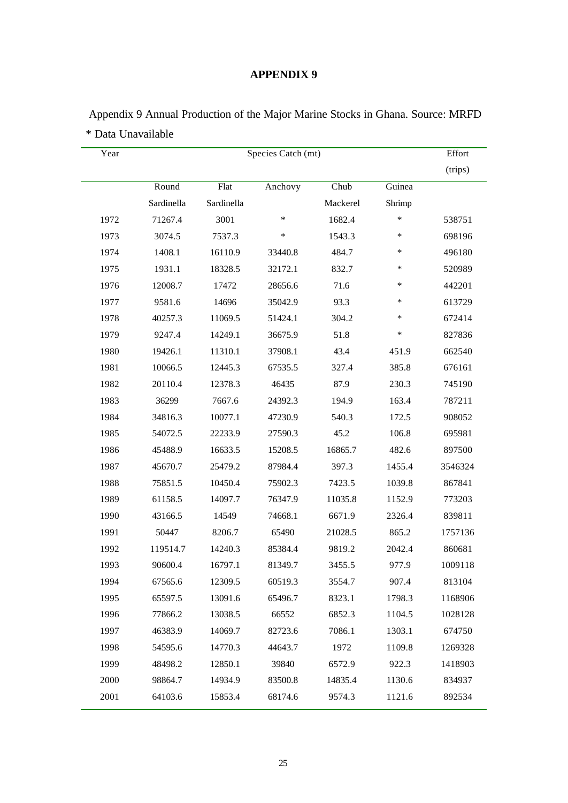| Year |            |            | Species Catch (mt) |          |        | Effort  |
|------|------------|------------|--------------------|----------|--------|---------|
|      |            |            |                    |          |        | (trips) |
|      | Round      | Flat       | Anchovy            | Chub     | Guinea |         |
|      | Sardinella | Sardinella |                    | Mackerel | Shrimp |         |
| 1972 | 71267.4    | 3001       | $\ast$             | 1682.4   | *      | 538751  |
| 1973 | 3074.5     | 7537.3     | $\ast$             | 1543.3   | $\ast$ | 698196  |
| 1974 | 1408.1     | 16110.9    | 33440.8            | 484.7    | ∗      | 496180  |
| 1975 | 1931.1     | 18328.5    | 32172.1            | 832.7    | ∗      | 520989  |
| 1976 | 12008.7    | 17472      | 28656.6            | 71.6     | ∗      | 442201  |
| 1977 | 9581.6     | 14696      | 35042.9            | 93.3     | $\ast$ | 613729  |
| 1978 | 40257.3    | 11069.5    | 51424.1            | 304.2    | ∗      | 672414  |
| 1979 | 9247.4     | 14249.1    | 36675.9            | 51.8     | $\ast$ | 827836  |
| 1980 | 19426.1    | 11310.1    | 37908.1            | 43.4     | 451.9  | 662540  |
| 1981 | 10066.5    | 12445.3    | 67535.5            | 327.4    | 385.8  | 676161  |
| 1982 | 20110.4    | 12378.3    | 46435              | 87.9     | 230.3  | 745190  |
| 1983 | 36299      | 7667.6     | 24392.3            | 194.9    | 163.4  | 787211  |
| 1984 | 34816.3    | 10077.1    | 47230.9            | 540.3    | 172.5  | 908052  |
| 1985 | 54072.5    | 22233.9    | 27590.3            | 45.2     | 106.8  | 695981  |
| 1986 | 45488.9    | 16633.5    | 15208.5            | 16865.7  | 482.6  | 897500  |
| 1987 | 45670.7    | 25479.2    | 87984.4            | 397.3    | 1455.4 | 3546324 |
| 1988 | 75851.5    | 10450.4    | 75902.3            | 7423.5   | 1039.8 | 867841  |
| 1989 | 61158.5    | 14097.7    | 76347.9            | 11035.8  | 1152.9 | 773203  |
| 1990 | 43166.5    | 14549      | 74668.1            | 6671.9   | 2326.4 | 839811  |
| 1991 | 50447      | 8206.7     | 65490              | 21028.5  | 865.2  | 1757136 |
| 1992 | 119514.7   | 14240.3    | 85384.4            | 9819.2   | 2042.4 | 860681  |
| 1993 | 90600.4    | 16797.1    | 81349.7            | 3455.5   | 977.9  | 1009118 |
| 1994 | 67565.6    | 12309.5    | 60519.3            | 3554.7   | 907.4  | 813104  |
| 1995 | 65597.5    | 13091.6    | 65496.7            | 8323.1   | 1798.3 | 1168906 |
| 1996 | 77866.2    | 13038.5    | 66552              | 6852.3   | 1104.5 | 1028128 |
| 1997 | 46383.9    | 14069.7    | 82723.6            | 7086.1   | 1303.1 | 674750  |
| 1998 | 54595.6    | 14770.3    | 44643.7            | 1972     | 1109.8 | 1269328 |
| 1999 | 48498.2    | 12850.1    | 39840              | 6572.9   | 922.3  | 1418903 |
| 2000 | 98864.7    | 14934.9    | 83500.8            | 14835.4  | 1130.6 | 834937  |
| 2001 | 64103.6    | 15853.4    | 68174.6            | 9574.3   | 1121.6 | 892534  |

 Appendix 9 Annual Production of the Major Marine Stocks in Ghana. Source: MRFD \* Data Unavailable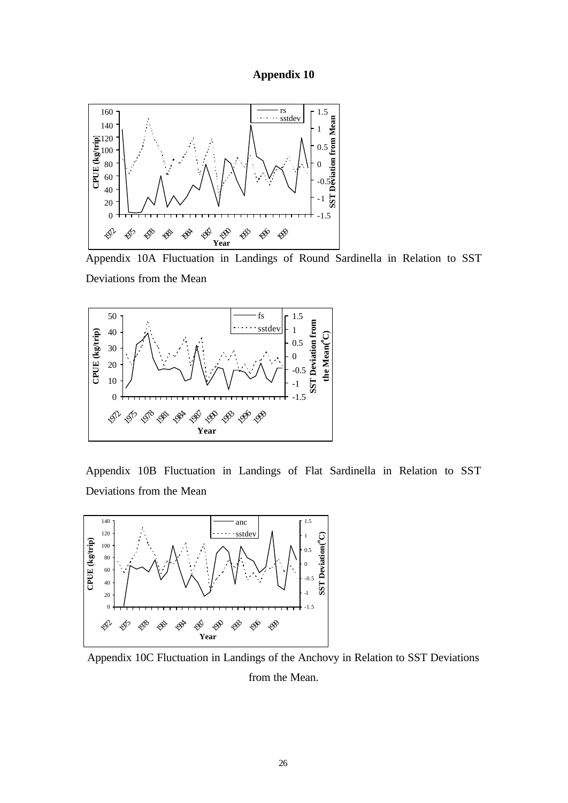#### **Appendix 10**



Appendix 10A Fluctuation in Landings of Round Sardinella in Relation to SST Deviations from the Mean



Appendix 10B Fluctuation in Landings of Flat Sardinella in Relation to SST Deviations from the Mean



Appendix 10C Fluctuation in Landings of the Anchovy in Relation to SST Deviations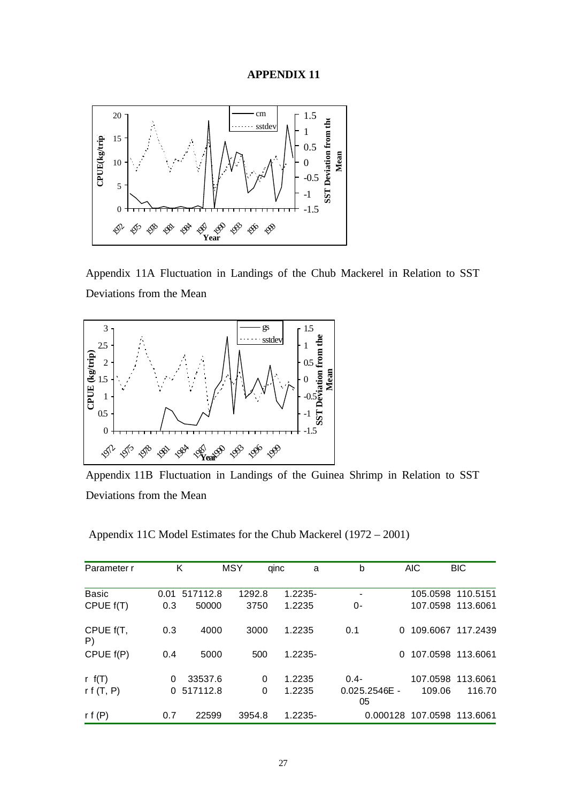

Appendix 11A Fluctuation in Landings of the Chub Mackerel in Relation to SST Deviations from the Mean



Appendix 11B Fluctuation in Landings of the Guinea Shrimp in Relation to SST Deviations from the Mean

Appendix 11C Model Estimates for the Chub Mackerel (1972 – 2001)

| Parameter r     |      | Κ        | <b>MSY</b> | qinc<br>a  | b                     |   | <b>AIC</b> | <b>BIC</b>                 |
|-----------------|------|----------|------------|------------|-----------------------|---|------------|----------------------------|
| <b>Basic</b>    | 0.01 | 517112.8 | 1292.8     | $1.2235 -$ | $\overline{a}$        |   |            | 105.0598 110.5151          |
| CPUE f(T)       | 0.3  | 50000    | 3750       | 1.2235     | 0-                    |   |            | 107.0598 113.6061          |
| CPUE f(T,<br>P) | 0.3  | 4000     | 3000       | 1.2235     | 0.1                   | 0 |            | 109.6067 117.2439          |
| CPUE $f(P)$     | 0.4  | 5000     | 500        | $1.2235 -$ |                       | 0 |            | 107.0598 113.6061          |
| r $f(T)$        | 0    | 33537.6  | 0          | 1.2235     | $0.4 -$               |   |            | 107.0598 113.6061          |
| r f $(T, P)$    | 0    | 517112.8 | 0          | 1.2235     | $0.025.2546E -$<br>05 |   | 109.06     | 116.70                     |
| r f $(P)$       | 0.7  | 22599    | 3954.8     | $1.2235 -$ |                       |   |            | 0.000128 107.0598 113.6061 |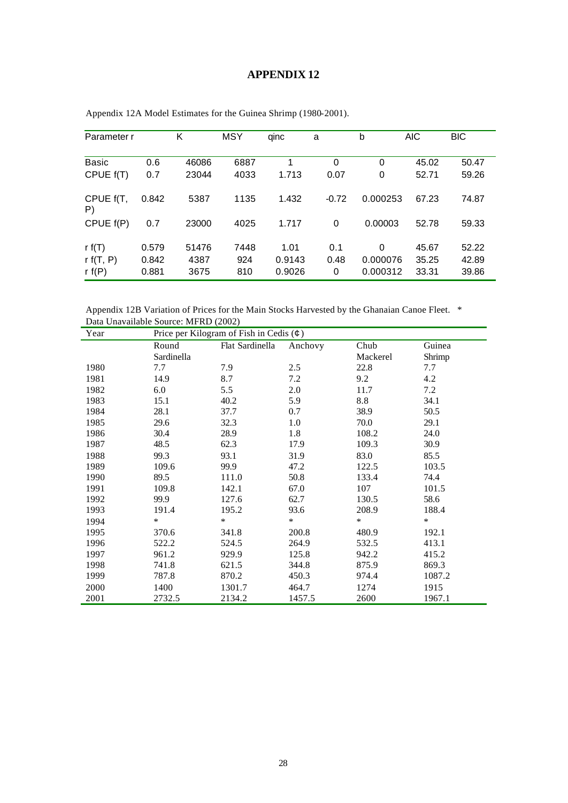| Parameter r     |       | Κ     | <b>MSY</b> | qinc   | a        | b        | <b>AIC</b> | <b>BIC</b> |
|-----------------|-------|-------|------------|--------|----------|----------|------------|------------|
|                 |       |       |            |        |          |          |            |            |
| Basic           | 0.6   | 46086 | 6887       | 1      | $\Omega$ | 0        | 45.02      | 50.47      |
| CPUE f(T)       | 0.7   | 23044 | 4033       | 1.713  | 0.07     | 0        | 52.71      | 59.26      |
| CPUE f(T,<br>P) | 0.842 | 5387  | 1135       | 1.432  | $-0.72$  | 0.000253 | 67.23      | 74.87      |
| CPUE $f(P)$     | 0.7   | 23000 | 4025       | 1.717  | $\Omega$ | 0.00003  | 52.78      | 59.33      |
| r $f(T)$        | 0.579 | 51476 | 7448       | 1.01   | 0.1      | $\Omega$ | 45.67      | 52.22      |
| r $f(T, P)$     | 0.842 | 4387  | 924        | 0.9143 | 0.48     | 0.000076 | 35.25      | 42.89      |
| rf(P)           | 0.881 | 3675  | 810        | 0.9026 | 0        | 0.000312 | 33.31      | 39.86      |

Appendix 12A Model Estimates for the Guinea Shrimp (1980-2001).

Appendix 12B Variation of Prices for the Main Stocks Harvested by the Ghanaian Canoe Fleet. \* Data Unavailable Source: MFRD (2002)

| Year |            | Price per Kilogram of Fish in Cedis $($ |         |          |        |  |  |  |  |
|------|------------|-----------------------------------------|---------|----------|--------|--|--|--|--|
|      | Round      | Flat Sardinella                         | Anchovy | Chub     | Guinea |  |  |  |  |
|      | Sardinella |                                         |         | Mackerel | Shrimp |  |  |  |  |
| 1980 | 7.7        | 7.9                                     | 2.5     | 22.8     | 7.7    |  |  |  |  |
| 1981 | 14.9       | 8.7                                     | 7.2     | 9.2      | 4.2    |  |  |  |  |
| 1982 | 6.0        | 5.5                                     | 2.0     | 11.7     | 7.2    |  |  |  |  |
| 1983 | 15.1       | 40.2                                    | 5.9     | 8.8      | 34.1   |  |  |  |  |
| 1984 | 28.1       | 37.7                                    | 0.7     | 38.9     | 50.5   |  |  |  |  |
| 1985 | 29.6       | 32.3                                    | 1.0     | 70.0     | 29.1   |  |  |  |  |
| 1986 | 30.4       | 28.9                                    | 1.8     | 108.2    | 24.0   |  |  |  |  |
| 1987 | 48.5       | 62.3                                    | 17.9    | 109.3    | 30.9   |  |  |  |  |
| 1988 | 99.3       | 93.1                                    | 31.9    | 83.0     | 85.5   |  |  |  |  |
| 1989 | 109.6      | 99.9                                    | 47.2    | 122.5    | 103.5  |  |  |  |  |
| 1990 | 89.5       | 111.0                                   | 50.8    | 133.4    | 74.4   |  |  |  |  |
| 1991 | 109.8      | 142.1                                   | 67.0    | 107      | 101.5  |  |  |  |  |
| 1992 | 99.9       | 127.6                                   | 62.7    | 130.5    | 58.6   |  |  |  |  |
| 1993 | 191.4      | 195.2                                   | 93.6    | 208.9    | 188.4  |  |  |  |  |
| 1994 | $\ast$     | $\ast$                                  | $\ast$  | $\ast$   | $\ast$ |  |  |  |  |
| 1995 | 370.6      | 341.8                                   | 200.8   | 480.9    | 192.1  |  |  |  |  |
| 1996 | 522.2      | 524.5                                   | 264.9   | 532.5    | 413.1  |  |  |  |  |
| 1997 | 961.2      | 929.9                                   | 125.8   | 942.2    | 415.2  |  |  |  |  |
| 1998 | 741.8      | 621.5                                   | 344.8   | 875.9    | 869.3  |  |  |  |  |
| 1999 | 787.8      | 870.2                                   | 450.3   | 974.4    | 1087.2 |  |  |  |  |
| 2000 | 1400       | 1301.7                                  | 464.7   | 1274     | 1915   |  |  |  |  |
| 2001 | 2732.5     | 2134.2                                  | 1457.5  | 2600     | 1967.1 |  |  |  |  |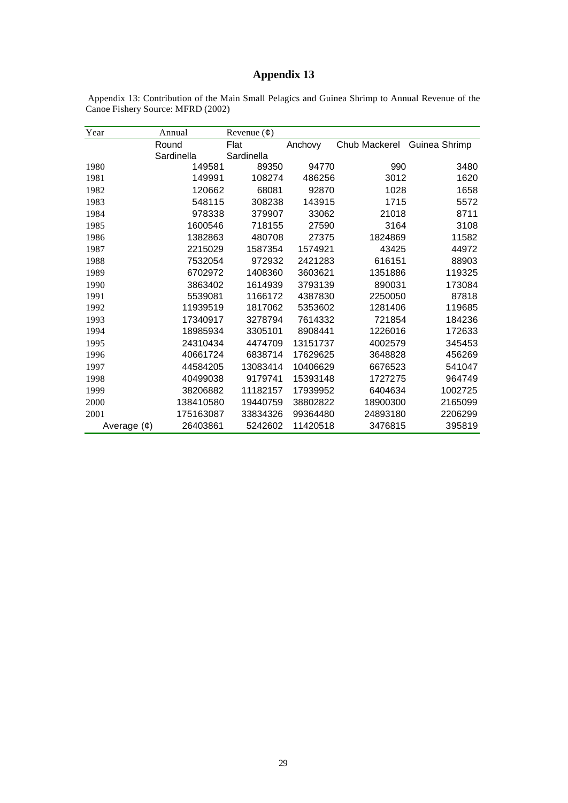# **Appendix 13**

| Appendix 13: Contribution of the Main Small Pelagics and Guinea Shrimp to Annual Revenue of the |  |  |  |  |  |  |
|-------------------------------------------------------------------------------------------------|--|--|--|--|--|--|
| Canoe Fishery Source: MFRD (2002)                                                               |  |  |  |  |  |  |

| Year             | Annual     | Revenue $(\phi)$ |          |               |               |
|------------------|------------|------------------|----------|---------------|---------------|
|                  | Round      | Flat             | Anchovy  | Chub Mackerel | Guinea Shrimp |
|                  | Sardinella | Sardinella       |          |               |               |
| 1980             | 149581     | 89350            | 94770    | 990           | 3480          |
| 1981             | 149991     | 108274           | 486256   | 3012          | 1620          |
| 1982             | 120662     | 68081            | 92870    | 1028          | 1658          |
| 1983             | 548115     | 308238           | 143915   | 1715          | 5572          |
| 1984             | 978338     | 379907           | 33062    | 21018         | 8711          |
| 1985             | 1600546    | 718155           | 27590    | 3164          | 3108          |
| 1986             | 1382863    | 480708           | 27375    | 1824869       | 11582         |
| 1987             | 2215029    | 1587354          | 1574921  | 43425         | 44972         |
| 1988             | 7532054    | 972932           | 2421283  | 616151        | 88903         |
| 1989             | 6702972    | 1408360          | 3603621  | 1351886       | 119325        |
| 1990             | 3863402    | 1614939          | 3793139  | 890031        | 173084        |
| 1991             | 5539081    | 1166172          | 4387830  | 2250050       | 87818         |
| 1992             | 11939519   | 1817062          | 5353602  | 1281406       | 119685        |
| 1993             | 17340917   | 3278794          | 7614332  | 721854        | 184236        |
| 1994             | 18985934   | 3305101          | 8908441  | 1226016       | 172633        |
| 1995             | 24310434   | 4474709          | 13151737 | 4002579       | 345453        |
| 1996             | 40661724   | 6838714          | 17629625 | 3648828       | 456269        |
| 1997             | 44584205   | 13083414         | 10406629 | 6676523       | 541047        |
| 1998             | 40499038   | 9179741          | 15393148 | 1727275       | 964749        |
| 1999             | 38206882   | 11182157         | 17939952 | 6404634       | 1002725       |
| 2000             | 138410580  | 19440759         | 38802822 | 18900300      | 2165099       |
| 2001             | 175163087  | 33834326         | 99364480 | 24893180      | 2206299       |
| Average $(\phi)$ | 26403861   | 5242602          | 11420518 | 3476815       | 395819        |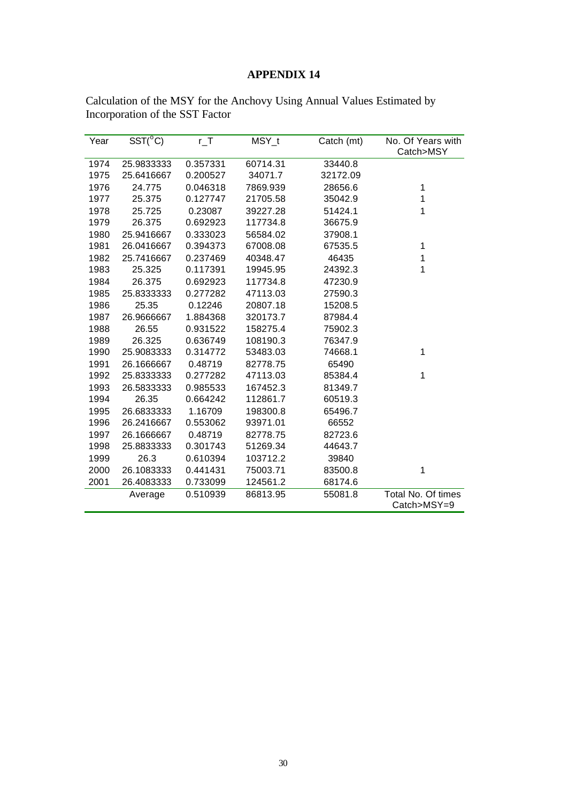| Year | $\overline{\text{SST}({}^{\circ}C)}$ | $r_T$    | MSY_t    | Catch (mt) | No. Of Years with  |
|------|--------------------------------------|----------|----------|------------|--------------------|
|      |                                      |          |          |            | Catch>MSY          |
| 1974 | 25.9833333                           | 0.357331 | 60714.31 | 33440.8    |                    |
| 1975 | 25.6416667                           | 0.200527 | 34071.7  | 32172.09   |                    |
| 1976 | 24.775                               | 0.046318 | 7869.939 | 28656.6    | 1                  |
| 1977 | 25.375                               | 0.127747 | 21705.58 | 35042.9    | 1                  |
| 1978 | 25.725                               | 0.23087  | 39227.28 | 51424.1    | 1                  |
| 1979 | 26.375                               | 0.692923 | 117734.8 | 36675.9    |                    |
| 1980 | 25.9416667                           | 0.333023 | 56584.02 | 37908.1    |                    |
| 1981 | 26.0416667                           | 0.394373 | 67008.08 | 67535.5    | 1                  |
| 1982 | 25.7416667                           | 0.237469 | 40348.47 | 46435      | 1                  |
| 1983 | 25.325                               | 0.117391 | 19945.95 | 24392.3    | 1                  |
| 1984 | 26.375                               | 0.692923 | 117734.8 | 47230.9    |                    |
| 1985 | 25.8333333                           | 0.277282 | 47113.03 | 27590.3    |                    |
| 1986 | 25.35                                | 0.12246  | 20807.18 | 15208.5    |                    |
| 1987 | 26.9666667                           | 1.884368 | 320173.7 | 87984.4    |                    |
| 1988 | 26.55                                | 0.931522 | 158275.4 | 75902.3    |                    |
| 1989 | 26.325                               | 0.636749 | 108190.3 | 76347.9    |                    |
| 1990 | 25.9083333                           | 0.314772 | 53483.03 | 74668.1    | 1                  |
| 1991 | 26.1666667                           | 0.48719  | 82778.75 | 65490      |                    |
| 1992 | 25.8333333                           | 0.277282 | 47113.03 | 85384.4    | 1                  |
| 1993 | 26.5833333                           | 0.985533 | 167452.3 | 81349.7    |                    |
| 1994 | 26.35                                | 0.664242 | 112861.7 | 60519.3    |                    |
| 1995 | 26.6833333                           | 1.16709  | 198300.8 | 65496.7    |                    |
| 1996 | 26.2416667                           | 0.553062 | 93971.01 | 66552      |                    |
| 1997 | 26.1666667                           | 0.48719  | 82778.75 | 82723.6    |                    |
| 1998 | 25.8833333                           | 0.301743 | 51269.34 | 44643.7    |                    |
| 1999 | 26.3                                 | 0.610394 | 103712.2 | 39840      |                    |
| 2000 | 26.1083333                           | 0.441431 | 75003.71 | 83500.8    | 1                  |
| 2001 | 26.4083333                           | 0.733099 | 124561.2 | 68174.6    |                    |
|      | Average                              | 0.510939 | 86813.95 | 55081.8    | Total No. Of times |
|      |                                      |          |          |            | Catch>MSY=9        |

Calculation of the MSY for the Anchovy Using Annual Values Estimated by Incorporation of the SST Factor